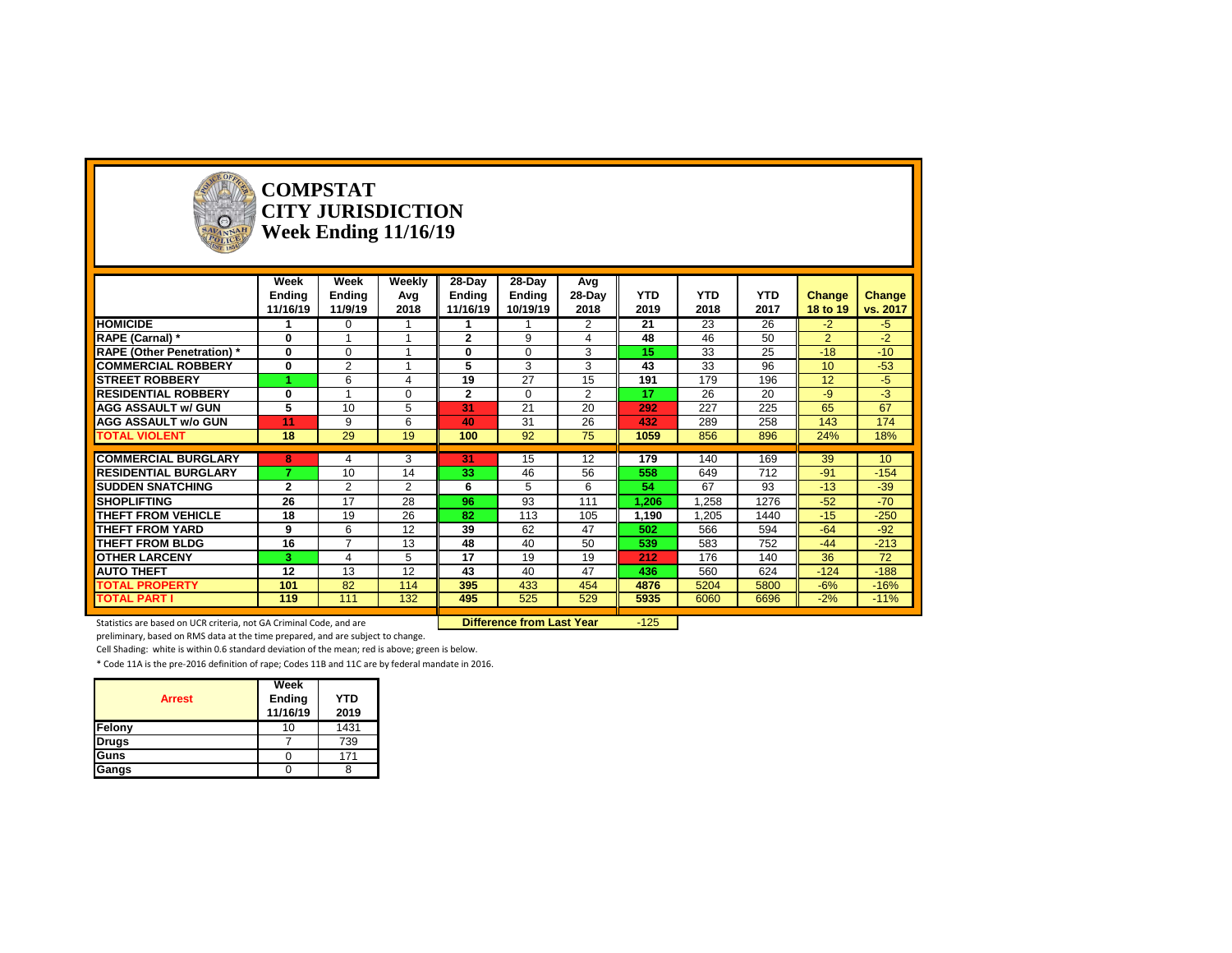

#### **COMPSTAT CITY JURISDICTION Week Ending 11/16/19**

|                                   | Week          | Week           | Weekly   | 28-Day        | 28-Day        | Avg            |                 |                 |                 |                 |                 |
|-----------------------------------|---------------|----------------|----------|---------------|---------------|----------------|-----------------|-----------------|-----------------|-----------------|-----------------|
|                                   | <b>Ending</b> | <b>Ending</b>  | Avg      | <b>Ending</b> | <b>Ending</b> | 28-Day         | <b>YTD</b>      | <b>YTD</b>      | <b>YTD</b>      | <b>Change</b>   | Change          |
|                                   | 11/16/19      | 11/9/19        | 2018     | 11/16/19      | 10/19/19      | 2018           | 2019            | 2018            | 2017            | 18 to 19        | vs. 2017        |
| <b>HOMICIDE</b>                   |               | $\mathbf{0}$   |          |               |               | $\overline{2}$ | $\overline{21}$ | $\overline{23}$ | $\overline{26}$ | $-2$            | $-5$            |
| RAPE (Carnal) *                   | $\mathbf 0$   |                |          | $\mathbf{2}$  | 9             |                | 48              | 46              | 50              | $\overline{2}$  | $-2$            |
| <b>RAPE (Other Penetration)</b> * | $\bf{0}$      | $\Omega$       |          | 0             | $\Omega$      | 3              | 15              | 33              | 25              | $-18$           | $-10$           |
| <b>COMMERCIAL ROBBERY</b>         | $\bf{0}$      | 2              |          | 5             | 3             | 3              | 43              | 33              | 96              | 10 <sup>°</sup> | $-53$           |
| <b>STREET ROBBERY</b>             |               | 6              | Δ        | 19            | 27            | 15             | 191             | 179             | 196             | 12              | $-5$            |
| <b>RESIDENTIAL ROBBERY</b>        | $\bf{0}$      |                | $\Omega$ | $\mathbf{2}$  | $\Omega$      | $\overline{2}$ | 17              | 26              | 20              | -9              | $-3$            |
| <b>AGG ASSAULT w/ GUN</b>         | 5             | 10             | 5        | 31            | 21            | 20             | 292             | 227             | 225             | 65              | 67              |
| <b>AGG ASSAULT w/o GUN</b>        | 11            | 9              | 6        | 40            | 31            | 26             | 432             | 289             | 258             | 143             | 174             |
| <b>TOTAL VIOLENT</b>              | 18            | 29             | 19       | 100           | 92            | 75             | 1059            | 856             | 896             | 24%             | 18%             |
|                                   |               |                |          |               |               |                |                 |                 |                 |                 |                 |
| <b>COMMERCIAL BURGLARY</b>        | 8             | 4              | 3        | 31            | 15            | 12             | 179             | 140             | 169             | 39              | 10 <sup>°</sup> |
| <b>RESIDENTIAL BURGLARY</b>       | ۰,            | 10             | 14       | 33            | 46            | 56             | 558             | 649             | 712             | $-91$           | $-154$          |
| <b>SUDDEN SNATCHING</b>           | $\mathbf{2}$  | $\overline{2}$ | 2        | 6             | 5             | 6              | 54              | 67              | 93              | $-13$           | $-39$           |
| <b>SHOPLIFTING</b>                | 26            | 17             | 28       | 96            | 93            | 111            | 1,206           | 1,258           | 1276            | $-52$           | $-70$           |
| THEFT FROM VEHICLE                | 18            | 19             | 26       | 82            | 113           | 105            | 1,190           | 1,205           | 1440            | $-15$           | $-250$          |
| <b>THEFT FROM YARD</b>            | 9             | 6              | 12       | 39            | 62            | 47             | 502             | 566             | 594             | $-64$           | $-92$           |
| <b>THEFT FROM BLDG</b>            | 16            | $\overline{ }$ | 13       | 48            | 40            | 50             | 539             | 583             | 752             | $-44$           | $-213$          |
| <b>OTHER LARCENY</b>              | 3             | 4              | 5        | 17            | 19            | 19             | 212             | 176             | 140             | 36              | 72              |
| <b>AUTO THEFT</b>                 | 12            | 13             | 12       | 43            | 40            | 47             | 436             | 560             | 624             | $-124$          | $-188$          |
| <b>TOTAL PROPERTY</b>             | 101           | 82             | 114      | 395           | 433           | 454            | 4876            | 5204            | 5800            | $-6%$           | $-16%$          |
| <b>TOTAL PART I</b>               | 119           | 111            | 132      | 495           | 525           | 529            | 5935            | 6060            | 6696            | $-2%$           | $-11%$          |

Statistics are based on UCR criteria, not GA Criminal Code, and are **Difference from Last Year** -125

preliminary, based on RMS data at the time prepared, and are subject to change.

Cell Shading: white is within 0.6 standard deviation of the mean; red is above; green is below.

| <b>Arrest</b> | Week<br>Ending<br>11/16/19 | <b>YTD</b><br>2019 |
|---------------|----------------------------|--------------------|
| Felony        | 10                         | 1431               |
| <b>Drugs</b>  |                            | 739                |
| <b>Guns</b>   |                            | 171                |
| Gangs         |                            |                    |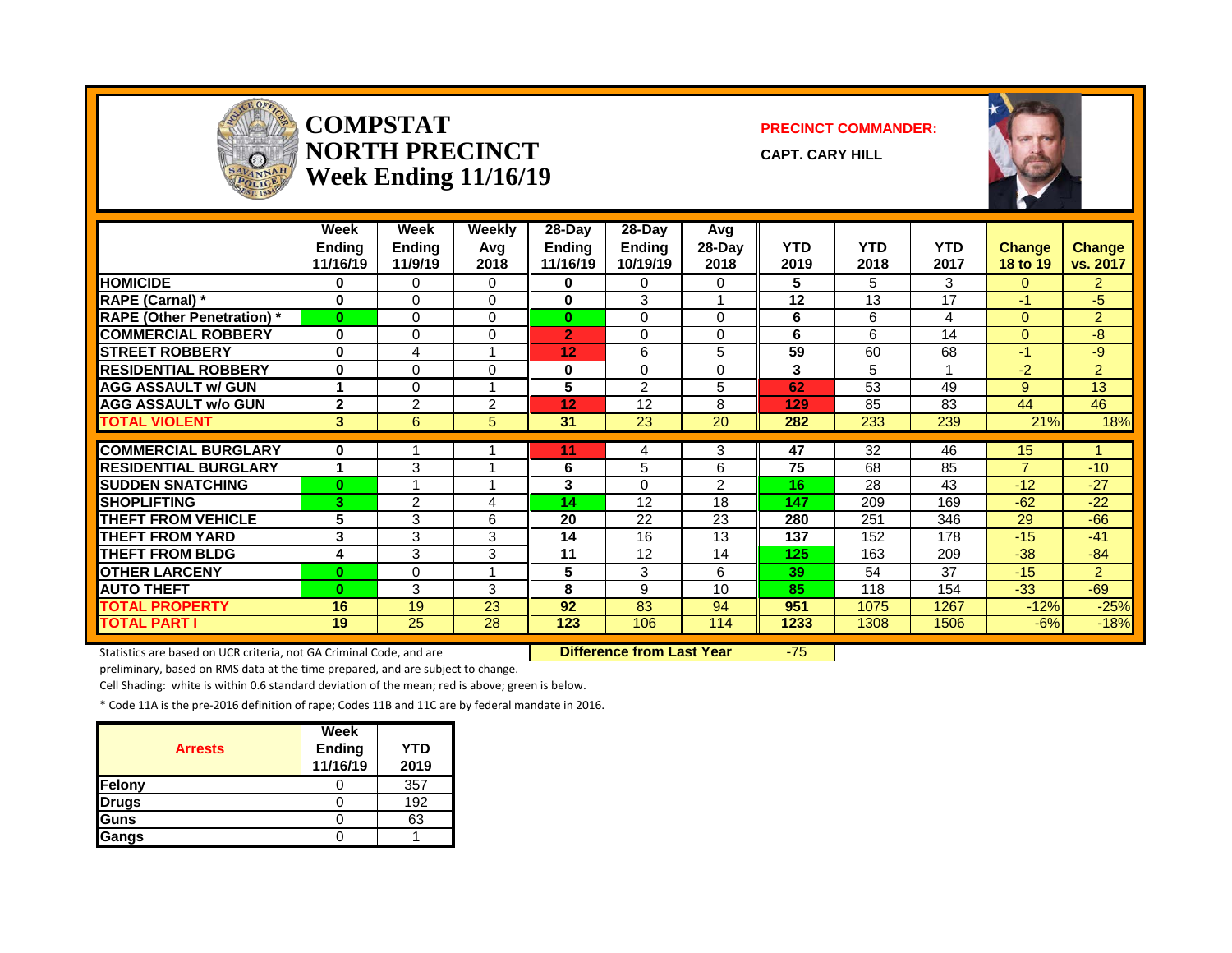

#### **COMPSTAT PRECINCT COMMANDER: NORTH PRECINCT CAPT. CARY HILL Week Ending 11/16/19**



|                                   | Week<br><b>Ending</b><br>11/16/19 | Week<br><b>Ending</b><br>11/9/19 | <b>Weekly</b><br>Avg<br>2018 | 28-Day<br>Ending<br>11/16/19 | $28$ -Day<br><b>Ending</b><br>10/19/19 | Avg<br>28-Day<br>2018 | <b>YTD</b><br>2019 | <b>YTD</b><br>2018 | <b>YTD</b><br>2017 | <b>Change</b><br><b>18 to 19</b> | <b>Change</b><br>vs. 2017 |
|-----------------------------------|-----------------------------------|----------------------------------|------------------------------|------------------------------|----------------------------------------|-----------------------|--------------------|--------------------|--------------------|----------------------------------|---------------------------|
| <b>HOMICIDE</b>                   | 0                                 | 0                                | $\Omega$                     | 0                            | $\Omega$                               | 0                     | 5.                 | 5.                 | 3                  | $\Omega$                         | 2.                        |
| <b>RAPE (Carnal)</b> *            | $\Omega$                          | 0                                | $\Omega$                     | 0                            | 3                                      |                       | 12                 | 13                 | 17                 | $-1$                             | -5                        |
| <b>RAPE (Other Penetration)</b> * | $\bf{0}$                          | 0                                | $\Omega$                     | $\bf{0}$                     | $\Omega$                               | 0                     | 6                  | 6                  | 4                  | $\Omega$                         | $\overline{2}$            |
| <b>COMMERCIAL ROBBERY</b>         | $\bf{0}$                          | 0                                | 0                            | $\overline{2}$               | $\Omega$                               | 0                     | 6                  | 6                  | 14                 | $\Omega$                         | -8                        |
| <b>ISTREET ROBBERY</b>            | 0                                 | 4                                |                              | 12                           | 6                                      | 5                     | 59                 | 60                 | 68                 | $-1$                             | $-9$                      |
| <b>RESIDENTIAL ROBBERY</b>        | $\bf{0}$                          | 0                                | 0                            | 0                            | $\Omega$                               | 0                     | 3                  | 5                  |                    | $-2$                             | $\overline{2}$            |
| <b>AGG ASSAULT w/ GUN</b>         |                                   | 0                                |                              | 5                            | $\overline{2}$                         | 5                     | 62                 | 53                 | 49                 | 9                                | 13                        |
| <b>AGG ASSAULT w/o GUN</b>        | $\mathbf{2}$                      | 2                                | 2                            | 12                           | 12                                     | 8                     | 129                | 85                 | 83                 | 44                               | 46                        |
| <b>TOTAL VIOLENT</b>              | 3                                 | 6                                | 5                            | 31                           | 23                                     | 20                    | 282                | 233                | 239                | 21%                              | 18%                       |
|                                   |                                   |                                  |                              |                              |                                        |                       |                    |                    |                    |                                  |                           |
| <b>COMMERCIAL BURGLARY</b>        | $\bf{0}$                          |                                  |                              | 11                           | 4                                      | 3                     | 47                 | 32                 | 46                 | 15                               |                           |
| <b>RESIDENTIAL BURGLARY</b>       | 1                                 | 3                                |                              | 6                            | 5                                      | 6                     | 75                 | 68                 | 85                 | $\overline{7}$                   | $-10$                     |
| <b>SUDDEN SNATCHING</b>           | $\bf{0}$                          |                                  |                              | 3                            | $\Omega$                               | 2                     | 16                 | 28                 | 43                 | $-12$                            | $-27$                     |
| <b>SHOPLIFTING</b>                | 3                                 | 2                                | 4                            | 14                           | 12                                     | 18                    | 147                | 209                | 169                | $-62$                            | $-22$                     |
| <b>THEFT FROM VEHICLE</b>         | 5                                 | 3                                | 6                            | 20                           | 22                                     | 23                    | 280                | 251                | 346                | 29                               | $-66$                     |
| <b>THEFT FROM YARD</b>            | 3                                 | 3                                | 3                            | 14                           | 16                                     | 13                    | 137                | 152                | 178                | $-15$                            | $-41$                     |
| <b>THEFT FROM BLDG</b>            | 4                                 | 3                                | 3                            | 11                           | 12                                     | 14                    | 125                | 163                | 209                | $-38$                            | $-84$                     |
| <b>OTHER LARCENY</b>              | $\bf{0}$                          | 0                                | 4                            | 5                            | 3                                      | 6                     | 39                 | 54                 | 37                 | $-15$                            | $\overline{2}$            |
| <b>AUTO THEFT</b>                 | $\bf{0}$                          | 3                                | 3                            | 8                            | 9                                      | 10                    | 85                 | 118                | 154                | $-33$                            | $-69$                     |
| <b>TOTAL PROPERTY</b>             | 16                                | 19                               | 23                           | 92                           | 83                                     | 94                    | 951                | 1075               | 1267               | $-12%$                           | $-25%$                    |
| <b>TOTAL PART I</b>               | 19                                | 25                               | 28                           | 123                          | 106                                    | 114                   | 1233               | 1308               | 1506               | $-6%$                            | $-18%$                    |

Statistics are based on UCR criteria, not GA Criminal Code, and are **Difference from Last Year** -75

preliminary, based on RMS data at the time prepared, and are subject to change.

Cell Shading: white is within 0.6 standard deviation of the mean; red is above; green is below.

| <b>Arrests</b> | Week<br><b>Ending</b><br>11/16/19 | <b>YTD</b><br>2019 |
|----------------|-----------------------------------|--------------------|
| Felony         |                                   | 357                |
| <b>Drugs</b>   |                                   | 192                |
| Guns           |                                   | 63                 |
| <b>Gangs</b>   |                                   |                    |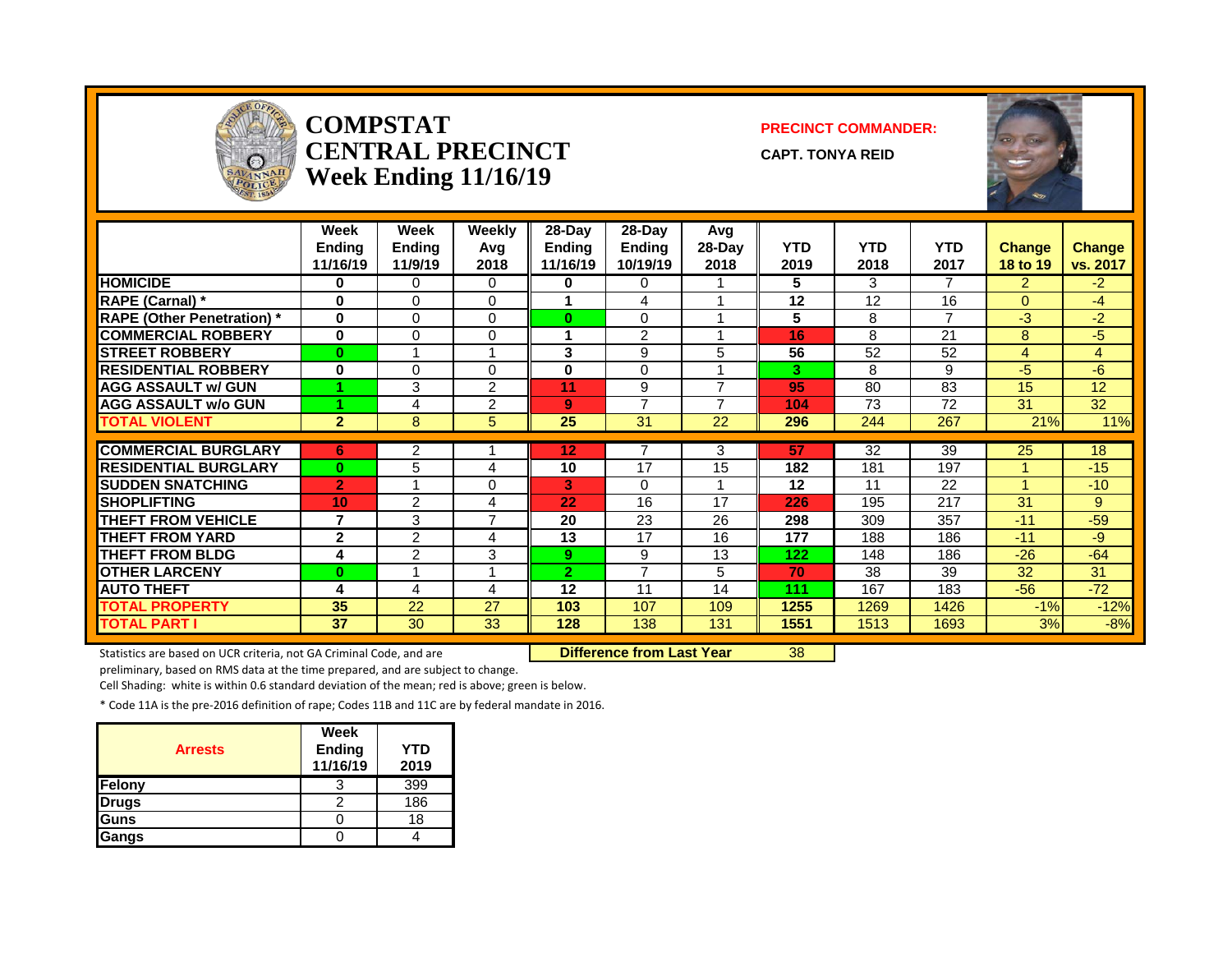

#### **COMPSTAT PRECINCT COMMANDER: capt. Tonya reid Week Ending 11/16/19**



|                                   | Week<br><b>Ending</b><br>11/16/19 | Week<br><b>Ending</b><br>11/9/19 | <b>Weekly</b><br>Avg<br>2018 | $28-Day$<br><b>Ending</b><br>11/16/19 | 28-Day<br><b>Ending</b><br>10/19/19 | Avg<br>28-Day<br>2018 | <b>YTD</b><br>2019 | <b>YTD</b><br>2018 | <b>YTD</b><br>2017 | <b>Change</b><br>18 to 19 | <b>Change</b><br>vs. 2017 |
|-----------------------------------|-----------------------------------|----------------------------------|------------------------------|---------------------------------------|-------------------------------------|-----------------------|--------------------|--------------------|--------------------|---------------------------|---------------------------|
| <b>HOMICIDE</b>                   | 0                                 | 0                                | 0                            | 0                                     | 0                                   |                       | 5                  | 3                  | $\overline{7}$     | 2                         | $-2$                      |
| <b>RAPE (Carnal)</b> *            | 0                                 | $\Omega$                         | $\Omega$                     |                                       | 4                                   |                       | 12                 | 12                 | 16                 | $\Omega$                  | -4                        |
| <b>RAPE (Other Penetration)</b> * | $\bf{0}$                          | $\Omega$                         | $\Omega$                     | 0                                     | 0                                   |                       | 5                  | 8                  | $\overline{7}$     | $-3$                      | $-2$                      |
| <b>COMMERCIAL ROBBERY</b>         | $\bf{0}$                          | $\Omega$                         | $\Omega$                     |                                       | $\overline{2}$                      |                       | 16                 | 8                  | 21                 | 8                         | $-5$                      |
| <b>STREET ROBBERY</b>             | $\bf{0}$                          | $\overline{ }$                   | 4                            | 3                                     | 9                                   | 5                     | 56                 | 52                 | 52                 | $\overline{4}$            | $\overline{4}$            |
| <b>RESIDENTIAL ROBBERY</b>        | $\bf{0}$                          | $\Omega$                         | $\Omega$                     | $\bf{0}$                              | $\Omega$                            |                       | 3                  | 8                  | 9                  | -5                        | -6                        |
| <b>AGG ASSAULT w/ GUN</b>         |                                   | 3                                | $\overline{2}$               | 11                                    | 9                                   | $\overline{ }$        | 95                 | 80                 | 83                 | 15                        | 12                        |
| <b>AGG ASSAULT w/o GUN</b>        |                                   | 4                                | $\overline{2}$               | 9                                     | $\overline{ }$                      | $\overline{ }$        | 104                | 73                 | 72                 | 31                        | $\overline{32}$           |
| <b>TOTAL VIOLENT</b>              | $\overline{2}$                    | 8                                | 5                            | 25                                    | $\overline{31}$                     | $\overline{22}$       | 296                | 244                | $\overline{267}$   | 21%                       | 11%                       |
|                                   |                                   |                                  |                              |                                       | 7                                   |                       |                    |                    |                    |                           |                           |
| <b>COMMERCIAL BURGLARY</b>        | 6                                 | 2                                |                              | 12                                    |                                     | 3                     | 57                 | 32                 | 39                 | 25                        | 18                        |
| <b>RESIDENTIAL BURGLARY</b>       | $\bf{0}$                          | 5                                | 4                            | 10                                    | 17                                  | 15                    | 182                | 181                | 197                |                           | $-15$                     |
| <b>SUDDEN SNATCHING</b>           | $\overline{2}$                    |                                  | 0                            | 3                                     | $\Omega$                            |                       | 12                 | 11                 | 22                 |                           | $-10$                     |
| <b>SHOPLIFTING</b>                | 10                                | $\overline{2}$                   | 4                            | 22                                    | 16                                  | 17                    | 226                | 195                | 217                | 31                        | 9                         |
| <b>THEFT FROM VEHICLE</b>         | 7                                 | 3                                | $\overline{7}$               | 20                                    | 23                                  | 26                    | 298                | 309                | 357                | $-11$                     | $-59$                     |
| <b>THEFT FROM YARD</b>            | $\mathbf{2}$                      | 2                                | 4                            | 13                                    | 17                                  | 16                    | 177                | 188                | 186                | $-11$                     | -9                        |
| <b>THEFT FROM BLDG</b>            | 4                                 | 2                                | 3                            | 9 <sup>°</sup>                        | 9                                   | 13                    | 122                | 148                | 186                | $-26$                     | $-64$                     |
| <b>OTHER LARCENY</b>              | $\bf{0}$                          |                                  | 4                            | 2                                     | $\overline{ }$                      | 5.                    | 70                 | 38                 | 39                 | 32                        | 31                        |
| <b>AUTO THEFT</b>                 | 4                                 | 4                                | 4                            | 12                                    | 11                                  | 14                    | 111                | 167                | 183                | $-56$                     | $-72$                     |
| <b>TOTAL PROPERTY</b>             | 35                                | 22                               | 27                           | 103                                   | 107                                 | 109                   | 1255               | 1269               | 1426               | $-1%$                     | $-12%$                    |
| <b>TOTAL PART I</b>               | 37                                | 30                               | 33                           | 128                                   | 138                                 | 131                   | 1551               | 1513               | 1693               | 3%                        | $-8%$                     |

Statistics are based on UCR criteria, not GA Criminal Code, and are **Difference from Last Year** 38

preliminary, based on RMS data at the time prepared, and are subject to change.

Cell Shading: white is within 0.6 standard deviation of the mean; red is above; green is below.

| <b>Arrests</b> | Week<br><b>Ending</b><br>11/16/19 | <b>YTD</b><br>2019 |
|----------------|-----------------------------------|--------------------|
| Felony         |                                   | 399                |
| Drugs          |                                   | 186                |
| Guns           |                                   | 18                 |
| Gangs          |                                   |                    |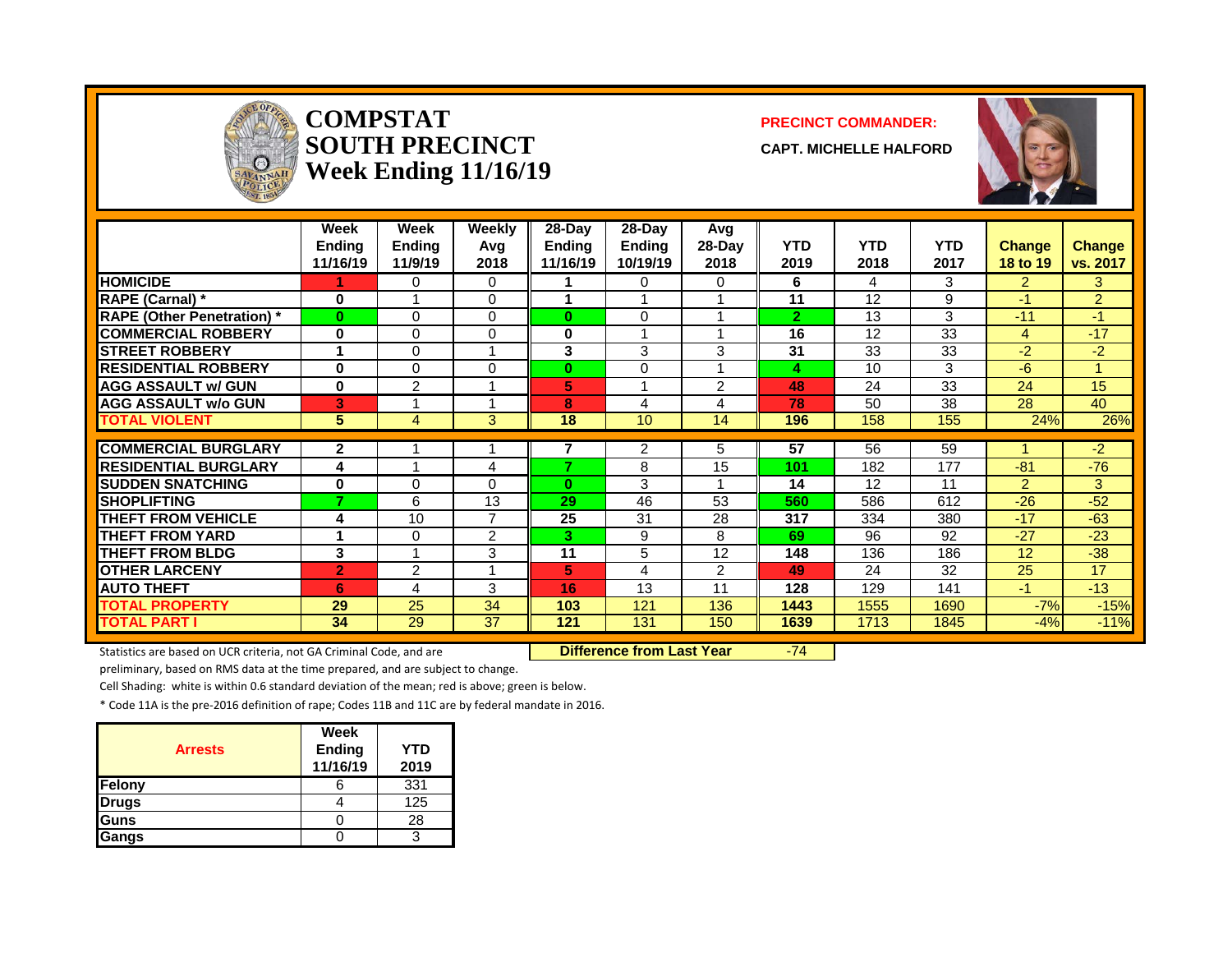

#### **COMPSTAT PRECINCT COMMANDER:**  $\bf \text{SOUTH PRECINCT} \ \text{\footnotesize \text{CAPT}}$ **Week Ending 11/16/19**



|                                   | Week<br><b>Ending</b><br>11/16/19 | Week<br><b>Ending</b><br>11/9/19 | Weekly<br>Avg<br>2018 | $28-Day$<br><b>Ending</b><br>11/16/19 | $28-Day$<br><b>Ending</b><br>10/19/19 | Avg<br>28-Day<br>2018 | <b>YTD</b><br>2019 | <b>YTD</b><br>2018 | <b>YTD</b><br>2017 | <b>Change</b><br><b>18 to 19</b> | <b>Change</b><br>vs. 2017 |
|-----------------------------------|-----------------------------------|----------------------------------|-----------------------|---------------------------------------|---------------------------------------|-----------------------|--------------------|--------------------|--------------------|----------------------------------|---------------------------|
| <b>HOMICIDE</b>                   |                                   | 0                                | $\Omega$              |                                       | 0                                     | 0                     | 6                  | 4                  | 3                  | $\overline{2}$                   | 3                         |
| <b>RAPE (Carnal) *</b>            | 0                                 |                                  | $\Omega$              | 1                                     |                                       |                       | 11                 | 12                 | 9                  | $-1$                             | $\overline{2}$            |
| <b>RAPE (Other Penetration) *</b> | $\bf{0}$                          | $\Omega$                         | $\Omega$              | $\bf{0}$                              | 0                                     |                       | $\overline{2}$     | 13                 | 3                  | $-11$                            | $-1$                      |
| <b>COMMERCIAL ROBBERY</b>         | $\bf{0}$                          | $\Omega$                         | $\Omega$              | 0                                     |                                       |                       | 16                 | 12                 | 33                 | 4                                | $-17$                     |
| <b>STREET ROBBERY</b>             |                                   | $\Omega$                         | 1                     | 3                                     | 3                                     | 3                     | 31                 | 33                 | 33                 | $-2$                             | $-2$                      |
| <b>RESIDENTIAL ROBBERY</b>        | $\bf{0}$                          | $\Omega$                         | 0                     | $\bf{0}$                              | 0                                     |                       | 4                  | 10                 | 3                  | $-6$                             |                           |
| <b>AGG ASSAULT w/ GUN</b>         | 0                                 | $\overline{2}$                   | 1                     | 5                                     |                                       | 2                     | 48                 | 24                 | 33                 | 24                               | 15                        |
| <b>AGG ASSAULT w/o GUN</b>        | В'                                |                                  |                       | 8                                     | 4                                     | 4                     | 78                 | 50                 | 38                 | 28                               | 40                        |
| <b>TOTAL VIOLENT</b>              | 5 <sup>5</sup>                    | 4                                | 3                     | 18                                    | 10                                    | 14                    | 196                | 158                | 155                | 24%                              | 26%                       |
| <b>COMMERCIAL BURGLARY</b>        | $\mathbf{2}$                      |                                  |                       |                                       |                                       |                       | 57                 | 56                 |                    |                                  |                           |
|                                   |                                   |                                  |                       | 7                                     | 2                                     | 5.                    |                    |                    | 59                 |                                  | $-2$                      |
| <b>RESIDENTIAL BURGLARY</b>       | 4                                 |                                  | 4                     |                                       | 8                                     | 15                    | 101                | 182                | 177                | $-81$                            | $-76$                     |
| <b>SUDDEN SNATCHING</b>           | 0                                 | $\Omega$                         | $\Omega$              | 0                                     | 3                                     |                       | 14                 | 12                 | 11                 | $\overline{2}$                   | 3                         |
| <b>SHOPLIFTING</b>                | ⇁                                 | 6                                | 13                    | 29                                    | 46                                    | 53                    | 560                | 586                | 612                | $-26$                            | $-52$                     |
| <b>THEFT FROM VEHICLE</b>         | 4                                 | 10                               | $\overline{7}$        | 25                                    | 31                                    | 28                    | 317                | 334                | 380                | $-17$                            | $-63$                     |
| <b>THEFT FROM YARD</b>            | 4                                 | 0                                | 2                     | 3.                                    | 9                                     | 8                     | 69                 | 96                 | 92                 | $-27$                            | $-23$                     |
| <b>THEFT FROM BLDG</b>            | 3                                 |                                  | 3                     | 11                                    | 5                                     | 12                    | 148                | 136                | 186                | 12                               | $-38$                     |
| <b>OTHER LARCENY</b>              | $\overline{2}$                    | $\overline{2}$                   | 1                     | 5                                     | 4                                     | $\overline{2}$        | 49                 | 24                 | 32                 | 25                               | 17                        |
| <b>AUTO THEFT</b>                 | 6                                 | 4                                | 3                     | 16                                    | 13                                    | 11                    | 128                | 129                | 141                | $-1$                             | $-13$                     |
| <b>TOTAL PROPERTY</b>             | 29                                | 25                               | 34                    | 103                                   | 121                                   | 136                   | 1443               | 1555               | 1690               | $-7%$                            | $-15%$                    |
| <b>TOTAL PART I</b>               | 34                                | $\overline{29}$                  | $\overline{37}$       | 121                                   | 131                                   | 150                   | 1639               | 1713               | 1845               | $-4%$                            | $-11%$                    |

Statistics are based on UCR criteria, not GA Criminal Code, and are **Difference from Last Year** -74

preliminary, based on RMS data at the time prepared, and are subject to change.

Cell Shading: white is within 0.6 standard deviation of the mean; red is above; green is below.

| <b>Arrests</b> | Week<br>Ending<br>11/16/19 | <b>YTD</b><br>2019 |
|----------------|----------------------------|--------------------|
| Felony         |                            | 331                |
| Drugs          |                            | 125                |
| Guns           |                            | 28                 |
| Gangs          |                            |                    |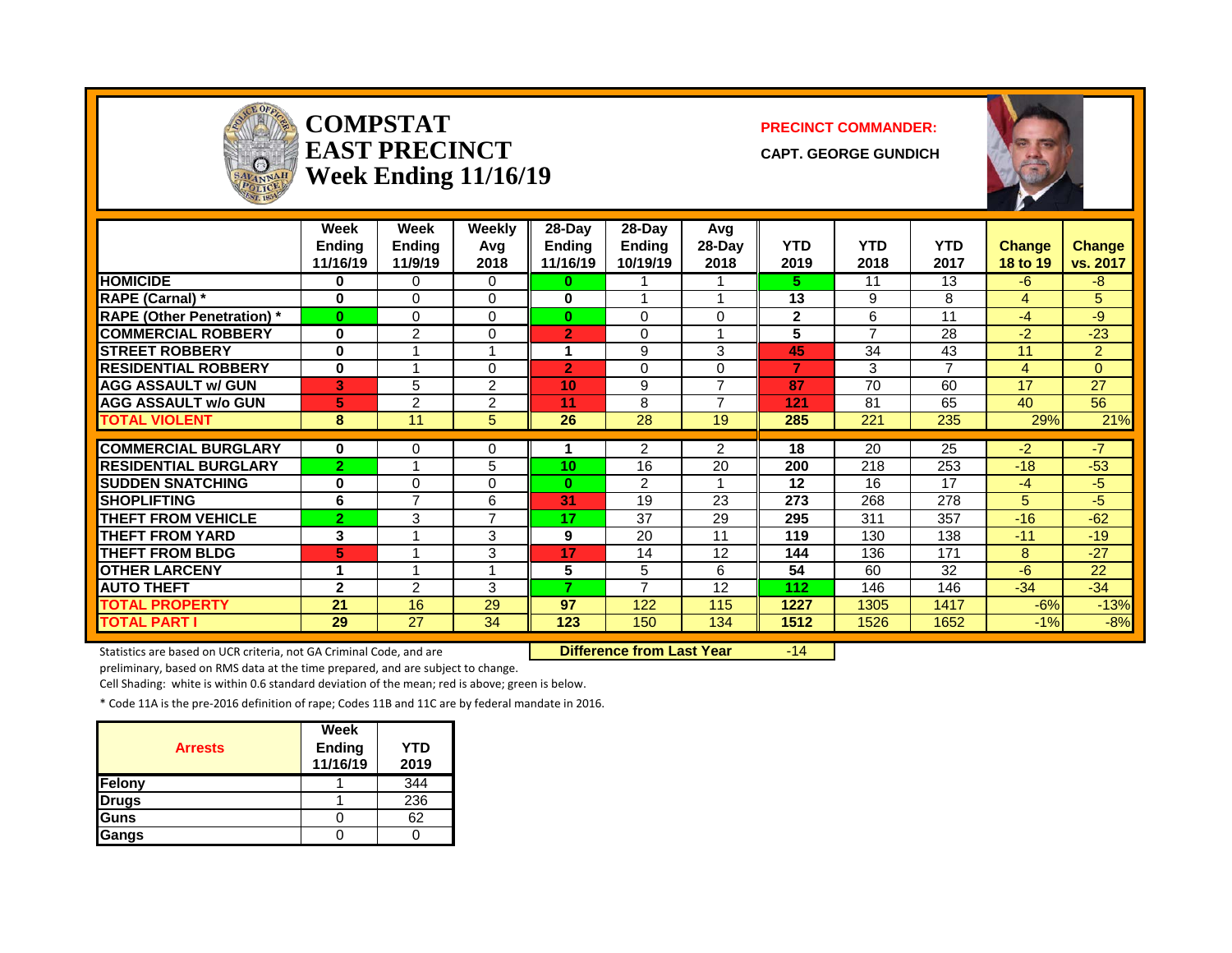

#### **COMPSTAT PRECINCT COMMANDER:**  $\textbf{EAST PRECINCT}$  capt. George gundich **Week Ending 11/16/19**



|                                   | Week<br><b>Ending</b><br>11/16/19 | Week<br>Ending<br>11/9/19 | Weekly<br>Avg<br>2018 | $28$ -Day<br><b>Ending</b><br>11/16/19 | 28-Day<br><b>Ending</b><br>10/19/19 | Avg<br>28-Day<br>2018    | <b>YTD</b><br>2019 | <b>YTD</b><br>2018 | <b>YTD</b><br>2017 | <b>Change</b><br>18 to 19 | <b>Change</b><br>vs. 2017 |
|-----------------------------------|-----------------------------------|---------------------------|-----------------------|----------------------------------------|-------------------------------------|--------------------------|--------------------|--------------------|--------------------|---------------------------|---------------------------|
| <b>HOMICIDE</b>                   | 0                                 | 0                         | 0                     | 0                                      |                                     |                          | 5.                 | 11                 | 13                 | $-6$                      | $-8-$                     |
| <b>RAPE (Carnal)</b> *            | $\bf{0}$                          | $\Omega$                  | $\Omega$              | $\bf{0}$                               |                                     |                          | 13                 | 9                  | 8                  | 4                         | 5                         |
| <b>RAPE (Other Penetration)</b> * | $\bf{0}$                          | 0                         | $\overline{0}$        | $\bf{0}$                               | 0                                   | 0                        | $\mathbf 2$        | 6                  | 11                 | $-4$                      | -9                        |
| <b>COMMERCIAL ROBBERY</b>         | $\bf{0}$                          | 2                         | $\Omega$              | $\overline{2}$                         | $\Omega$                            |                          | 5                  | 7                  | 28                 | $-2$                      | $-23$                     |
| <b>STREET ROBBERY</b>             | $\bf{0}$                          |                           | 1                     |                                        | 9                                   | 3                        | 45                 | 34                 | 43                 | 11                        | $\overline{2}$            |
| <b>RESIDENTIAL ROBBERY</b>        | $\bf{0}$                          |                           | 0                     | $\overline{2}$                         | 0                                   | 0                        | 7                  | 3                  | $\overline{7}$     | 4                         | 0                         |
| <b>AGG ASSAULT w/ GUN</b>         | 3                                 | 5                         | $\overline{2}$        | 10                                     | 9                                   | ⇁                        | 87                 | 70                 | 60                 | 17                        | 27                        |
| <b>AGG ASSAULT w/o GUN</b>        | 5                                 | 2                         | 2                     | 11                                     | 8                                   | $\overline{\phantom{a}}$ | 121                | 81                 | 65                 | 40                        | 56                        |
| <b>TOTAL VIOLENT</b>              | 8                                 | 11                        | 5                     | 26                                     | 28                                  | 19                       | 285                | 221                | 235                | 29%                       | 21%                       |
|                                   |                                   |                           |                       |                                        |                                     |                          |                    |                    |                    |                           |                           |
| <b>COMMERCIAL BURGLARY</b>        | 0                                 | 0                         | 0                     |                                        | 2                                   | $\overline{2}$           | 18                 | 20                 | 25                 | $-2$                      | $-7$                      |
| <b>RESIDENTIAL BURGLARY</b>       | $\overline{2}$                    | 4                         | 5                     | 10                                     | 16                                  | 20                       | 200                | 218                | 253                | $-18$                     | $-53$                     |
| <b>SUDDEN SNATCHING</b>           | $\bf{0}$                          | 0                         | 0                     | 0                                      | 2                                   |                          | 12                 | 16                 | 17                 | $-4$                      | $-5$                      |
| <b>SHOPLIFTING</b>                | 6                                 | $\overline{7}$            | 6                     | 31                                     | 19                                  | 23                       | 273                | 268                | 278                | 5.                        | $-5$                      |
| <b>THEFT FROM VEHICLE</b>         | $\overline{2}$                    | 3                         | 7                     | 17                                     | 37                                  | 29                       | 295                | 311                | 357                | $-16$                     | $-62$                     |
| <b>THEFT FROM YARD</b>            | 3                                 |                           | 3                     | 9                                      | 20                                  | 11                       | 119                | 130                | 138                | $-11$                     | $-19$                     |
| <b>THEFT FROM BLDG</b>            | 5                                 |                           | 3                     | 17                                     | 14                                  | 12                       | 144                | 136                | 171                | 8                         | $-27$                     |
| <b>OTHER LARCENY</b>              | 4                                 | 4                         | 1                     | 5                                      | 5                                   | 6                        | 54                 | 60                 | 32                 | $-6$                      | 22                        |
| <b>AUTO THEFT</b>                 | $\mathbf{2}$                      | 2                         | 3                     | 7                                      | $\overline{ }$                      | 12                       | 112                | 146                | 146                | $-34$                     | $-34$                     |
| <b>TOTAL PROPERTY</b>             | 21                                | 16                        | 29                    | 97                                     | 122                                 | 115                      | 1227               | 1305               | 1417               | $-6%$                     | $-13%$                    |
| <b>TOTAL PART I</b>               | 29                                | 27                        | 34                    | 123                                    | 150                                 | 134                      | 1512               | 1526               | 1652               | $-1%$                     | $-8%$                     |

Statistics are based on UCR criteria, not GA Criminal Code, and are **Difference from Last Year** -14

preliminary, based on RMS data at the time prepared, and are subject to change.

Cell Shading: white is within 0.6 standard deviation of the mean; red is above; green is below.

| <b>Arrests</b> | Week<br>Ending<br>11/16/19 | <b>YTD</b><br>2019 |
|----------------|----------------------------|--------------------|
| <b>Felony</b>  |                            | 344                |
| <b>Drugs</b>   |                            | 236                |
| Guns           |                            | 62                 |
| Gangs          |                            |                    |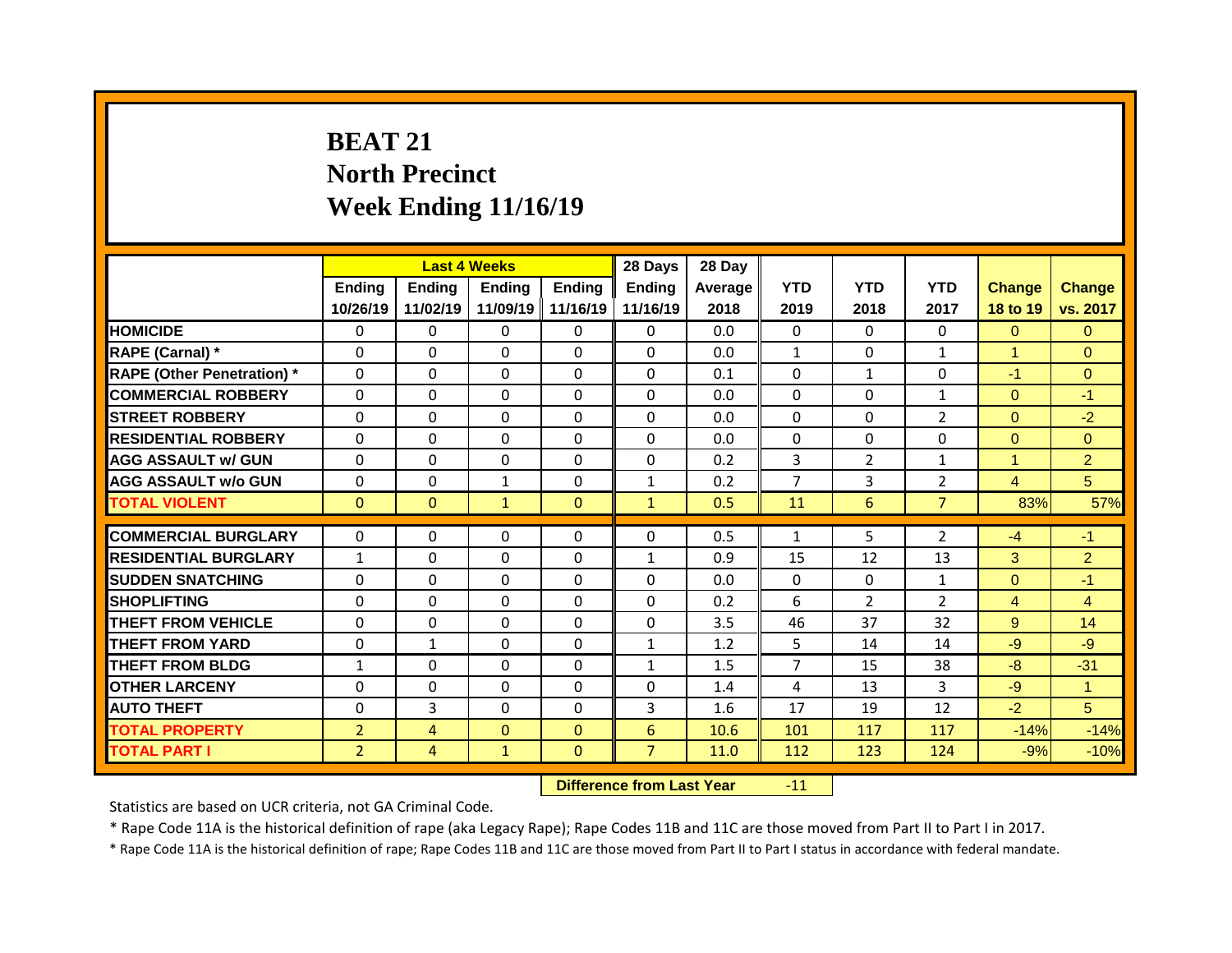## **BEAT 21 North Precinct Week Ending 11/16/19**

|                                                        |                | <b>Last 4 Weeks</b> |                              |               | 28 Days                      | 28 Day     |                    |                |                                |                |                        |
|--------------------------------------------------------|----------------|---------------------|------------------------------|---------------|------------------------------|------------|--------------------|----------------|--------------------------------|----------------|------------------------|
|                                                        | Ending         | Ending              | <b>Ending</b>                | <b>Ending</b> | <b>Ending</b>                | Average    | <b>YTD</b>         | <b>YTD</b>     | <b>YTD</b>                     | <b>Change</b>  | <b>Change</b>          |
|                                                        | 10/26/19       | 11/02/19            | 11/09/19                     | 11/16/19      | 11/16/19                     | 2018       | 2019               | 2018           | 2017                           | 18 to 19       | vs. 2017               |
| <b>HOMICIDE</b>                                        | $\Omega$       | $\Omega$            | $\Omega$                     | $\Omega$      | $\Omega$                     | 0.0        | $\Omega$           | $\Omega$       | 0                              | $\Omega$       | $\Omega$               |
| RAPE (Carnal) *                                        | $\mathbf{0}$   | 0                   | $\Omega$                     | $\Omega$      | $\Omega$                     | 0.0        | $\mathbf{1}$       | $\Omega$       | $\mathbf{1}$                   | $\mathbf{1}$   | $\Omega$               |
| <b>RAPE (Other Penetration) *</b>                      | $\Omega$       | $\Omega$            | $\Omega$                     | $\Omega$      | $\Omega$                     | 0.1        | $\Omega$           | $\mathbf{1}$   | $\Omega$                       | $-1$           | $\Omega$               |
| <b>COMMERCIAL ROBBERY</b>                              | $\Omega$       | $\Omega$            | $\Omega$                     | $\Omega$      | $\Omega$                     | 0.0        | $\Omega$           | $\Omega$       | $\mathbf{1}$                   | $\Omega$       | $-1$                   |
| <b>STREET ROBBERY</b>                                  | $\Omega$       | 0                   | $\Omega$                     | $\Omega$      | $\Omega$                     | 0.0        | $\Omega$           | $\Omega$       | $\overline{2}$                 | $\overline{0}$ | $-2$                   |
| <b>RESIDENTIAL ROBBERY</b>                             | $\Omega$       | $\Omega$            | $\Omega$                     | $\Omega$      | $\Omega$                     | 0.0        | $\Omega$           | $\Omega$       | $\Omega$                       | $\Omega$       | $\Omega$               |
| <b>AGG ASSAULT w/ GUN</b>                              | $\Omega$       | $\Omega$            | $\Omega$                     | $\Omega$      | $\Omega$                     | 0.2        | 3                  | $\overline{2}$ | $\mathbf{1}$                   | $\mathbf{1}$   | $\overline{2}$         |
| <b>AGG ASSAULT w/o GUN</b>                             | 0              | 0                   | $\mathbf{1}$                 | 0             | $\mathbf{1}$                 | 0.2        | $\overline{7}$     | 3              | $\overline{2}$                 | $\overline{4}$ | 5                      |
| <b>TOTAL VIOLENT</b>                                   | $\mathbf{0}$   | $\mathbf{0}$        | $\mathbf{1}$                 | $\mathbf{0}$  | $\mathbf{1}$                 | 0.5        | 11                 | 6              | $\overline{7}$                 | 83%            | 57%                    |
| <b>COMMERCIAL BURGLARY</b>                             | 0              | 0                   | $\mathbf 0$                  | 0             | 0                            | 0.5        | $\mathbf{1}$       | 5              | $\overline{2}$                 | $-4$           | $-1$                   |
|                                                        |                |                     |                              | $\Omega$      |                              |            |                    |                |                                |                |                        |
| <b>RESIDENTIAL BURGLARY</b><br><b>SUDDEN SNATCHING</b> | $\mathbf{1}$   | 0                   | $\mathbf{0}$<br>$\mathbf{0}$ | 0             | $\mathbf{1}$<br>$\mathbf{0}$ | 0.9<br>0.0 | 15<br>$\mathbf{0}$ | 12<br>0        | 13                             | 3              | $\overline{2}$<br>$-1$ |
| <b>SHOPLIFTING</b>                                     | 0<br>0         | 0<br>0              | $\mathbf 0$                  | 0             | 0                            | 0.2        | 6                  | $\overline{2}$ | $\mathbf{1}$<br>$\overline{2}$ | $\overline{0}$ |                        |
|                                                        |                |                     |                              | $\Omega$      |                              |            |                    | 37             | 32                             | 4              | $\overline{4}$         |
| <b>THEFT FROM VEHICLE</b>                              | 0              | $\mathbf 0$         | $\mathbf 0$                  |               | 0                            | 3.5        | 46                 |                |                                | 9              | 14                     |
| <b>THEFT FROM YARD</b>                                 | 0              | $\mathbf{1}$        | $\mathbf 0$                  | $\Omega$      | $\mathbf{1}$                 | 1.2        | 5                  | 14             | 14                             | $-9$           | $-9$                   |
| <b>THEFT FROM BLDG</b>                                 | 1              | 0                   | $\mathbf 0$                  | 0             | $\mathbf{1}$                 | 1.5        | $\overline{7}$     | 15             | 38                             | $-8$           | $-31$                  |
| <b>OTHER LARCENY</b>                                   | 0              | 0                   | $\mathbf 0$                  | $\Omega$      | 0                            | 1.4        | 4                  | 13             | 3                              | $-9$           | $\blacktriangleleft$   |
| <b>AUTO THEFT</b>                                      | 0              | 3                   | $\mathbf 0$                  | $\Omega$      | 3                            | 1.6        | 17                 | 19             | 12                             | $-2$           | 5                      |
| <b>TOTAL PROPERTY</b>                                  | $\overline{2}$ | 4                   | $\mathbf{0}$                 | $\mathbf{0}$  | 6                            | 10.6       | 101                | 117            | 117                            | $-14%$         | $-14%$                 |
| <b>TOTAL PART I</b>                                    | $\overline{2}$ | 4                   | $\mathbf{1}$                 | $\Omega$      | $\overline{7}$               | 11.0       | 112                | 123            | 124                            | $-9%$          | $-10%$                 |
|                                                        |                |                     |                              |               |                              |            |                    |                |                                |                |                        |

**Difference from Last Year** -11

Statistics are based on UCR criteria, not GA Criminal Code.

\* Rape Code 11A is the historical definition of rape (aka Legacy Rape); Rape Codes 11B and 11C are those moved from Part II to Part I in 2017.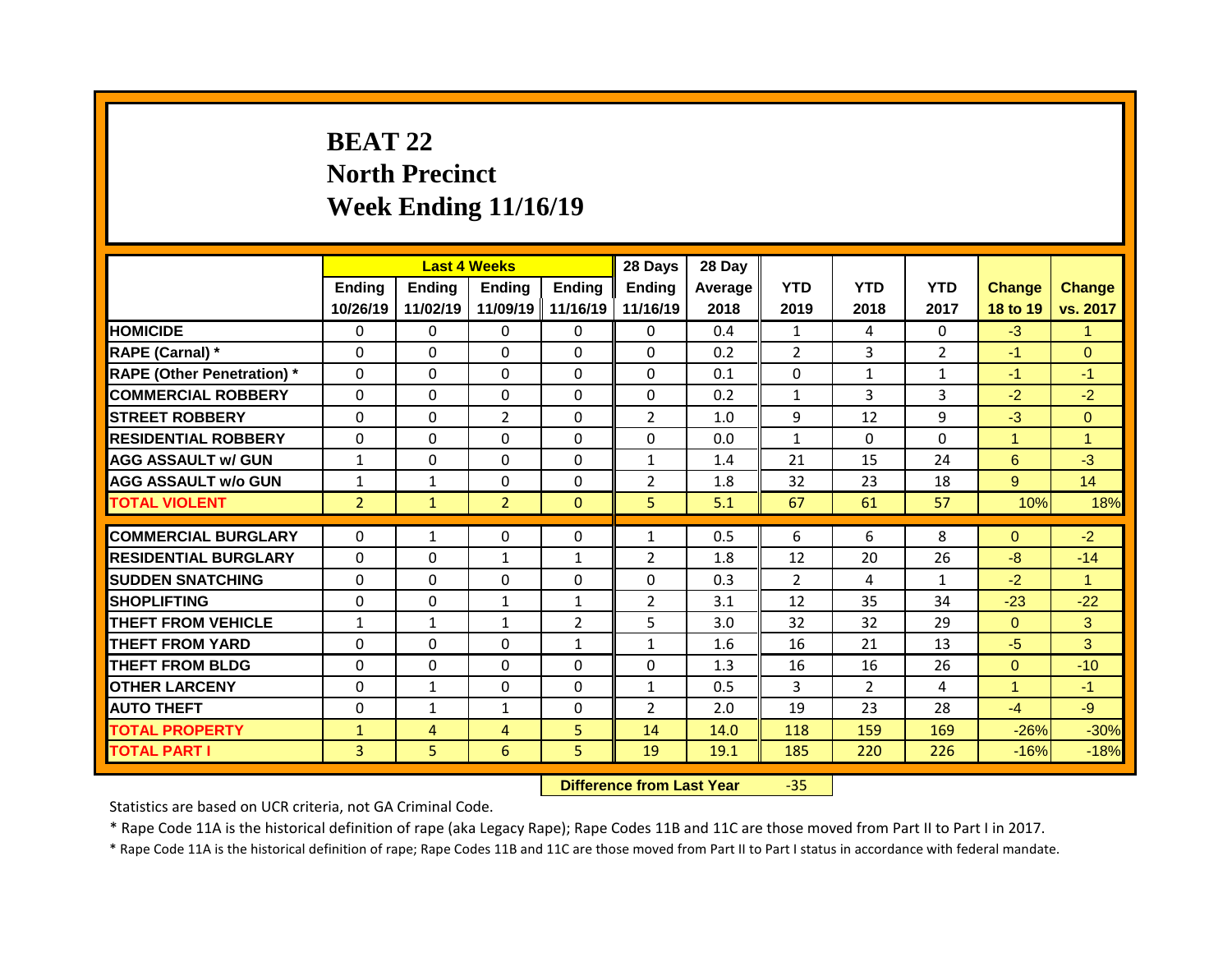## **BEAT 22 North Precinct Week Ending 11/16/19**

|                                   |                |                | <b>Last 4 Weeks</b> |                | 28 Days        | 28 Day  |                |                |                |               |                      |
|-----------------------------------|----------------|----------------|---------------------|----------------|----------------|---------|----------------|----------------|----------------|---------------|----------------------|
|                                   | Ending         | <b>Ending</b>  | <b>Ending</b>       | <b>Ending</b>  | <b>Ending</b>  | Average | <b>YTD</b>     | <b>YTD</b>     | <b>YTD</b>     | <b>Change</b> | <b>Change</b>        |
|                                   | 10/26/19       | 11/02/19       | 11/09/19            | 11/16/19       | 11/16/19       | 2018    | 2019           | 2018           | 2017           | 18 to 19      | vs. 2017             |
| <b>HOMICIDE</b>                   | $\Omega$       | $\Omega$       | $\Omega$            | $\Omega$       | $\Omega$       | 0.4     | $\mathbf{1}$   | 4              | 0              | $-3$          | $\blacktriangleleft$ |
| RAPE (Carnal) *                   | $\mathbf{0}$   | 0              | $\Omega$            | $\Omega$       | $\Omega$       | 0.2     | $\overline{2}$ | 3              | $\overline{2}$ | $-1$          | $\Omega$             |
| <b>RAPE (Other Penetration)</b> * | 0              | 0              | $\Omega$            | $\Omega$       | $\Omega$       | 0.1     | $\mathbf{0}$   | $\mathbf{1}$   | $\mathbf{1}$   | $-1$          | $-1$                 |
| <b>COMMERCIAL ROBBERY</b>         | 0              | $\Omega$       | $\Omega$            | $\Omega$       | $\Omega$       | 0.2     | $\mathbf{1}$   | 3              | $\overline{3}$ | $-2$          | $-2$                 |
| <b>STREET ROBBERY</b>             | 0              | 0              | $\overline{2}$      | $\Omega$       | $\overline{2}$ | 1.0     | 9              | 12             | 9              | $-3$          | $\Omega$             |
| <b>RESIDENTIAL ROBBERY</b>        | 0              | $\Omega$       | $\Omega$            | $\Omega$       | $\Omega$       | 0.0     | $\mathbf{1}$   | $\Omega$       | $\Omega$       | $\mathbf{1}$  | 1                    |
| <b>AGG ASSAULT w/ GUN</b>         | $\mathbf{1}$   | $\mathbf 0$    | $\mathbf 0$         | $\Omega$       | $\mathbf{1}$   | 1.4     | 21             | 15             | 24             | $6^{\circ}$   | $-3$                 |
| <b>AGG ASSAULT W/o GUN</b>        | $\mathbf{1}$   | $\mathbf{1}$   | $\mathbf 0$         | $\Omega$       | $\overline{2}$ | 1.8     | 32             | 23             | 18             | 9             | 14                   |
| <b>TOTAL VIOLENT</b>              | $\overline{2}$ | $\mathbf{1}$   | $\overline{2}$      | $\Omega$       | 5 <sup>1</sup> | 5.1     | 67             | 61             | 57             | 10%           | 18%                  |
|                                   |                |                |                     |                |                |         |                |                |                |               |                      |
|                                   |                |                |                     |                |                |         |                |                |                |               |                      |
| <b>COMMERCIAL BURGLARY</b>        | 0              | $\mathbf{1}$   | $\Omega$            | $\Omega$       | $\mathbf{1}$   | 0.5     | 6              | 6              | 8              | $\Omega$      | $-2$                 |
| <b>RESIDENTIAL BURGLARY</b>       | 0              | 0              | $\mathbf{1}$        | $\mathbf{1}$   | $\overline{2}$ | 1.8     | 12             | 20             | 26             | $-8$          | $-14$                |
| <b>SUDDEN SNATCHING</b>           | $\mathbf{0}$   | $\Omega$       | $\mathbf{0}$        | $\Omega$       | $\Omega$       | 0.3     | $\overline{2}$ | 4              | $\mathbf{1}$   | $-2$          | $\mathbf{1}$         |
| <b>SHOPLIFTING</b>                | 0              | 0              | $\mathbf{1}$        | $\mathbf{1}$   | $\overline{2}$ | 3.1     | 12             | 35             | 34             | $-23$         | $-22$                |
| <b>THEFT FROM VEHICLE</b>         | $\mathbf{1}$   | $\mathbf{1}$   | $\mathbf{1}$        | $\overline{2}$ | 5              | 3.0     | 32             | 32             | 29             | $\Omega$      | 3                    |
| <b>THEFT FROM YARD</b>            | $\Omega$       | $\Omega$       | $\Omega$            | $\mathbf{1}$   | $\mathbf{1}$   | 1.6     | 16             | 21             | 13             | $-5$          | 3                    |
| <b>THEFT FROM BLDG</b>            | $\Omega$       | $\Omega$       | $\Omega$            | $\Omega$       | $\Omega$       | 1.3     | 16             | 16             | 26             | $\Omega$      | $-10$                |
| <b>OTHER LARCENY</b>              | 0              | $\mathbf{1}$   | $\Omega$            | $\Omega$       | $\mathbf{1}$   | 0.5     | 3              | $\overline{2}$ | 4              | $\mathbf{1}$  | $-1$                 |
| <b>AUTO THEFT</b>                 | 0              | $\mathbf{1}$   | $\mathbf{1}$        | $\Omega$       | $\overline{2}$ | 2.0     | 19             | 23             | 28             | $-4$          | $-9$                 |
| <b>TOTAL PROPERTY</b>             | $\mathbf{1}$   | $\overline{4}$ | 4                   | 5              | 14             | 14.0    | 118            | 159            | 169            | $-26%$        | $-30%$               |
| <b>TOTAL PART I</b>               | 3              | 5              | 6                   | 5              | 19             | 19.1    | 185            | 220            | 226            | $-16%$        | $-18%$               |

**Difference from Last Year** -35

Statistics are based on UCR criteria, not GA Criminal Code.

\* Rape Code 11A is the historical definition of rape (aka Legacy Rape); Rape Codes 11B and 11C are those moved from Part II to Part I in 2017.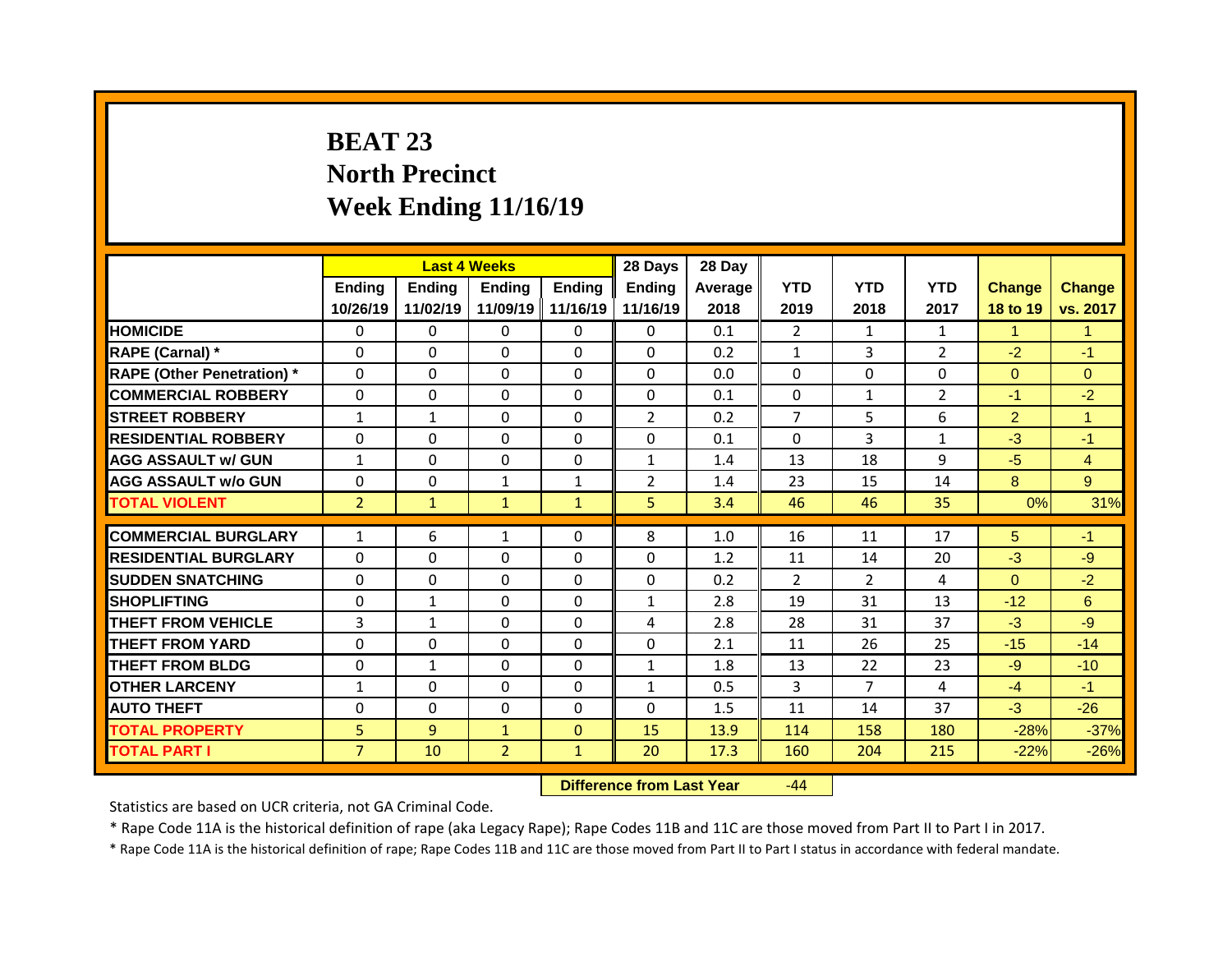## **BEAT 23 North Precinct Week Ending 11/16/19**

|                                   |                |               | <b>Last 4 Weeks</b> |               | 28 Days        | 28 Day  |                |                |                |                |                |
|-----------------------------------|----------------|---------------|---------------------|---------------|----------------|---------|----------------|----------------|----------------|----------------|----------------|
|                                   | <b>Ending</b>  | <b>Ending</b> | <b>Ending</b>       | <b>Ending</b> | <b>Ending</b>  | Average | <b>YTD</b>     | <b>YTD</b>     | <b>YTD</b>     | <b>Change</b>  | <b>Change</b>  |
|                                   | 10/26/19       | 11/02/19      | 11/09/19 11/16/19   |               | 11/16/19       | 2018    | 2019           | 2018           | 2017           | 18 to 19       | vs. 2017       |
| <b>HOMICIDE</b>                   | $\mathbf{0}$   | 0             | $\Omega$            | $\mathbf{0}$  | $\mathbf{0}$   | 0.1     | $\overline{2}$ | $\mathbf{1}$   | $\mathbf{1}$   | $\mathbf{1}$   | $\mathbf{1}$   |
| <b>RAPE (Carnal) *</b>            | $\mathbf{0}$   | $\Omega$      | $\Omega$            | $\Omega$      | $\Omega$       | 0.2     | $\mathbf{1}$   | 3              | $\overline{2}$ | $-2$           | $-1$           |
| <b>RAPE (Other Penetration)</b> * | $\mathbf 0$    | 0             | $\Omega$            | $\Omega$      | $\Omega$       | 0.0     | $\Omega$       | $\Omega$       | $\Omega$       | $\overline{0}$ | $\Omega$       |
| <b>COMMERCIAL ROBBERY</b>         | $\mathbf 0$    | 0             | 0                   | 0             | 0              | 0.1     | 0              | $\mathbf{1}$   | $\overline{2}$ | $-1$           | $-2$           |
| <b>STREET ROBBERY</b>             | $\mathbf{1}$   | $\mathbf{1}$  | 0                   | 0             | $\overline{2}$ | 0.2     | $\overline{7}$ | 5              | 6              | $\overline{2}$ | $\mathbf{1}$   |
| <b>RESIDENTIAL ROBBERY</b>        | $\mathbf{0}$   | 0             | 0                   | 0             | 0              | 0.1     | $\mathbf{0}$   | 3              | $\mathbf{1}$   | $-3$           | $-1$           |
| <b>AGG ASSAULT w/ GUN</b>         | $\mathbf{1}$   | 0             | 0                   | 0             | $\mathbf{1}$   | 1.4     | 13             | 18             | 9              | $-5$           | $\overline{4}$ |
| <b>AGG ASSAULT W/o GUN</b>        | 0              | 0             | $\mathbf{1}$        | $\mathbf{1}$  | $\overline{2}$ | 1.4     | 23             | 15             | 14             | 8              | 9              |
| <b>TOTAL VIOLENT</b>              | $\overline{2}$ | $\mathbf{1}$  | $\mathbf{1}$        | $\mathbf{1}$  | 5              | 3.4     | 46             | 46             | 35             | 0%             | 31%            |
|                                   |                |               |                     |               |                |         |                |                |                |                |                |
| <b>COMMERCIAL BURGLARY</b>        | $\mathbf{1}$   | 6             | $\mathbf{1}$        | $\Omega$      | 8              | 1.0     | 16             | 11             | 17             | 5              | $-1$           |
| <b>RESIDENTIAL BURGLARY</b>       | $\Omega$       | 0             | $\Omega$            | $\Omega$      | $\Omega$       | 1.2     | 11             | 14             | 20             | $-3$           | $-9$           |
| <b>SUDDEN SNATCHING</b>           | 0              | 0             | 0                   | 0             | 0              | 0.2     | $\overline{2}$ | $\overline{2}$ | 4              | $\overline{0}$ | $-2$           |
| <b>SHOPLIFTING</b>                | $\mathbf 0$    | $\mathbf{1}$  | 0                   | $\Omega$      | $\mathbf{1}$   | 2.8     | 19             | 31             | 13             | $-12$          | 6              |
| <b>THEFT FROM VEHICLE</b>         | $\overline{3}$ | $\mathbf{1}$  | $\Omega$            | $\Omega$      | 4              | 2.8     | 28             | 31             | 37             | $-3$           | $-9$           |
| <b>THEFT FROM YARD</b>            | $\mathbf 0$    | 0             | 0                   | $\Omega$      | 0              | 2.1     | 11             | 26             | 25             | $-15$          | $-14$          |
| <b>THEFT FROM BLDG</b>            | 0              | $\mathbf{1}$  | $\Omega$            | $\mathbf{0}$  | $\mathbf{1}$   | 1.8     | 13             | 22             | 23             | $-9$           | $-10$          |
| <b>OTHER LARCENY</b>              | $\mathbf{1}$   | 0             | 0                   | 0             | $\mathbf{1}$   | 0.5     | 3              | $\overline{7}$ | 4              | $-4$           | $-1$           |
| <b>AUTO THEFT</b>                 | 0              | 0             | 0                   | 0             | $\Omega$       | 1.5     | 11             | 14             | 37             | $-3$           | $-26$          |
| <b>TOTAL PROPERTY</b>             | 5              | 9             | $\mathbf{1}$        | $\mathbf{0}$  | 15             | 13.9    | 114            | 158            | 180            | $-28%$         | $-37%$         |
| <b>TOTAL PART I</b>               | $\overline{7}$ | 10            | $\overline{2}$      | $\mathbf{1}$  | 20             | 17.3    | 160            | 204            | 215            | $-22%$         | $-26%$         |

**Difference from Last Year** -44

Statistics are based on UCR criteria, not GA Criminal Code.

\* Rape Code 11A is the historical definition of rape (aka Legacy Rape); Rape Codes 11B and 11C are those moved from Part II to Part I in 2017.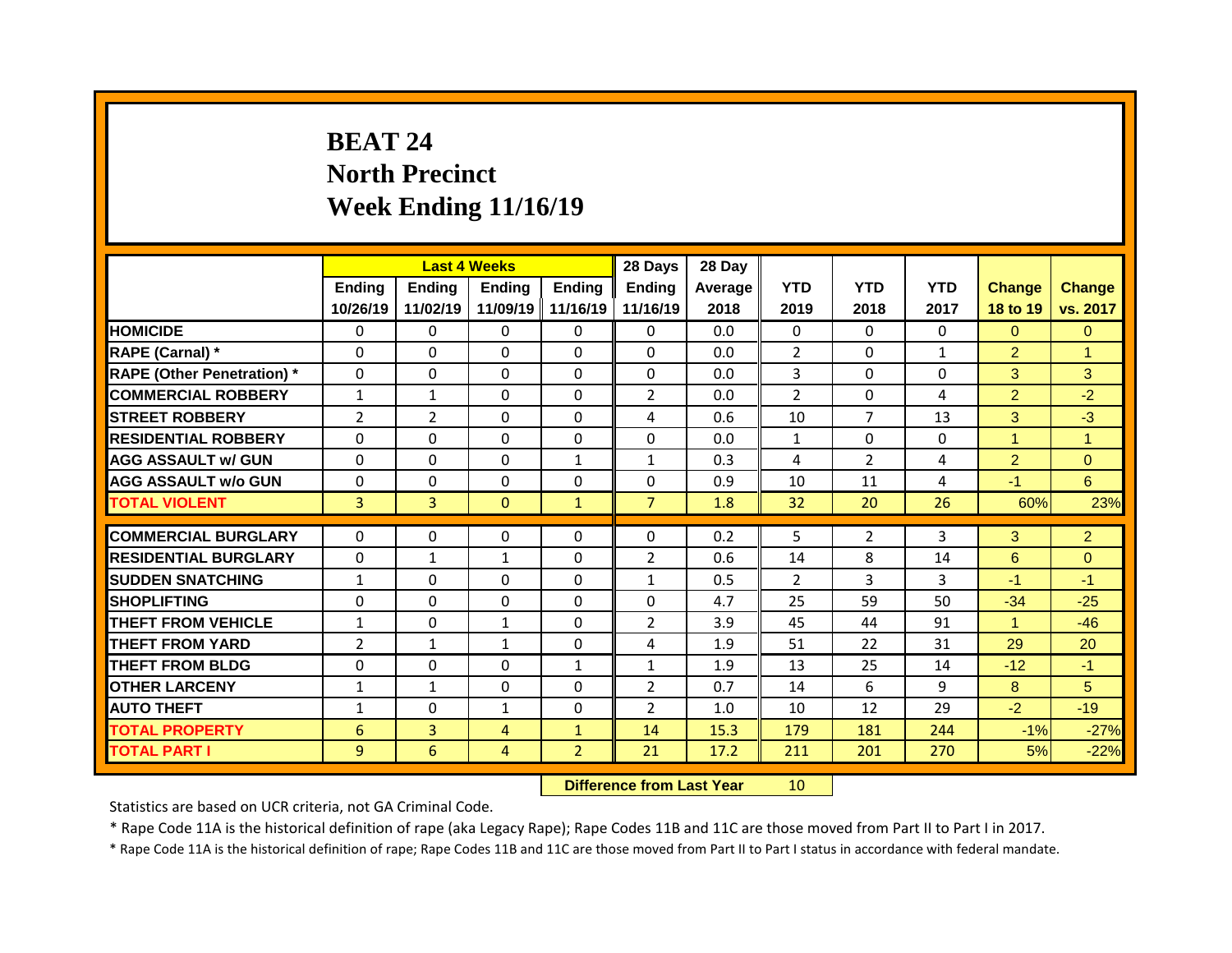## **BEAT 24 North Precinct Week Ending 11/16/19**

|                                   |                | <b>Last 4 Weeks</b> |                |              | 28 Days        | 28 Day  |                |                |              |                |                |
|-----------------------------------|----------------|---------------------|----------------|--------------|----------------|---------|----------------|----------------|--------------|----------------|----------------|
|                                   | Ending         | <b>Ending</b>       | <b>Ending</b>  | Ending       | <b>Ending</b>  | Average | <b>YTD</b>     | <b>YTD</b>     | <b>YTD</b>   | <b>Change</b>  | <b>Change</b>  |
|                                   | 10/26/19       | 11/02/19            | 11/09/19       | 11/16/19     | 11/16/19       | 2018    | 2019           | 2018           | 2017         | 18 to 19       | vs. 2017       |
| <b>HOMICIDE</b>                   | 0              | $\Omega$            | $\Omega$       | $\Omega$     | $\Omega$       | 0.0     | $\Omega$       | $\Omega$       | $\Omega$     | $\Omega$       | $\Omega$       |
| RAPE (Carnal) *                   | $\mathbf{0}$   | 0                   | 0              | $\Omega$     | $\Omega$       | 0.0     | $\overline{2}$ | $\Omega$       | $\mathbf{1}$ | $\overline{2}$ | $\overline{1}$ |
| <b>RAPE (Other Penetration)</b> * | $\mathbf{0}$   | 0                   | $\Omega$       | $\Omega$     | $\Omega$       | 0.0     | 3              | $\Omega$       | $\Omega$     | 3              | 3              |
| <b>COMMERCIAL ROBBERY</b>         | $\mathbf{1}$   | $\mathbf{1}$        | $\Omega$       | $\Omega$     | $\overline{2}$ | 0.0     | $\overline{2}$ | $\Omega$       | 4            | $\overline{2}$ | $-2$           |
| <b>STREET ROBBERY</b>             | $\overline{2}$ | $\overline{2}$      | $\Omega$       | $\Omega$     | 4              | 0.6     | 10             | $\overline{7}$ | 13           | 3              | $-3$           |
| <b>RESIDENTIAL ROBBERY</b>        | $\Omega$       | $\Omega$            | $\Omega$       | $\Omega$     | $\Omega$       | 0.0     | $\mathbf{1}$   | $\Omega$       | $\Omega$     | $\mathbf{1}$   | $\mathbf{1}$   |
| <b>AGG ASSAULT w/ GUN</b>         | $\mathbf 0$    | 0                   | 0              | $\mathbf{1}$ | $\mathbf{1}$   | 0.3     | 4              | $\overline{2}$ | 4            | $\overline{2}$ | $\overline{0}$ |
| <b>AGG ASSAULT W/o GUN</b>        | $\mathbf 0$    | 0                   | 0              | 0            | 0              | 0.9     | 10             | 11             | 4            | $-1$           | 6 <sup>1</sup> |
| <b>TOTAL VIOLENT</b>              | $\overline{3}$ | $\overline{3}$      | $\mathbf{0}$   | $\mathbf{1}$ | $\overline{7}$ | 1.8     | 32             | 20             | 26           | 60%            | 23%            |
|                                   |                |                     |                |              |                |         |                |                |              |                |                |
| <b>COMMERCIAL BURGLARY</b>        | $\mathbf{0}$   | $\Omega$            | 0              | $\Omega$     | $\Omega$       | 0.2     | 5              | $\overline{2}$ | 3            | 3              | $\overline{2}$ |
| <b>RESIDENTIAL BURGLARY</b>       | 0              | $\mathbf{1}$        | $\mathbf{1}$   | $\Omega$     | $\overline{2}$ | 0.6     | 14             | 8              | 14           | 6              | $\Omega$       |
| <b>SUDDEN SNATCHING</b>           | $\mathbf{1}$   | $\Omega$            | $\Omega$       | $\Omega$     | $\mathbf{1}$   | 0.5     | 2              | 3              | 3            | $-1$           | $-1$           |
| <b>SHOPLIFTING</b>                | 0              | 0                   | 0              | 0            | 0              | 4.7     | 25             | 59             | 50           | $-34$          | $-25$          |
| <b>THEFT FROM VEHICLE</b>         | $\mathbf{1}$   | $\Omega$            | $\mathbf{1}$   | $\Omega$     | $\overline{2}$ | 3.9     | 45             | 44             | 91           | $\mathbf{1}$   | $-46$          |
| <b>THEFT FROM YARD</b>            | $\overline{2}$ | $\mathbf{1}$        | $\mathbf{1}$   | $\Omega$     | 4              | 1.9     | 51             | 22             | 31           | 29             | 20             |
| <b>THEFT FROM BLDG</b>            | $\mathbf{0}$   | $\Omega$            | $\Omega$       | $\mathbf{1}$ | $\mathbf{1}$   | 1.9     | 13             | 25             | 14           | $-12$          | $-1$           |
| <b>OTHER LARCENY</b>              | $\mathbf{1}$   | $\mathbf{1}$        | $\Omega$       | $\Omega$     | $\overline{2}$ | 0.7     | 14             | 6              | 9            | 8              | 5              |
| <b>AUTO THEFT</b>                 | $\mathbf{1}$   | 0                   | $\mathbf{1}$   | 0            | $\overline{2}$ | 1.0     | 10             | 12             | 29           | $-2$           | $-19$          |
|                                   |                |                     |                |              |                |         |                | 181            |              |                |                |
| <b>TOTAL PROPERTY</b>             | 6              | $\overline{3}$      | $\overline{4}$ | $\mathbf{1}$ | 14             | 15.3    | 179            |                | 244          | $-1%$          | $-27%$         |

**Difference from Last Year** 10

Statistics are based on UCR criteria, not GA Criminal Code.

\* Rape Code 11A is the historical definition of rape (aka Legacy Rape); Rape Codes 11B and 11C are those moved from Part II to Part I in 2017.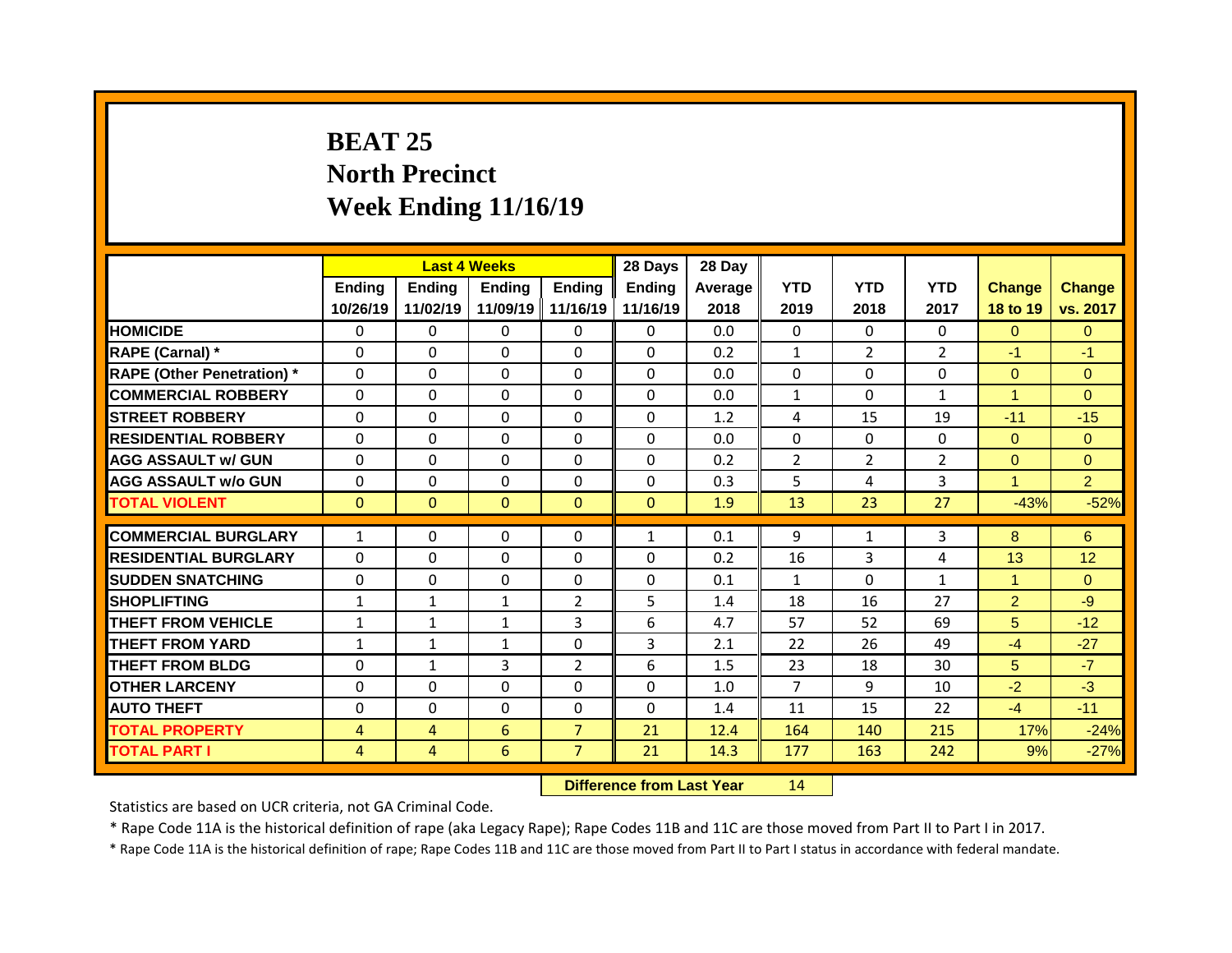## **BEAT 25 North Precinct Week Ending 11/16/19**

|                                   |                |                | <b>Last 4 Weeks</b> |                | 28 Days        | 28 Day  |                |                |                |                |                |
|-----------------------------------|----------------|----------------|---------------------|----------------|----------------|---------|----------------|----------------|----------------|----------------|----------------|
|                                   | Ending         | <b>Ending</b>  | <b>Ending</b>       | Ending         | <b>Ending</b>  | Average | <b>YTD</b>     | <b>YTD</b>     | <b>YTD</b>     | <b>Change</b>  | <b>Change</b>  |
|                                   | 10/26/19       | 11/02/19       | 11/09/19            | 11/16/19       | 11/16/19       | 2018    | 2019           | 2018           | 2017           | 18 to 19       | vs. 2017       |
| <b>HOMICIDE</b>                   | $\Omega$       | 0              | $\Omega$            | $\Omega$       | $\Omega$       | 0.0     | $\Omega$       | $\Omega$       | $\Omega$       | $\Omega$       | $\Omega$       |
| RAPE (Carnal) *                   | $\mathbf{0}$   | 0              | 0                   | $\Omega$       | $\Omega$       | 0.2     | $\mathbf{1}$   | $\overline{2}$ | $\overline{2}$ | $-1$           | $-1$           |
| <b>RAPE (Other Penetration)</b> * | $\mathbf{0}$   | 0              | $\Omega$            | $\Omega$       | $\Omega$       | 0.0     | $\Omega$       | $\Omega$       | $\Omega$       | $\overline{0}$ | $\Omega$       |
| <b>COMMERCIAL ROBBERY</b>         | $\mathbf 0$    | $\Omega$       | $\Omega$            | $\Omega$       | $\Omega$       | 0.0     | $\mathbf{1}$   | $\Omega$       | $\mathbf{1}$   | $\mathbf{1}$   | $\Omega$       |
| <b>STREET ROBBERY</b>             | $\mathbf{0}$   | 0              | $\Omega$            | $\Omega$       | 0              | 1.2     | 4              | 15             | 19             | $-11$          | $-15$          |
| <b>RESIDENTIAL ROBBERY</b>        | $\Omega$       | $\Omega$       | $\Omega$            | $\Omega$       | $\Omega$       | 0.0     | $\Omega$       | $\Omega$       | $\Omega$       | $\Omega$       | $\Omega$       |
| <b>AGG ASSAULT w/ GUN</b>         | $\mathbf 0$    | 0              | 0                   | 0              | 0              | 0.2     | $\overline{2}$ | $\overline{2}$ | $\overline{2}$ | $\overline{0}$ | $\overline{0}$ |
| <b>AGG ASSAULT W/o GUN</b>        | $\mathbf 0$    | 0              | 0                   | $\Omega$       | 0              | 0.3     | 5              | 4              | $\overline{3}$ | $\mathbf{1}$   | $\overline{2}$ |
| <b>TOTAL VIOLENT</b>              | $\mathbf{0}$   | $\overline{0}$ | $\mathbf{0}$        | $\mathbf{0}$   | $\overline{0}$ | 1.9     | 13             | 23             | 27             | $-43%$         | $-52%$         |
|                                   |                |                |                     |                |                |         |                |                |                |                |                |
| <b>COMMERCIAL BURGLARY</b>        | $\mathbf{1}$   | $\Omega$       | $\Omega$            | $\Omega$       | $\mathbf{1}$   | 0.1     | 9              | $\mathbf{1}$   | 3              | 8              | 6              |
| <b>RESIDENTIAL BURGLARY</b>       | 0              | 0              | 0                   | $\Omega$       | 0              | 0.2     | 16             | 3              | 4              | 13             | 12             |
| <b>SUDDEN SNATCHING</b>           | $\mathbf{0}$   | $\Omega$       | 0                   | $\Omega$       | 0              | 0.1     | $\mathbf{1}$   | $\Omega$       | $\mathbf{1}$   | $\mathbf{1}$   | $\Omega$       |
| <b>SHOPLIFTING</b>                |                |                |                     |                |                |         |                |                |                |                |                |
|                                   | $\mathbf{1}$   | $\mathbf{1}$   | $\mathbf{1}$        | 2              | 5              | 1.4     | 18             | 16             | 27             | $\overline{2}$ | $-9$           |
| <b>THEFT FROM VEHICLE</b>         | $\mathbf{1}$   | $\mathbf{1}$   | $\mathbf{1}$        | 3              | 6              | 4.7     | 57             | 52             | 69             | 5 <sup>5</sup> | $-12$          |
| <b>THEFT FROM YARD</b>            | $\mathbf{1}$   | $\mathbf{1}$   | $\mathbf{1}$        | $\Omega$       | $\overline{3}$ | 2.1     | 22             | 26             | 49             | $-4$           | $-27$          |
| <b>THEFT FROM BLDG</b>            | $\mathbf{0}$   | $\mathbf{1}$   | 3                   | $\overline{2}$ | 6              | 1.5     | 23             | 18             | 30             | 5              | $-7$           |
| <b>OTHER LARCENY</b>              | $\mathbf{0}$   | 0              | $\Omega$            | $\Omega$       | $\Omega$       | 1.0     | $\overline{7}$ | 9              | 10             | $-2$           | $-3$           |
| <b>AUTO THEFT</b>                 | $\mathbf 0$    | 0              | 0                   | 0              | $\Omega$       | 1.4     | 11             | 15             | 22             | $-4$           | $-11$          |
| <b>TOTAL PROPERTY</b>             | $\overline{4}$ | $\overline{4}$ | 6                   | $\overline{7}$ | 21             | 12.4    | 164            | 140            | 215            | 17%            | $-24%$         |

**Difference from Last Year** 14

Statistics are based on UCR criteria, not GA Criminal Code.

\* Rape Code 11A is the historical definition of rape (aka Legacy Rape); Rape Codes 11B and 11C are those moved from Part II to Part I in 2017.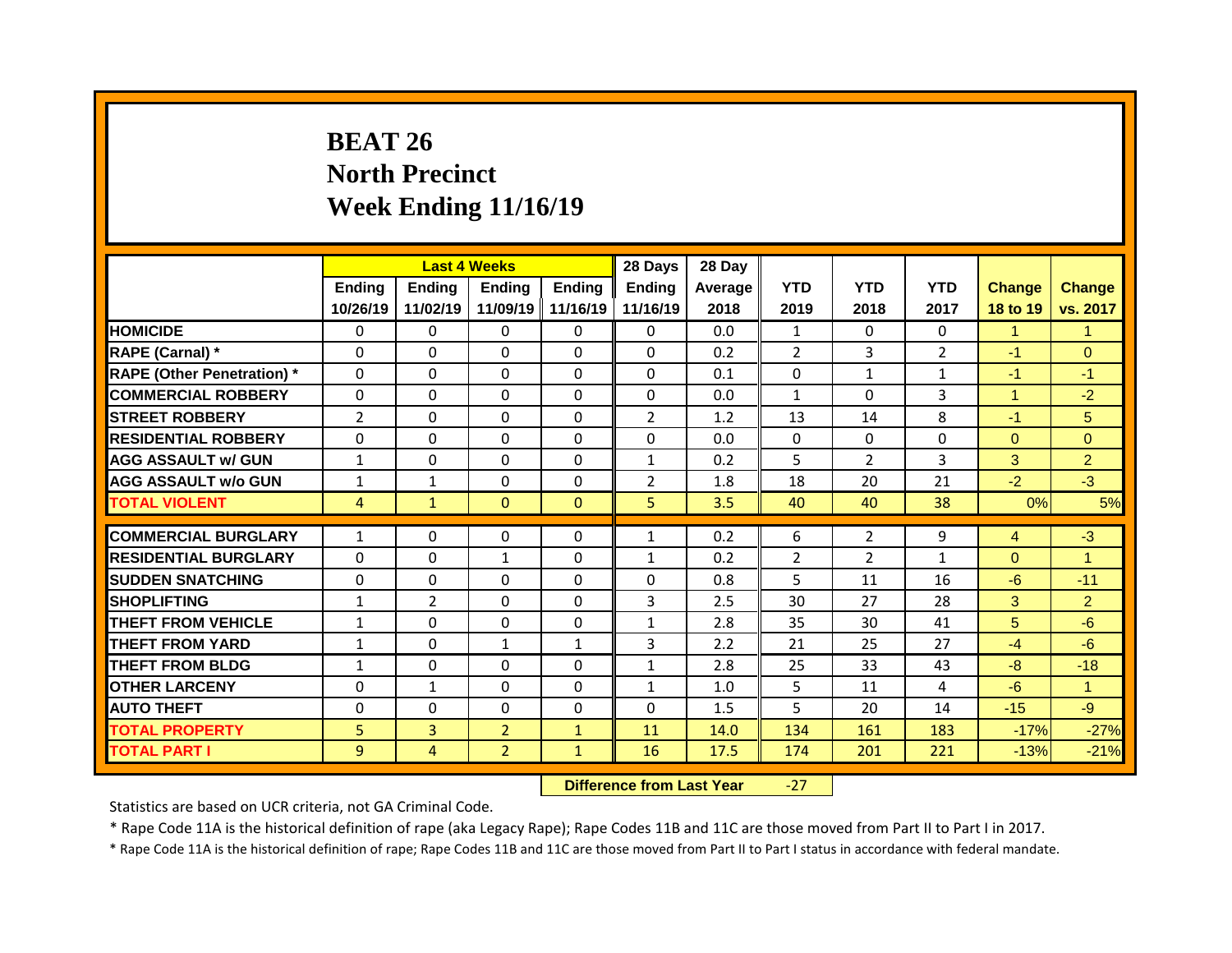## **BEAT 26 North Precinct Week Ending 11/16/19**

|                                   |                |                | <b>Last 4 Weeks</b> |               | 28 Days                  | 28 Day  |                |                |                |               |                      |
|-----------------------------------|----------------|----------------|---------------------|---------------|--------------------------|---------|----------------|----------------|----------------|---------------|----------------------|
|                                   | Ending         | <b>Ending</b>  | <b>Ending</b>       | <b>Ending</b> | <b>Ending</b>            | Average | <b>YTD</b>     | <b>YTD</b>     | <b>YTD</b>     | <b>Change</b> | Change               |
|                                   | 10/26/19       | 11/02/19       | 11/09/19            | 11/16/19      | 11/16/19                 | 2018    | 2019           | 2018           | 2017           | 18 to 19      | vs. 2017             |
| <b>HOMICIDE</b>                   | $\Omega$       | $\Omega$       | $\Omega$            | $\Omega$      | $\Omega$                 | 0.0     | $\mathbf{1}$   | $\Omega$       | 0              | $\mathbf{1}$  | $\blacktriangleleft$ |
| RAPE (Carnal) *                   | 0              | 0              | $\Omega$            | $\Omega$      | $\Omega$                 | 0.2     | $\overline{2}$ | $\overline{3}$ | $\overline{2}$ | $-1$          | $\Omega$             |
| <b>RAPE (Other Penetration)</b> * | 0              | $\Omega$       | $\Omega$            | $\Omega$      | $\Omega$                 | 0.1     | $\mathbf{0}$   | $\mathbf{1}$   | $\mathbf{1}$   | $-1$          | $-1$                 |
| <b>COMMERCIAL ROBBERY</b>         | 0              | 0              | $\mathbf 0$         | $\Omega$      | 0                        | 0.0     | $\mathbf{1}$   | $\Omega$       | 3              | $\mathbf{1}$  | $-2$                 |
| <b>STREET ROBBERY</b>             | $\overline{2}$ | 0              | $\Omega$            | $\Omega$      | $\overline{2}$           | 1.2     | 13             | 14             | 8              | $-1$          | 5                    |
| <b>RESIDENTIAL ROBBERY</b>        | 0              | $\Omega$       | $\Omega$            | $\Omega$      | $\Omega$                 | 0.0     | $\Omega$       | $\Omega$       | $\Omega$       | $\Omega$      | $\Omega$             |
| <b>AGG ASSAULT w/ GUN</b>         | $\mathbf{1}$   | 0              | $\Omega$            | $\Omega$      | $\mathbf{1}$             | 0.2     | 5              | $\overline{2}$ | $\overline{3}$ | 3             | $\overline{2}$       |
| <b>AGG ASSAULT w/o GUN</b>        | $\mathbf{1}$   | $\mathbf{1}$   | $\Omega$            | $\Omega$      | $\overline{2}$           | 1.8     | 18             | 20             | 21             | $-2$          | $-3$                 |
| <b>TOTAL VIOLENT</b>              | $\overline{4}$ | $\mathbf{1}$   | $\mathbf 0$         | $\mathbf{0}$  | 5                        | 3.5     | 40             | 40             | 38             | 0%            | 5%                   |
| <b>COMMERCIAL BURGLARY</b>        | $\mathbf{1}$   | $\Omega$       | $\mathbf{0}$        | $\Omega$      | $\mathbf{1}$             | 0.2     | 6              | $\overline{2}$ | 9              | 4             | $-3$                 |
| <b>RESIDENTIAL BURGLARY</b>       | $\Omega$       | $\Omega$       | $\mathbf{1}$        | $\Omega$      |                          | 0.2     | $\overline{2}$ | $\mathcal{P}$  | $\mathbf{1}$   | $\Omega$      | $\blacktriangleleft$ |
| <b>SUDDEN SNATCHING</b>           | $\mathbf{0}$   | $\Omega$       | $\mathbf{0}$        | $\Omega$      | $\mathbf{1}$<br>$\Omega$ | 0.8     | 5              | 11             | 16             | $-6$          | $-11$                |
| <b>SHOPLIFTING</b>                | $\mathbf{1}$   | $\overline{2}$ | $\Omega$            | $\Omega$      | 3                        | 2.5     | 30             | 27             | 28             | 3             | $\overline{2}$       |
| <b>THEFT FROM VEHICLE</b>         | $\mathbf{1}$   | 0              | $\Omega$            | $\Omega$      | $\mathbf{1}$             | 2.8     | 35             | 30             | 41             | 5             | $-6$                 |
| <b>THEFT FROM YARD</b>            | $\mathbf{1}$   | 0              | $\mathbf{1}$        | $\mathbf{1}$  | 3                        | 2.2     | 21             | 25             | 27             | $-4$          | $-6$                 |
| <b>THEFT FROM BLDG</b>            | $\mathbf{1}$   | 0              | $\Omega$            | $\Omega$      | $\mathbf{1}$             | 2.8     | 25             | 33             | 43             | $-8$          | $-18$                |
|                                   |                |                | $\Omega$            | $\Omega$      |                          |         |                |                |                |               |                      |
| <b>OTHER LARCENY</b>              | 0              | $\mathbf{1}$   |                     |               | $\mathbf{1}$             | 1.0     | 5              | 11             | 4              | $-6$          | $\mathbf{1}$         |
| <b>AUTO THEFT</b>                 | 0              | 0              | $\mathbf 0$         | $\Omega$      | $\Omega$                 | 1.5     | 5              | 20             | 14             | $-15$         | $-9$                 |
| <b>TOTAL PROPERTY</b>             | 5              | $\overline{3}$ | $\overline{2}$      | $\mathbf{1}$  | 11                       | 14.0    | 134            | 161            | 183            | $-17%$        | $-27%$               |
| <b>TOTAL PART I</b>               | 9              | $\overline{4}$ | $\overline{2}$      | $\mathbf{1}$  | 16                       | 17.5    | 174            | 201            | 221            | $-13%$        | $-21%$               |

**Difference from Last Year** -27

Statistics are based on UCR criteria, not GA Criminal Code.

\* Rape Code 11A is the historical definition of rape (aka Legacy Rape); Rape Codes 11B and 11C are those moved from Part II to Part I in 2017.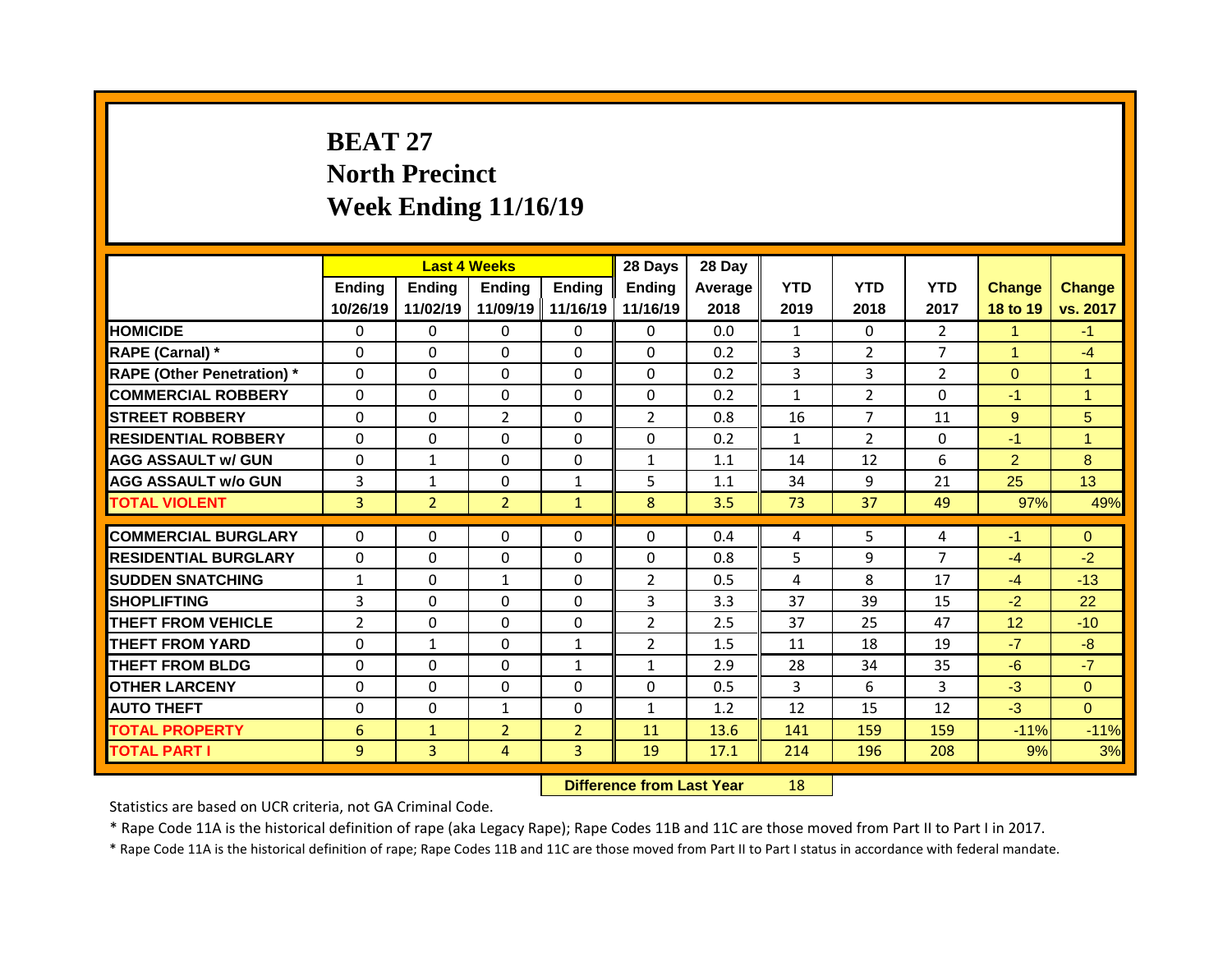## **BEAT 27 North Precinct Week Ending 11/16/19**

|                                   |                |                | <b>Last 4 Weeks</b> |                | 28 Days        | 28 Day  |              |                |                |                |                |
|-----------------------------------|----------------|----------------|---------------------|----------------|----------------|---------|--------------|----------------|----------------|----------------|----------------|
|                                   | Ending         | Ending         | <b>Ending</b>       | Ending         | <b>Ending</b>  | Average | <b>YTD</b>   | <b>YTD</b>     | <b>YTD</b>     | <b>Change</b>  | <b>Change</b>  |
|                                   | 10/26/19       | 11/02/19       | 11/09/19            | 11/16/19       | 11/16/19       | 2018    | 2019         | 2018           | 2017           | 18 to 19       | vs. 2017       |
| <b>HOMICIDE</b>                   | $\mathbf{0}$   | 0              | $\Omega$            | $\Omega$       | $\Omega$       | 0.0     | $\mathbf{1}$ | $\Omega$       | $\overline{2}$ | $\mathbf{1}$   | $-1$           |
| RAPE (Carnal) *                   | $\mathbf{0}$   | $\Omega$       | $\Omega$            | $\Omega$       | $\Omega$       | 0.2     | 3            | $\overline{2}$ | $\overline{7}$ | $\mathbf{1}$   | $-4$           |
| <b>RAPE (Other Penetration)</b> * | 0              | 0              | 0                   | $\Omega$       | $\Omega$       | 0.2     | 3            | 3              | $\overline{2}$ | $\overline{0}$ | $\mathbf{1}$   |
| <b>COMMERCIAL ROBBERY</b>         | $\mathbf 0$    | 0              | 0                   | $\Omega$       | $\Omega$       | 0.2     | $\mathbf{1}$ | $\overline{2}$ | $\Omega$       | $-1$           | $\overline{1}$ |
| <b>STREET ROBBERY</b>             | $\Omega$       | 0              | $\overline{2}$      | $\Omega$       | $\overline{2}$ | 0.8     | 16           | $\overline{7}$ | 11             | 9              | 5              |
| <b>RESIDENTIAL ROBBERY</b>        | 0              | 0              | 0                   | 0              | 0              | 0.2     | $\mathbf{1}$ | $\overline{2}$ | 0              | $-1$           | $\mathbf{1}$   |
| <b>AGG ASSAULT w/ GUN</b>         | $\mathbf 0$    | $\mathbf{1}$   | 0                   | $\Omega$       | $\mathbf{1}$   | 1.1     | 14           | 12             | 6              | $\overline{2}$ | 8              |
| <b>AGG ASSAULT W/o GUN</b>        | 3              | $\mathbf{1}$   | 0                   | $\mathbf{1}$   | 5              | 1.1     | 34           | 9              | 21             | 25             | 13             |
| <b>TOTAL VIOLENT</b>              | $\overline{3}$ | 2 <sup>1</sup> | $\overline{2}$      | $\mathbf{1}$   | 8              | 3.5     | 73           | 37             | 49             | 97%            | 49%            |
|                                   |                |                |                     |                |                |         |              |                |                |                |                |
| <b>COMMERCIAL BURGLARY</b>        | 0              | $\Omega$       | $\Omega$            | $\mathbf{0}$   | $\mathbf{0}$   | 0.4     | 4            | 5              | 4              | $-1$           | $\Omega$       |
| <b>RESIDENTIAL BURGLARY</b>       | $\mathbf{0}$   | $\Omega$       | 0                   | $\Omega$       | $\Omega$       | 0.8     | 5            | 9              | $\overline{7}$ | $-4$           | $-2$           |
| <b>SUDDEN SNATCHING</b>           | $\mathbf{1}$   | 0              | $\mathbf{1}$        | 0              | $\overline{2}$ | 0.5     | 4            | 8              | 17             | $-4$           | $-13$          |
| <b>SHOPLIFTING</b>                | 3              | $\Omega$       | $\Omega$            | $\Omega$       | 3              | 3.3     | 37           | 39             | 15             | $-2$           | 22             |
| <b>THEFT FROM VEHICLE</b>         | $\overline{2}$ | 0              | $\Omega$            | $\Omega$       | $\overline{2}$ | 2.5     | 37           | 25             | 47             | 12             | $-10$          |
| <b>THEFT FROM YARD</b>            | 0              | $\mathbf{1}$   | $\Omega$            | $\mathbf{1}$   | $\overline{2}$ | 1.5     | 11           | 18             | 19             | $-7$           | $-8$           |
| <b>THEFT FROM BLDG</b>            | $\mathbf{0}$   | 0              | 0                   | $\mathbf{1}$   | $\mathbf{1}$   | 2.9     | 28           | 34             | 35             | $-6$           | $-7$           |
| <b>OTHER LARCENY</b>              | $\mathbf 0$    | 0              | 0                   | $\Omega$       | $\Omega$       | 0.5     | 3            | 6              | $\overline{3}$ | $-3$           | $\overline{0}$ |
| <b>AUTO THEFT</b>                 | $\mathbf 0$    | 0              | $\mathbf{1}$        | 0              | $\mathbf{1}$   | 1.2     | 12           | 15             | 12             | $-3$           | $\overline{0}$ |
| <b>TOTAL PROPERTY</b>             | 6              | $\mathbf{1}$   | $\overline{2}$      | 2 <sup>1</sup> | 11             | 13.6    | 141          | 159            | 159            | $-11%$         | $-11%$         |
| <b>TOTAL PART I</b>               | 9              | 3 <sup>1</sup> | $\overline{4}$      | 3 <sup>1</sup> | 19             | 17.1    | 214          | 196            | 208            | 9%             | 3%             |

**Difference from Last Year** 18

Statistics are based on UCR criteria, not GA Criminal Code.

\* Rape Code 11A is the historical definition of rape (aka Legacy Rape); Rape Codes 11B and 11C are those moved from Part II to Part I in 2017.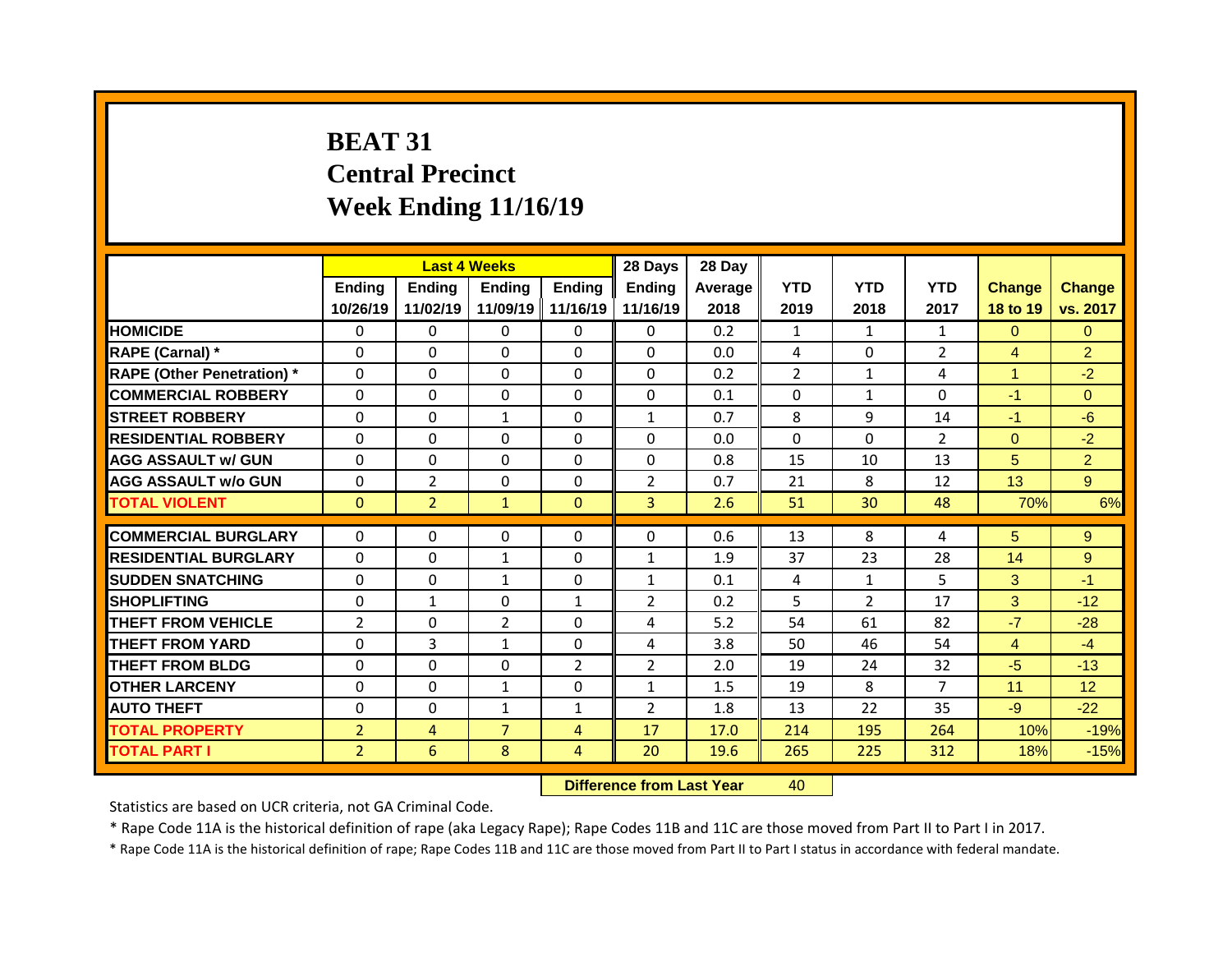## **BEAT 31 Central Precinct Week Ending 11/16/19**

|                                   |                |                | <b>Last 4 Weeks</b> |                | 28 Days        | 28 Day  |                |                |                |                |                |
|-----------------------------------|----------------|----------------|---------------------|----------------|----------------|---------|----------------|----------------|----------------|----------------|----------------|
|                                   | Ending         | <b>Ending</b>  | <b>Ending</b>       | Ending         | <b>Ending</b>  | Average | <b>YTD</b>     | <b>YTD</b>     | <b>YTD</b>     | <b>Change</b>  | <b>Change</b>  |
|                                   | 10/26/19       | 11/02/19       | 11/09/19            | 11/16/19       | 11/16/19       | 2018    | 2019           | 2018           | 2017           | 18 to 19       | vs. 2017       |
| <b>HOMICIDE</b>                   | $\Omega$       | $\Omega$       | $\Omega$            | $\Omega$       | $\Omega$       | 0.2     | $\mathbf{1}$   | $\mathbf{1}$   | $\mathbf{1}$   | $\Omega$       | $\Omega$       |
| RAPE (Carnal) *                   | $\mathbf{0}$   | 0              | $\Omega$            | $\Omega$       | $\Omega$       | 0.0     | 4              | $\Omega$       | $\overline{2}$ | $\overline{4}$ | $\overline{2}$ |
| <b>RAPE (Other Penetration)</b> * | $\Omega$       | 0              | $\Omega$            | $\Omega$       | $\Omega$       | 0.2     | $\overline{2}$ | 1              | 4              | $\mathbf{1}$   | $-2$           |
| <b>COMMERCIAL ROBBERY</b>         | $\mathbf 0$    | 0              | 0                   | $\Omega$       | $\Omega$       | 0.1     | $\Omega$       | $\mathbf{1}$   | $\Omega$       | $-1$           | $\overline{0}$ |
| <b>STREET ROBBERY</b>             | $\Omega$       | 0              | $\mathbf{1}$        | $\Omega$       | $\mathbf{1}$   | 0.7     | 8              | 9              | 14             | $-1$           | $-6$           |
| <b>RESIDENTIAL ROBBERY</b>        | $\mathbf 0$    | 0              | 0                   | $\Omega$       | $\Omega$       | 0.0     | $\Omega$       | $\Omega$       | $\overline{2}$ | $\overline{0}$ | $-2$           |
| <b>AGG ASSAULT w/ GUN</b>         | $\Omega$       | 0              | $\Omega$            | $\Omega$       | $\Omega$       | 0.8     | 15             | 10             | 13             | 5              | $\overline{2}$ |
| <b>AGG ASSAULT W/o GUN</b>        | $\mathbf 0$    | $\overline{2}$ | 0                   | 0              | $\overline{2}$ | 0.7     | 21             | 8              | 12             | 13             | 9 <sup>°</sup> |
| <b>TOTAL VIOLENT</b>              | $\mathbf{0}$   | 2 <sup>2</sup> | $\mathbf{1}$        | $\overline{0}$ | 3 <sup>1</sup> | 2.6     | 51             | 30             | 48             | 70%            | 6%             |
|                                   |                |                |                     |                |                |         |                |                |                |                |                |
|                                   |                |                |                     |                |                |         |                |                |                |                |                |
| <b>COMMERCIAL BURGLARY</b>        | $\mathbf{0}$   | $\Omega$       | 0                   | $\mathbf{0}$   | $\Omega$       | 0.6     | 13             | 8              | 4              | 5 <sup>5</sup> | 9              |
| <b>RESIDENTIAL BURGLARY</b>       | $\Omega$       | $\Omega$       | $\mathbf{1}$        | $\Omega$       | $\mathbf{1}$   | 1.9     | 37             | 23             | 28             | 14             | 9              |
| <b>SUDDEN SNATCHING</b>           | $\mathbf{0}$   | 0              | $\mathbf{1}$        | 0              | $\mathbf{1}$   | 0.1     | 4              | 1              | 5              | 3              | $-1$           |
| <b>SHOPLIFTING</b>                | $\mathbf{0}$   | $\mathbf{1}$   | 0                   | 1              | $\overline{2}$ | 0.2     | 5              | $\overline{2}$ | 17             | 3              | $-12$          |
| <b>THEFT FROM VEHICLE</b>         | $\overline{2}$ | $\Omega$       | $\overline{2}$      | $\Omega$       | 4              | 5.2     | 54             | 61             | 82             | $-7$           | $-28$          |
| <b>THEFT FROM YARD</b>            | $\Omega$       | $\overline{3}$ | $\mathbf{1}$        | $\Omega$       | 4              | 3.8     | 50             | 46             | 54             | $\overline{4}$ | $-4$           |
| <b>THEFT FROM BLDG</b>            | $\mathbf{0}$   | $\Omega$       | 0                   | 2              | $\overline{2}$ | 2.0     | 19             | 24             | 32             | $-5$           | $-13$          |
| <b>OTHER LARCENY</b>              | $\Omega$       | 0              | $\mathbf{1}$        | $\Omega$       | $\mathbf{1}$   | 1.5     | 19             | 8              | $\overline{7}$ | 11             | 12             |
| <b>AUTO THEFT</b>                 | $\mathbf{0}$   | 0              | $\mathbf{1}$        | $\mathbf{1}$   | $\overline{2}$ | 1.8     | 13             | 22             | 35             | $-9$           | $-22$          |
| <b>TOTAL PROPERTY</b>             | $\overline{2}$ | $\overline{4}$ | $\overline{7}$      | $\overline{4}$ | 17             | 17.0    | 214            | 195            | 264            | 10%            | $-19%$         |
| <b>TOTAL PART I</b>               | $\overline{2}$ | 6              | 8                   | $\overline{4}$ | 20             | 19.6    | 265            | 225            | 312            | 18%            | $-15%$         |

**Difference from Last Year** 40

Statistics are based on UCR criteria, not GA Criminal Code.

\* Rape Code 11A is the historical definition of rape (aka Legacy Rape); Rape Codes 11B and 11C are those moved from Part II to Part I in 2017.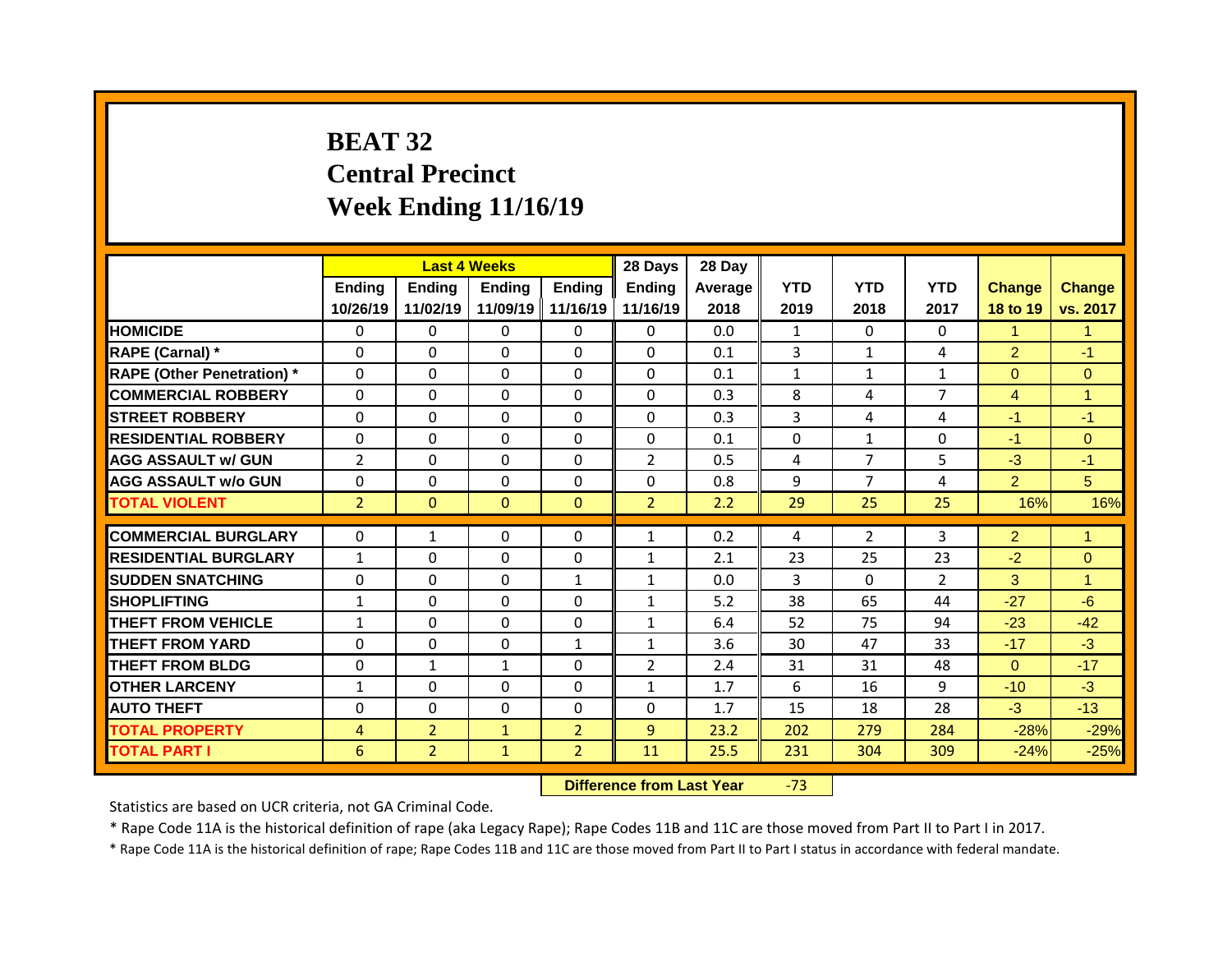## **BEAT 32 Central Precinct Week Ending 11/16/19**

|                                   |                |                | <b>Last 4 Weeks</b> |                | 28 Days        | 28 Day  |              |                |                |                |                      |
|-----------------------------------|----------------|----------------|---------------------|----------------|----------------|---------|--------------|----------------|----------------|----------------|----------------------|
|                                   | <b>Ending</b>  | <b>Ending</b>  | <b>Ending</b>       | <b>Ending</b>  | <b>Ending</b>  | Average | <b>YTD</b>   | <b>YTD</b>     | <b>YTD</b>     | <b>Change</b>  | <b>Change</b>        |
|                                   | 10/26/19       | 11/02/19       | 11/09/19            | 11/16/19       | 11/16/19       | 2018    | 2019         | 2018           | 2017           | 18 to 19       | vs. 2017             |
| <b>HOMICIDE</b>                   | 0              | 0              | 0                   | $\Omega$       | 0              | 0.0     | $\mathbf{1}$ | $\Omega$       | 0              | $\mathbf{1}$   | $\mathbf{1}$         |
| RAPE (Carnal) *                   | $\Omega$       | $\Omega$       | $\Omega$            | $\Omega$       | 0              | 0.1     | 3            | $\mathbf{1}$   | 4              | $\overline{2}$ | $-1$                 |
| <b>RAPE (Other Penetration) *</b> | 0              | 0              | $\Omega$            | $\Omega$       | 0              | 0.1     | $\mathbf{1}$ | $\mathbf{1}$   | $\mathbf{1}$   | $\Omega$       | $\overline{0}$       |
| <b>COMMERCIAL ROBBERY</b>         | 0              | $\mathbf{0}$   | $\Omega$            | $\Omega$       | 0              | 0.3     | 8            | 4              | $\overline{7}$ | $\overline{4}$ | $\mathbf{1}$         |
| <b>STREET ROBBERY</b>             | $\Omega$       | $\Omega$       | $\Omega$            | $\Omega$       | $\Omega$       | 0.3     | 3            | 4              | 4              | $-1$           | $-1$                 |
| <b>RESIDENTIAL ROBBERY</b>        | 0              | 0              | $\Omega$            | $\Omega$       | 0              | 0.1     | 0            | $\mathbf{1}$   | 0              | $-1$           | $\overline{0}$       |
| <b>AGG ASSAULT w/ GUN</b>         | $\overline{2}$ | 0              | $\Omega$            | $\Omega$       | $\overline{2}$ | 0.5     | 4            | $\overline{7}$ | 5              | $-3$           | $-1$                 |
| <b>AGG ASSAULT w/o GUN</b>        | 0              | $\Omega$       | $\Omega$            | $\Omega$       | 0              | 0.8     | 9            | $\overline{7}$ | 4              | $\overline{2}$ | 5                    |
| <b>TOTAL VIOLENT</b>              | $\overline{2}$ | $\overline{0}$ | $\mathbf{0}$        | $\overline{0}$ | 2 <sup>1</sup> | 2.2     | 29           | 25             | 25             | 16%            | 16%                  |
|                                   |                |                |                     |                |                |         |              |                |                |                |                      |
| <b>COMMERCIAL BURGLARY</b>        | $\Omega$       | $\mathbf{1}$   | $\Omega$            | $\Omega$       | $\mathbf{1}$   | 0.2     | 4            | $\overline{2}$ | 3              | $\overline{2}$ | $\mathbf{1}$         |
| <b>RESIDENTIAL BURGLARY</b>       | $\mathbf{1}$   | 0              | 0                   | $\mathbf{0}$   | $\mathbf{1}$   | 2.1     | 23           | 25             | 23             | $-2$           | $\Omega$             |
| <b>SUDDEN SNATCHING</b>           | $\Omega$       | $\mathbf{0}$   | $\Omega$            | $\mathbf{1}$   | $\mathbf{1}$   | 0.0     | 3            | $\Omega$       | $\overline{2}$ | 3              | $\blacktriangleleft$ |
| <b>SHOPLIFTING</b>                | $\mathbf{1}$   | $\mathbf{0}$   | $\Omega$            | $\Omega$       | $\mathbf{1}$   | 5.2     | 38           | 65             | 44             | $-27$          | $-6$                 |
| <b>THEFT FROM VEHICLE</b>         | $\mathbf{1}$   | 0              | $\Omega$            | $\Omega$       | $\mathbf{1}$   | 6.4     | 52           | 75             | 94             | $-23$          | $-42$                |
| <b>THEFT FROM YARD</b>            | $\Omega$       | $\mathbf{0}$   | $\Omega$            | $\mathbf{1}$   | $\mathbf{1}$   | 3.6     | 30           | 47             | 33             | $-17$          | $-3$                 |
| <b>THEFT FROM BLDG</b>            | 0              | $\mathbf{1}$   | $\mathbf{1}$        | $\Omega$       | $\overline{2}$ | 2.4     | 31           | 31             | 48             | $\Omega$       | $-17$                |
| <b>OTHER LARCENY</b>              | $\mathbf{1}$   | 0              | 0                   | $\Omega$       | $\mathbf{1}$   | 1.7     | 6            | 16             | 9              | $-10$          | $-3$                 |
| <b>AUTO THEFT</b>                 | $\Omega$       | 0              | $\mathbf{0}$        | $\Omega$       | 0              | 1.7     | 15           | 18             | 28             | $-3$           | $-13$                |
| <b>TOTAL PROPERTY</b>             | $\overline{4}$ | $\overline{2}$ | $\mathbf{1}$        | 2 <sup>1</sup> | 9              | 23.2    | 202          | 279            | 284            | $-28%$         | $-29%$               |
| <b>TOTAL PART I</b>               | 6              | 2 <sup>1</sup> | $\mathbf{1}$        | 2 <sup>1</sup> | 11             | 25.5    | 231          | 304            | 309            | $-24%$         | $-25%$               |

**Difference from Last Year -73** 

Statistics are based on UCR criteria, not GA Criminal Code.

\* Rape Code 11A is the historical definition of rape (aka Legacy Rape); Rape Codes 11B and 11C are those moved from Part II to Part I in 2017.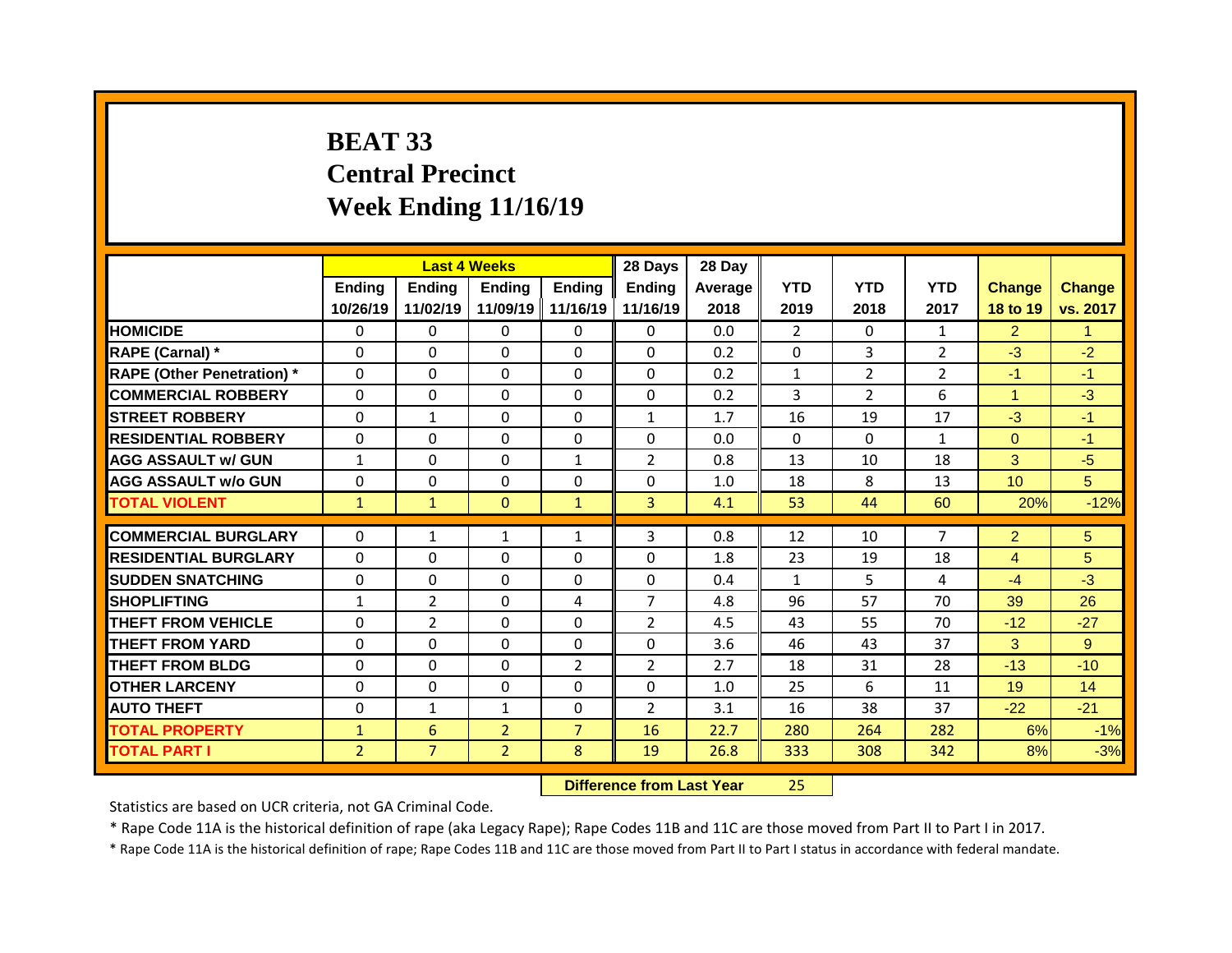## **BEAT 33 Central Precinct Week Ending 11/16/19**

|                                   |                |                | <b>Last 4 Weeks</b> |                | 28 Days        | 28 Day  |                |                |                |                 |               |
|-----------------------------------|----------------|----------------|---------------------|----------------|----------------|---------|----------------|----------------|----------------|-----------------|---------------|
|                                   | Ending         | <b>Ending</b>  | <b>Ending</b>       | Ending         | <b>Ending</b>  | Average | <b>YTD</b>     | <b>YTD</b>     | <b>YTD</b>     | <b>Change</b>   | <b>Change</b> |
|                                   | 10/26/19       | 11/02/19       | 11/09/19            | 11/16/19       | 11/16/19       | 2018    | 2019           | 2018           | 2017           | 18 to 19        | vs. 2017      |
| <b>HOMICIDE</b>                   | $\Omega$       | $\Omega$       | $\Omega$            | $\Omega$       | $\Omega$       | 0.0     | $\overline{2}$ | $\Omega$       | $\mathbf{1}$   | $\overline{2}$  | 1             |
| RAPE (Carnal) *                   | $\mathbf{0}$   | 0              | $\Omega$            | $\Omega$       | $\Omega$       | 0.2     | 0              | 3              | $\overline{2}$ | $-3$            | $-2$          |
| <b>RAPE (Other Penetration)</b> * | $\Omega$       | 0              | $\Omega$            | $\Omega$       | $\Omega$       | 0.2     | $\mathbf{1}$   | $\overline{2}$ | $\overline{2}$ | $-1$            | $-1$          |
| <b>COMMERCIAL ROBBERY</b>         | $\mathbf 0$    | 0              | $\Omega$            | $\Omega$       | $\Omega$       | 0.2     | 3              | $\overline{2}$ | 6              | $\mathbf{1}$    | $-3$          |
| <b>STREET ROBBERY</b>             | $\Omega$       | $\mathbf{1}$   | $\Omega$            | $\Omega$       | $\mathbf{1}$   | 1.7     | 16             | 19             | 17             | $-3$            | $-1$          |
| <b>RESIDENTIAL ROBBERY</b>        | $\mathbf 0$    | 0              | 0                   | 0              | $\Omega$       | 0.0     | $\Omega$       | $\Omega$       | $\mathbf{1}$   | $\overline{0}$  | $-1$          |
| <b>AGG ASSAULT w/ GUN</b>         | $\mathbf{1}$   | 0              | $\Omega$            | $\mathbf{1}$   | $\overline{2}$ | 0.8     | 13             | 10             | 18             | 3               | $-5$          |
| <b>AGG ASSAULT W/o GUN</b>        | $\mathbf 0$    | 0              | 0                   | 0              | 0              | 1.0     | 18             | 8              | 13             | 10 <sup>°</sup> | 5             |
| <b>TOTAL VIOLENT</b>              | $\mathbf{1}$   | $\mathbf{1}$   | $\mathbf{0}$        | $\mathbf{1}$   | 3 <sup>1</sup> | 4.1     | 53             | 44             | 60             | 20%             | $-12%$        |
|                                   |                |                |                     |                |                |         |                |                |                |                 |               |
|                                   |                |                |                     |                |                |         |                |                |                |                 |               |
| <b>COMMERCIAL BURGLARY</b>        | $\mathbf{0}$   | $\mathbf{1}$   | $\mathbf{1}$        | $\mathbf{1}$   | 3              | 0.8     | 12             | 10             | $\overline{7}$ | $\overline{2}$  | 5             |
| <b>RESIDENTIAL BURGLARY</b>       | $\Omega$       | $\Omega$       | $\Omega$            | $\Omega$       | 0              | 1.8     | 23             | 19             | 18             | 4               | 5             |
| <b>SUDDEN SNATCHING</b>           | $\mathbf{0}$   | 0              | 0                   | $\Omega$       | $\Omega$       | 0.4     | $\mathbf{1}$   | 5              | 4              | $-4$            | $-3$          |
| <b>SHOPLIFTING</b>                | $\mathbf{1}$   | $\overline{2}$ | 0                   | 4              | $\overline{7}$ | 4.8     | 96             | 57             | 70             | 39              | 26            |
| <b>THEFT FROM VEHICLE</b>         | $\mathbf{0}$   | $\overline{2}$ | 0                   | $\Omega$       | $\overline{2}$ | 4.5     | 43             | 55             | 70             | $-12$           | $-27$         |
| <b>THEFT FROM YARD</b>            | $\Omega$       | 0              | $\Omega$            | $\Omega$       | 0              | 3.6     | 46             | 43             | 37             | 3               | 9             |
| <b>THEFT FROM BLDG</b>            | $\mathbf{0}$   | $\Omega$       | 0                   | 2              | $\overline{2}$ | 2.7     | 18             | 31             | 28             | $-13$           | $-10$         |
| <b>OTHER LARCENY</b>              | $\Omega$       | 0              | $\Omega$            | $\Omega$       | 0              | 1.0     | 25             | 6              | 11             | 19              | 14            |
| <b>AUTO THEFT</b>                 | $\mathbf{0}$   | $\mathbf{1}$   | $\mathbf{1}$        | 0              | $\overline{2}$ | 3.1     | 16             | 38             | 37             | $-22$           | $-21$         |
| <b>TOTAL PROPERTY</b>             | $\mathbf{1}$   | 6              | $\overline{2}$      | $\overline{7}$ | 16             | 22.7    | 280            | 264            | 282            | 6%              | $-1%$         |
| <b>TOTAL PART I</b>               | $\overline{2}$ | $\overline{7}$ | $\overline{2}$      | 8              | 19             | 26.8    | 333            | 308            | 342            | 8%              | $-3%$         |

**Difference from Last Year** 25

Statistics are based on UCR criteria, not GA Criminal Code.

\* Rape Code 11A is the historical definition of rape (aka Legacy Rape); Rape Codes 11B and 11C are those moved from Part II to Part I in 2017.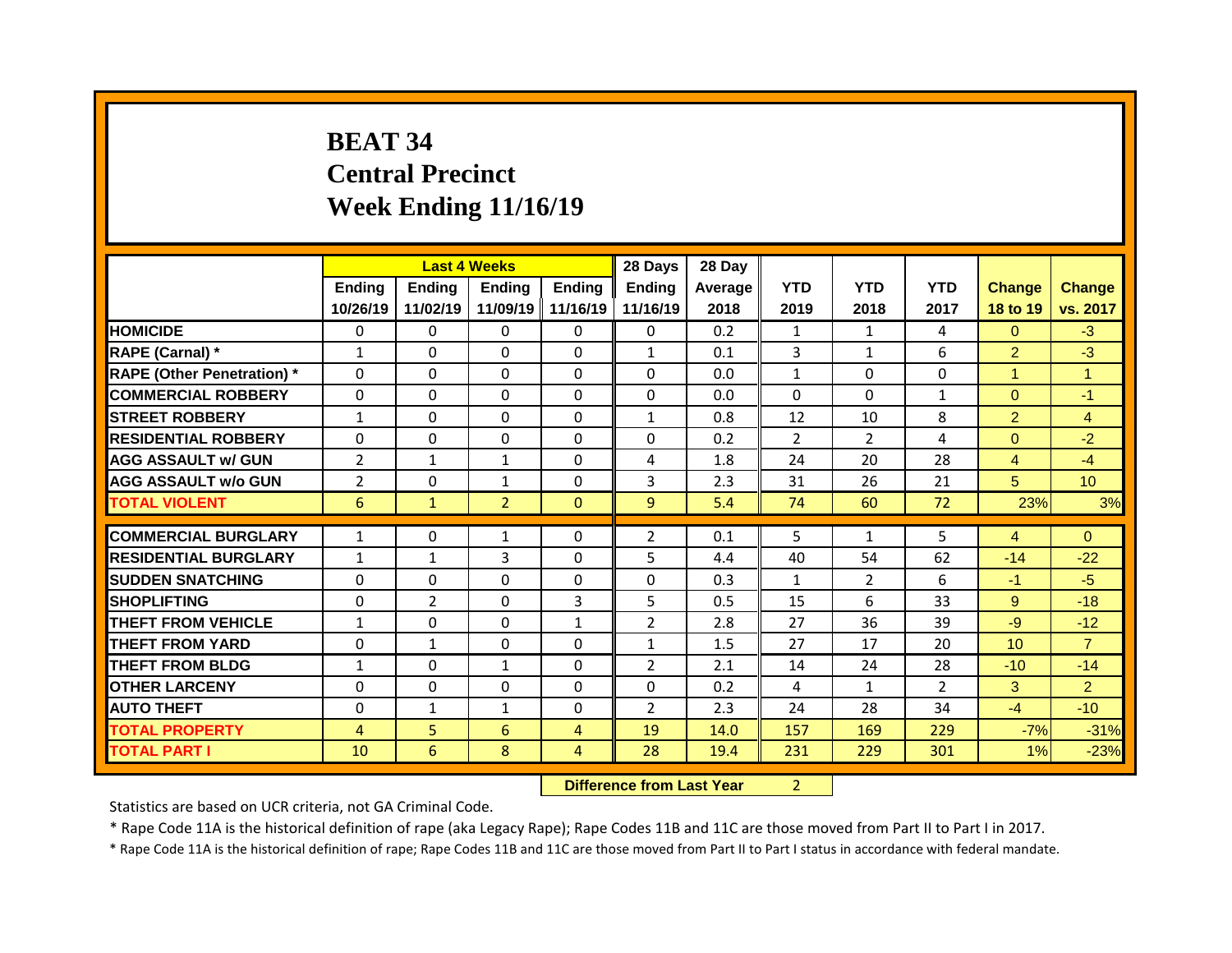## **BEAT 34 Central Precinct Week Ending 11/16/19**

|                                   |                          | <b>Last 4 Weeks</b>      |                |                   | 28 Days        | 28 Day     |                    |                      |                |                 |                |
|-----------------------------------|--------------------------|--------------------------|----------------|-------------------|----------------|------------|--------------------|----------------------|----------------|-----------------|----------------|
|                                   | <b>Ending</b>            | <b>Ending</b>            | <b>Ending</b>  | <b>Ending</b>     | <b>Ending</b>  | Average    | <b>YTD</b>         | <b>YTD</b>           | <b>YTD</b>     | <b>Change</b>   | Change         |
|                                   | 10/26/19                 | 11/02/19                 |                | 11/09/19 11/16/19 | 11/16/19       | 2018       | 2019               | 2018                 | 2017           | 18 to 19        | vs. 2017       |
| <b>HOMICIDE</b>                   | $\Omega$                 | 0                        | $\mathbf{0}$   | $\Omega$          | 0              | 0.2        | $\mathbf{1}$       | $\mathbf{1}$         | 4              | $\Omega$        | $-3$           |
| RAPE (Carnal) *                   | $\mathbf{1}$             | $\Omega$                 | $\Omega$       | $\Omega$          | $\mathbf{1}$   | 0.1        | $\overline{3}$     | $\mathbf{1}$         | 6              | $\overline{2}$  | $-3$           |
| <b>RAPE (Other Penetration) *</b> | 0                        | 0                        | 0              | $\Omega$          | $\Omega$       | 0.0        | $\mathbf{1}$       | $\Omega$             | $\Omega$       | $\mathbf{1}$    | $\mathbf{1}$   |
| <b>COMMERCIAL ROBBERY</b>         | 0                        | 0                        | 0              | $\Omega$          | $\Omega$       | 0.0        | $\Omega$           | $\Omega$             | $\mathbf{1}$   | $\overline{0}$  | $-1$           |
| <b>STREET ROBBERY</b>             | $\mathbf{1}$             | 0                        | 0              | $\mathbf 0$       | $\mathbf{1}$   | 0.8        | 12                 | 10                   | 8              | $\overline{2}$  | $\overline{4}$ |
| <b>RESIDENTIAL ROBBERY</b>        | 0                        | 0                        | 0              | $\mathbf 0$       | 0              | 0.2        | $\overline{2}$     | $\overline{2}$       | 4              | $\overline{0}$  | $-2$           |
| <b>AGG ASSAULT w/ GUN</b>         | $\overline{2}$           | $\mathbf{1}$             | $\mathbf{1}$   | $\mathbf 0$       | 4              | 1.8        | 24                 | 20                   | 28             | $\overline{4}$  | $-4$           |
| <b>AGG ASSAULT w/o GUN</b>        | $\overline{2}$           | 0                        | $\mathbf{1}$   | $\mathbf 0$       | 3              | 2.3        | 31                 | 26                   | 21             | 5               | 10             |
| <b>TOTAL VIOLENT</b>              | 6                        | $\mathbf{1}$             | $\overline{2}$ | $\mathbf{0}$      | 9 <sup>°</sup> | 5.4        | 74                 | 60                   | 72             | 23%             | 3%             |
| <b>COMMERCIAL BURGLARY</b>        | $\mathbf{1}$             | 0                        |                | $\Omega$          | $\overline{2}$ | 0.1        | 5                  | $\mathbf{1}$         | 5              | $\overline{4}$  | $\Omega$       |
| <b>RESIDENTIAL BURGLARY</b>       |                          |                          | 1<br>3         | $\Omega$          |                |            |                    |                      | 62             |                 | $-22$          |
| <b>SUDDEN SNATCHING</b>           | $\mathbf{1}$<br>$\Omega$ | $\mathbf{1}$<br>$\Omega$ | $\Omega$       | $\Omega$          | 5<br>$\Omega$  | 4.4<br>0.3 | 40<br>$\mathbf{1}$ | 54<br>$\overline{2}$ | 6              | $-14$<br>$-1$   | $-5$           |
|                                   | $\Omega$                 | $\overline{2}$           | $\Omega$       | 3                 | 5              | 0.5        | 15                 | 6                    | 33             | 9               | $-18$          |
| <b>SHOPLIFTING</b>                |                          |                          |                |                   |                |            |                    |                      |                |                 |                |
| <b>THEFT FROM VEHICLE</b>         | $\mathbf{1}$             | 0                        | 0              | $\mathbf{1}$      | $\overline{2}$ | 2.8        | 27                 | 36                   | 39             | -9              | $-12$          |
| <b>THEFT FROM YARD</b>            | 0                        | $\mathbf{1}$             | 0              | $\Omega$          | $\mathbf{1}$   | 1.5        | 27                 | 17                   | 20             | 10 <sup>1</sup> | $\overline{7}$ |
| <b>THEFT FROM BLDG</b>            | $\mathbf{1}$             | 0                        | $\mathbf{1}$   | $\mathbf 0$       | $\overline{2}$ | 2.1        | 14                 | 24                   | 28             | $-10$           | $-14$          |
| <b>OTHER LARCENY</b>              | 0                        | 0                        | 0              | $\Omega$          | 0              | 0.2        | 4                  | $\mathbf{1}$         | $\overline{2}$ | 3               | $\overline{2}$ |
| <b>AUTO THEFT</b>                 | $\Omega$                 | $\mathbf{1}$             | $\mathbf{1}$   | $\Omega$          | $\overline{2}$ | 2.3        | 24                 | 28                   | 34             | $-4$            | $-10$          |
| <b>TOTAL PROPERTY</b>             | $\overline{4}$           | 5                        | 6              | $\overline{4}$    | 19             | 14.0       | 157                | 169                  | 229            | $-7%$           | $-31%$         |
| <b>TOTAL PART I</b>               | 10                       | 6                        | 8              | 4                 | 28             | 19.4       | 231                | 229                  | 301            | 1%              | $-23%$         |

**Difference from Last Year** 2

Statistics are based on UCR criteria, not GA Criminal Code.

\* Rape Code 11A is the historical definition of rape (aka Legacy Rape); Rape Codes 11B and 11C are those moved from Part II to Part I in 2017.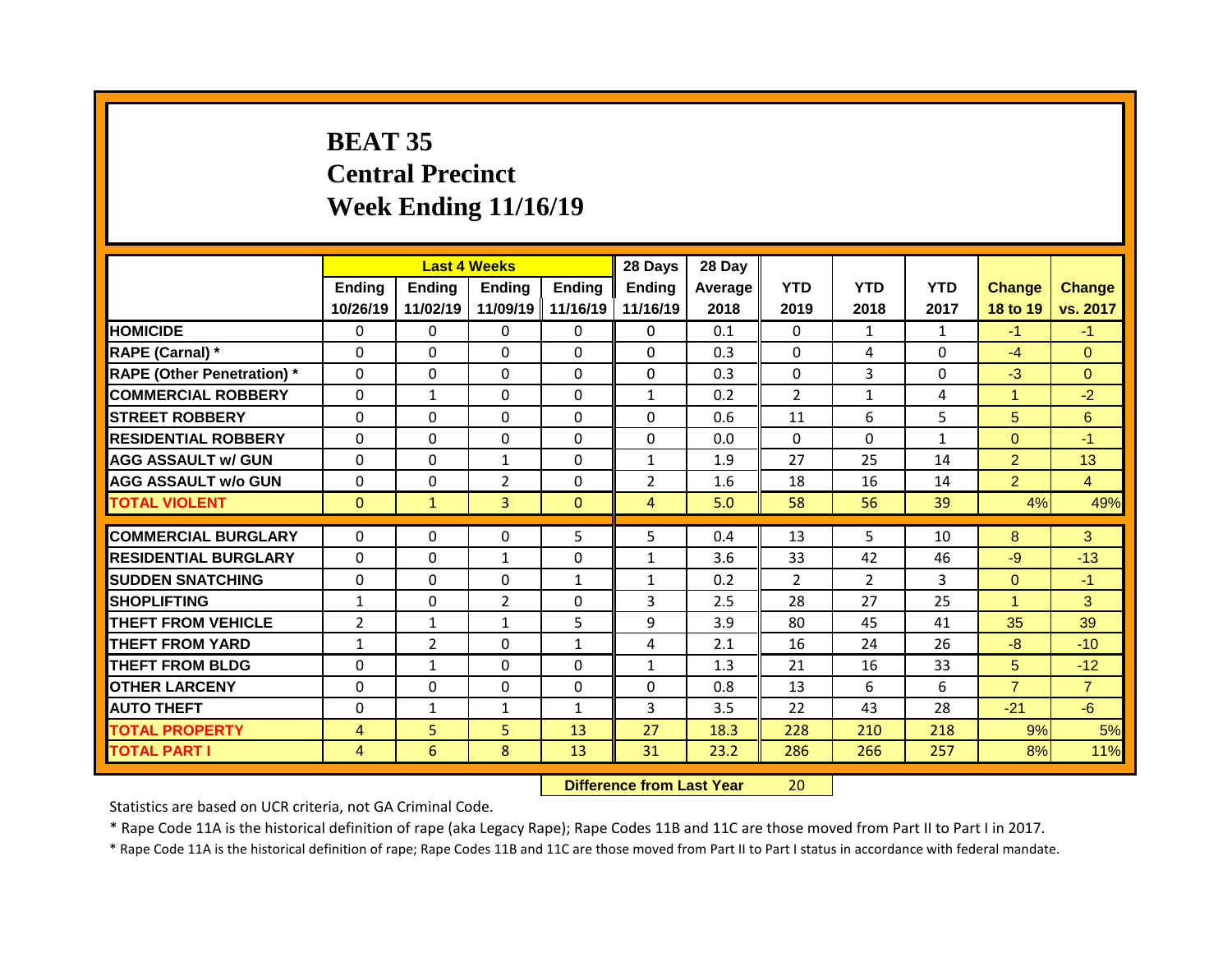## **BEAT 35 Central Precinct Week Ending 11/16/19**

|                                   |                |                | <b>Last 4 Weeks</b> |              | 28 Days        | 28 Day  |                |                |              |                |                |
|-----------------------------------|----------------|----------------|---------------------|--------------|----------------|---------|----------------|----------------|--------------|----------------|----------------|
|                                   | Ending         | Ending         | <b>Ending</b>       | Ending       | <b>Ending</b>  | Average | <b>YTD</b>     | <b>YTD</b>     | <b>YTD</b>   | <b>Change</b>  | <b>Change</b>  |
|                                   | 10/26/19       | 11/02/19       | 11/09/19            | 11/16/19     | 11/16/19       | 2018    | 2019           | 2018           | 2017         | 18 to 19       | vs. 2017       |
| <b>HOMICIDE</b>                   | $\mathbf{0}$   | 0              | $\Omega$            | $\mathbf{0}$ | $\mathbf{0}$   | 0.1     | $\mathbf{0}$   | $\mathbf{1}$   | $\mathbf{1}$ | $-1$           | $-1$           |
| RAPE (Carnal) *                   | $\mathbf{0}$   | $\Omega$       | $\Omega$            | $\Omega$     | $\Omega$       | 0.3     | $\Omega$       | 4              | $\Omega$     | $-4$           | $\Omega$       |
| <b>RAPE (Other Penetration)</b> * | $\Omega$       | 0              | $\Omega$            | $\Omega$     | $\Omega$       | 0.3     | $\Omega$       | $\overline{3}$ | $\Omega$     | $-3$           | $\Omega$       |
| <b>COMMERCIAL ROBBERY</b>         | $\mathbf{0}$   | $\mathbf{1}$   | $\Omega$            | $\Omega$     | $\mathbf{1}$   | 0.2     | 2              | 1              | 4            | $\mathbf{1}$   | $-2$           |
| <b>STREET ROBBERY</b>             | $\mathbf{0}$   | 0              | $\Omega$            | $\Omega$     | $\Omega$       | 0.6     | 11             | 6              | 5            | 5              | 6              |
| <b>RESIDENTIAL ROBBERY</b>        | $\Omega$       | 0              | $\Omega$            | $\Omega$     | $\Omega$       | 0.0     | $\Omega$       | $\Omega$       | $\mathbf{1}$ | $\overline{0}$ | $-1$           |
| <b>AGG ASSAULT w/ GUN</b>         | $\Omega$       | 0              | $\mathbf{1}$        | $\Omega$     | $\mathbf{1}$   | 1.9     | 27             | 25             | 14           | $\overline{2}$ | 13             |
| <b>AGG ASSAULT W/o GUN</b>        | $\mathbf{0}$   | 0              | $\overline{2}$      | 0            | $\overline{2}$ | 1.6     | 18             | 16             | 14           | $\overline{2}$ | $\overline{4}$ |
| <b>TOTAL VIOLENT</b>              | $\mathbf{0}$   | $\mathbf{1}$   | 3                   | $\mathbf{0}$ | 4              | 5.0     | 58             | 56             | 39           | 4%             | 49%            |
|                                   |                |                |                     |              |                |         |                |                |              |                |                |
| <b>COMMERCIAL BURGLARY</b>        | 0              | 0              | 0                   | 5            | 5              | 0.4     | 13             | 5              | 10           | 8              | 3              |
| <b>RESIDENTIAL BURGLARY</b>       | $\mathbf{0}$   | 0              | 1                   | 0            | $\mathbf{1}$   | 3.6     | 33             | 42             | 46           | $-9$           | $-13$          |
| <b>SUDDEN SNATCHING</b>           | 0              | 0              | 0                   | $\mathbf{1}$ | $\mathbf{1}$   | 0.2     | $\overline{2}$ | $\overline{2}$ | 3            | $\overline{0}$ | $-1$           |
|                                   |                |                |                     |              |                |         |                |                |              |                |                |
| <b>SHOPLIFTING</b>                | $\mathbf{1}$   | 0              | $\overline{2}$      | $\Omega$     | 3              | 2.5     | 28             | 27             | 25           | $\mathbf{1}$   | 3              |
| <b>THEFT FROM VEHICLE</b>         | $\overline{2}$ | $\mathbf{1}$   | $\mathbf{1}$        | 5            | 9              | 3.9     | 80             | 45             | 41           | 35             | 39             |
| <b>THEFT FROM YARD</b>            | $\mathbf{1}$   | $\overline{2}$ | $\Omega$            | $\mathbf{1}$ | 4              | 2.1     | 16             | 24             | 26           | $-8$           | $-10$          |
| <b>THEFT FROM BLDG</b>            | $\mathbf{0}$   | $\mathbf{1}$   | 0                   | $\Omega$     | $\mathbf{1}$   | 1.3     | 21             | 16             | 33           | 5 <sup>5</sup> | $-12$          |
| <b>OTHER LARCENY</b>              | $\mathbf{0}$   | 0              | $\Omega$            | $\Omega$     | 0              | 0.8     | 13             | 6              | 6            | $\overline{7}$ | $\overline{7}$ |
| <b>AUTO THEFT</b>                 | $\mathbf{0}$   | $\mathbf{1}$   | $\mathbf{1}$        | $\mathbf{1}$ | 3              | 3.5     | 22             | 43             | 28           | $-21$          | $-6$           |
| <b>TOTAL PROPERTY</b>             | 4              | 5              | 5                   | 13           | 27             | 18.3    | 228            | 210            | 218          | 9%             | 5%             |
| <b>TOTAL PART I</b>               | $\overline{4}$ | 6              | 8                   | 13           | 31             | 23.2    | 286            | 266            | 257          | 8%             | 11%            |

**Difference from Last Year** 20

Statistics are based on UCR criteria, not GA Criminal Code.

\* Rape Code 11A is the historical definition of rape (aka Legacy Rape); Rape Codes 11B and 11C are those moved from Part II to Part I in 2017.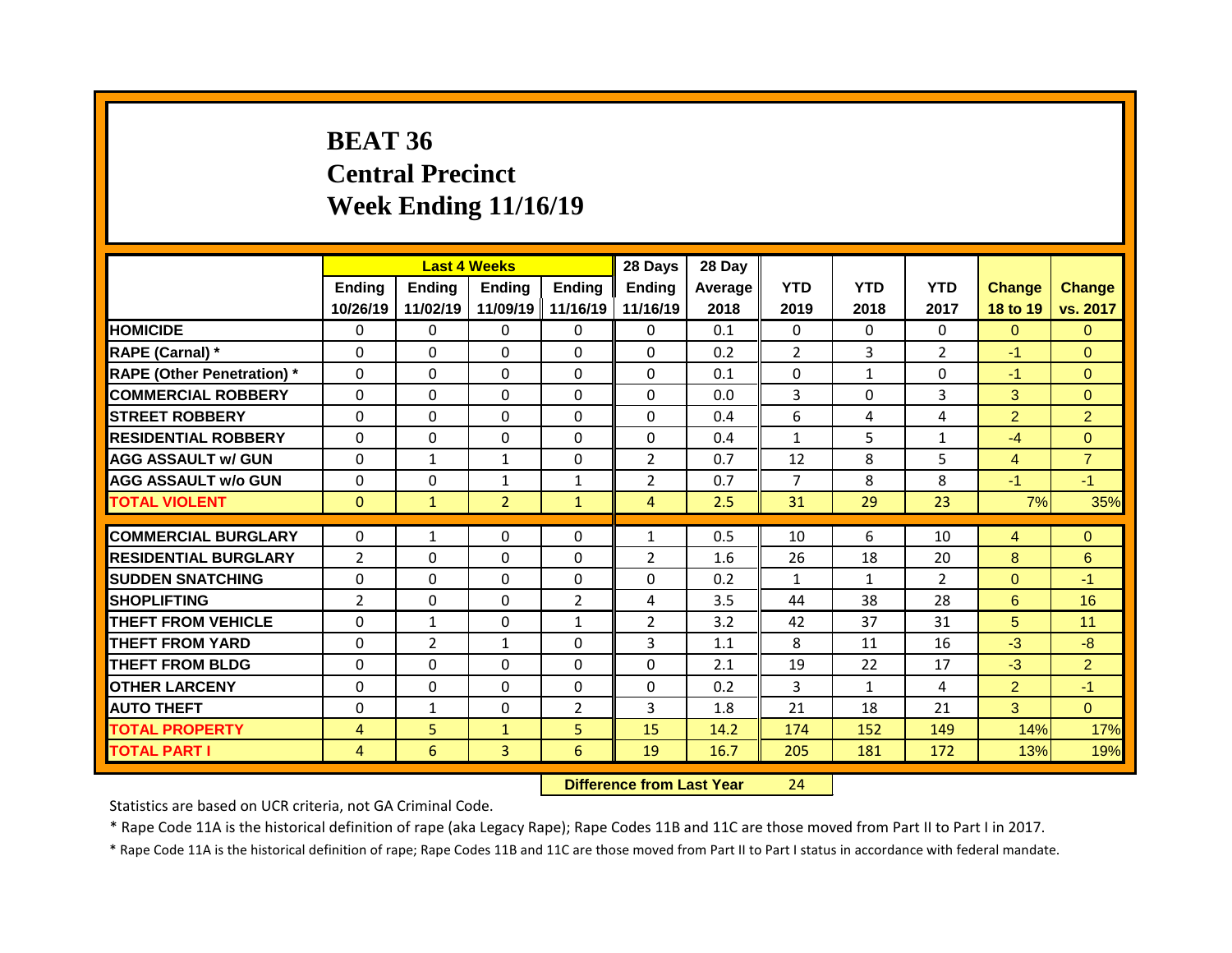# **BEAT 36 Central Precinct Week Ending 11/16/19**

|                                   |                |                | <b>Last 4 Weeks</b> |                   | 28 Days                        | 28 Day  |                |              |                |                |                |
|-----------------------------------|----------------|----------------|---------------------|-------------------|--------------------------------|---------|----------------|--------------|----------------|----------------|----------------|
|                                   | Ending         | <b>Ending</b>  | Ending              | Ending            | <b>Ending</b>                  | Average | <b>YTD</b>     | <b>YTD</b>   | <b>YTD</b>     | <b>Change</b>  | <b>Change</b>  |
|                                   | 10/26/19       | 11/02/19       | 11/09/19            | 11/16/19          | 11/16/19                       | 2018    | 2019           | 2018         | 2017           | 18 to 19       | vs. 2017       |
| <b>HOMICIDE</b>                   | $\mathbf{0}$   | 0              | $\Omega$            | $\mathbf{0}$      | 0                              | 0.1     | $\mathbf{0}$   | $\Omega$     | 0              | $\Omega$       | $\Omega$       |
| RAPE (Carnal) *                   | $\mathbf 0$    | $\Omega$       | 0                   | 0                 | $\Omega$                       | 0.2     | $\overline{2}$ | 3            | $\overline{2}$ | $-1$           | $\Omega$       |
| <b>RAPE (Other Penetration) *</b> | 0              | 0              | $\Omega$            | $\Omega$          | 0                              | 0.1     | $\Omega$       | $\mathbf{1}$ | $\Omega$       | $-1$           | $\Omega$       |
| <b>COMMERCIAL ROBBERY</b>         | 0              | 0              | 0                   | 0                 | $\Omega$                       | 0.0     | 3              | $\Omega$     | 3              | 3              | $\overline{0}$ |
| <b>STREET ROBBERY</b>             | $\Omega$       | 0              | $\Omega$            | $\Omega$          | 0                              | 0.4     | 6              | 4            | 4              | $\overline{2}$ | $\overline{2}$ |
| <b>RESIDENTIAL ROBBERY</b>        | 0              | 0              | 0                   | 0                 | 0                              | 0.4     | $\mathbf{1}$   | 5            | $\mathbf{1}$   | $-4$           | $\overline{0}$ |
| <b>AGG ASSAULT w/ GUN</b>         | 0              | $\mathbf{1}$   | $\mathbf{1}$        | 0                 | $\overline{2}$                 | 0.7     | 12             | 8            | 5              | 4              | $\overline{7}$ |
| <b>AGG ASSAULT w/o GUN</b>        | $\mathbf{0}$   | $\Omega$       | $\mathbf{1}$        | $\mathbf{1}$      | $\overline{2}$                 | 0.7     | $\overline{7}$ | 8            | 8              | $-1$           | $-1$           |
| <b>TOTAL VIOLENT</b>              | $\mathbf{0}$   | $\mathbf{1}$   | $\overline{2}$      | $\mathbf{1}$      | 4                              | 2.5     | 31             | 29           | 23             | 7%             | 35%            |
|                                   |                |                |                     |                   |                                |         |                |              |                |                |                |
| <b>COMMERCIAL BURGLARY</b>        | 0              | $\mathbf{1}$   | $\Omega$            | 0                 | $\mathbf{1}$                   | 0.5     | 10             | 6            | 10             | 4              | $\Omega$       |
| <b>RESIDENTIAL BURGLARY</b>       | $\overline{2}$ | $\Omega$       | $\Omega$            | 0                 | $\overline{2}$                 | 1.6     | 26             | 18           | 20             | 8              | 6              |
| <b>SUDDEN SNATCHING</b>           | 0              | 0              | 0                   | 0                 | 0                              | 0.2     | $\mathbf{1}$   | $\mathbf{1}$ | $\overline{2}$ | $\overline{0}$ | $-1$           |
| <b>SHOPLIFTING</b>                | $\overline{2}$ | 0              | 0                   | $\overline{2}$    | 4                              | 3.5     | 44             | 38           | 28             | 6              | 16             |
| <b>THEFT FROM VEHICLE</b>         | 0              | $\mathbf{1}$   | 0                   | $\mathbf{1}$      | $\overline{2}$                 | 3.2     | 42             | 37           | 31             | 5              | 11             |
| <b>THEFT FROM YARD</b>            | 0              | $\overline{2}$ | $\mathbf{1}$        | 0                 | 3                              | 1.1     | 8              | 11           | 16             | $-3$           | $-8$           |
| <b>THEFT FROM BLDG</b>            | 0              | 0              | 0                   | $\Omega$          | 0                              | 2.1     | 19             | 22           | 17             | $-3$           | $\overline{2}$ |
| <b>OTHER LARCENY</b>              | 0              | 0              | 0                   | 0                 | 0                              | 0.2     | 3              | $\mathbf{1}$ | 4              | $\overline{2}$ | $-1$           |
| <b>AUTO THEFT</b>                 | 0              | $\mathbf{1}$   | 0                   | $\overline{2}$    | 3                              | 1.8     | 21             | 18           | 21             | 3              | $\overline{0}$ |
| <b>TOTAL PROPERTY</b>             | $\overline{4}$ | 5              | $\mathbf{1}$        | 5                 | 15                             | 14.2    | 174            | 152          | 149            | 14%            | 17%            |
| <b>TOTAL PART I</b>               | 4              | 6              | 3                   | 6                 | 19                             | 16.7    | 205            | 181          | 172            | 13%            | 19%            |
|                                   |                |                |                     | <b>CONTRACTOR</b> | and a fact that I would Made a |         | $\sim$ $\sim$  |              |                |                |                |

**Difference from Last Year** 24

Statistics are based on UCR criteria, not GA Criminal Code.

\* Rape Code 11A is the historical definition of rape (aka Legacy Rape); Rape Codes 11B and 11C are those moved from Part II to Part I in 2017.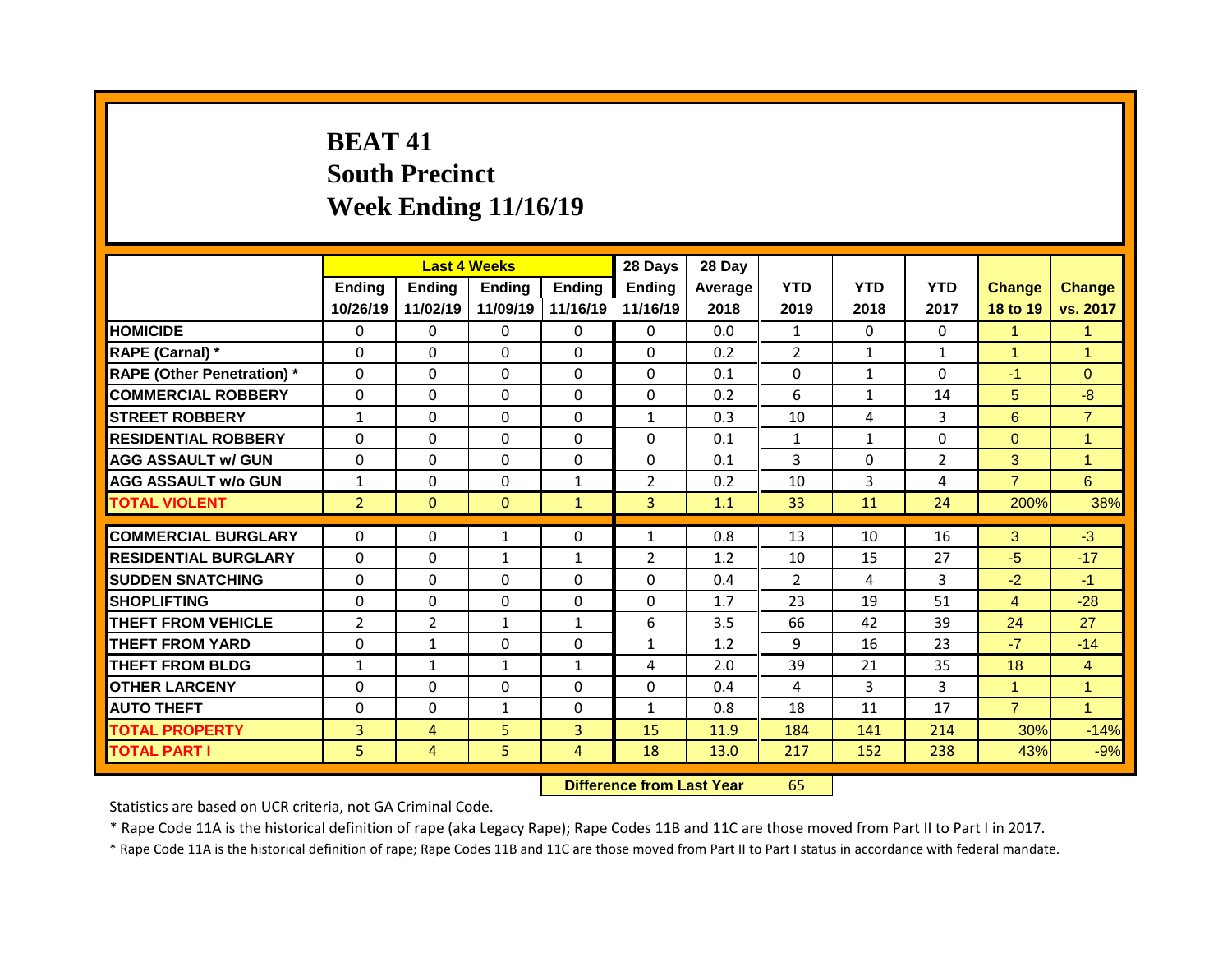## **BEAT 41 South Precinct Week Ending 11/16/19**

|                                   |                | <b>Last 4 Weeks</b> |               |                | 28 Days        | 28 Day  |                |                |                |                |                |
|-----------------------------------|----------------|---------------------|---------------|----------------|----------------|---------|----------------|----------------|----------------|----------------|----------------|
|                                   | <b>Ending</b>  | Ending              | <b>Ending</b> | <b>Ending</b>  | <b>Ending</b>  | Average | <b>YTD</b>     | <b>YTD</b>     | <b>YTD</b>     | <b>Change</b>  | Change         |
|                                   | 10/26/19       | 11/02/19            | 11/09/19      | 11/16/19       | 11/16/19       | 2018    | 2019           | 2018           | 2017           | 18 to 19       | vs. 2017       |
| <b>HOMICIDE</b>                   | $\mathbf{0}$   | $\mathbf{0}$        | $\Omega$      | $\Omega$       | $\Omega$       | 0.0     | $\mathbf{1}$   | $\Omega$       | 0              | $\mathbf{1}$   | $\mathbf{1}$   |
| RAPE (Carnal) *                   | $\Omega$       | $\Omega$            | $\Omega$      | $\Omega$       | $\Omega$       | 0.2     | $\overline{2}$ | $\mathbf{1}$   | $\mathbf{1}$   | $\mathbf{1}$   | 1              |
| <b>RAPE (Other Penetration)</b> * | 0              | 0                   | $\Omega$      | $\Omega$       | $\Omega$       | 0.1     | 0              | $\mathbf{1}$   | 0              | $-1$           | $\overline{0}$ |
| <b>COMMERCIAL ROBBERY</b>         | 0              | 0                   | $\Omega$      | $\Omega$       | $\Omega$       | 0.2     | 6              | $\mathbf{1}$   | 14             | 5 <sup>5</sup> | $-8$           |
| <b>STREET ROBBERY</b>             | $\mathbf{1}$   | 0                   | $\mathbf 0$   | $\Omega$       | $\mathbf{1}$   | 0.3     | 10             | 4              | 3              | 6              | $\overline{7}$ |
| <b>RESIDENTIAL ROBBERY</b>        | 0              | 0                   | $\mathbf{0}$  | $\Omega$       | 0              | 0.1     | $\mathbf{1}$   | $\mathbf{1}$   | 0              | $\Omega$       | 1              |
| <b>AGG ASSAULT w/ GUN</b>         | $\mathbf 0$    | $\mathbf 0$         | $\mathbf 0$   | 0              | $\mathbf 0$    | 0.1     | $\overline{3}$ | $\mathbf 0$    | $\overline{2}$ | 3              | $\mathbf{1}$   |
| <b>AGG ASSAULT w/o GUN</b>        | $\mathbf{1}$   | $\mathbf 0$         | $\mathbf 0$   | $\mathbf{1}$   | $\overline{2}$ | 0.2     | 10             | $\overline{3}$ | 4              | $\overline{7}$ | 6              |
| <b>TOTAL VIOLENT</b>              | $\overline{2}$ | $\mathbf{0}$        | $\mathbf{0}$  | $\mathbf{1}$   | $\overline{3}$ | 1.1     | 33             | 11             | 24             | 200%           | 38%            |
|                                   |                |                     |               |                |                |         |                |                | 16             |                | $-3$           |
| <b>COMMERCIAL BURGLARY</b>        | $\Omega$       | $\Omega$            | $\mathbf{1}$  | $\Omega$       | $\mathbf{1}$   | 0.8     | 13             | 10             |                | 3              |                |
| <b>RESIDENTIAL BURGLARY</b>       | $\Omega$       | $\Omega$            | $\mathbf{1}$  | $\mathbf{1}$   | $\overline{2}$ | 1.2     | 10             | 15             | 27             | $-5$           | $-17$          |
| <b>SUDDEN SNATCHING</b>           | $\mathbf{0}$   | $\Omega$            | $\Omega$      | $\Omega$       | $\Omega$       | 0.4     | $\mathcal{P}$  | 4              | 3              | $-2$           | $-1$           |
| <b>SHOPLIFTING</b>                | $\Omega$       | $\Omega$            | $\Omega$      | $\Omega$       | $\Omega$       | 1.7     | 23             | 19             | 51             | $\overline{4}$ | $-28$          |
| <b>THEFT FROM VEHICLE</b>         | $\overline{2}$ | $\overline{2}$      | $\mathbf{1}$  | $\mathbf{1}$   | 6              | 3.5     | 66             | 42             | 39             | 24             | 27             |
| <b>THEFT FROM YARD</b>            | 0              | $\mathbf{1}$        | $\Omega$      | $\Omega$       | $\mathbf{1}$   | 1.2     | 9              | 16             | 23             | $-7$           | $-14$          |
| <b>THEFT FROM BLDG</b>            | $\mathbf{1}$   | $\mathbf{1}$        | $\mathbf{1}$  | $\mathbf{1}$   | 4              | 2.0     | 39             | 21             | 35             | 18             | $\overline{4}$ |
| <b>OTHER LARCENY</b>              | 0              | 0                   | $\Omega$      | $\Omega$       | $\Omega$       | 0.4     | 4              | 3              | 3              | $\mathbf{1}$   | $\mathbf{1}$   |
| <b>AUTO THEFT</b>                 | 0              | $\Omega$            | $\mathbf{1}$  | $\Omega$       | $\mathbf{1}$   | 0.8     | 18             | 11             | 17             | $\overline{7}$ | $\mathbf{1}$   |
| <b>TOTAL PROPERTY</b>             | $\overline{3}$ | 4                   | 5             | $\overline{3}$ | 15             | 11.9    | 184            | 141            | 214            | 30%            | $-14%$         |
| <b>TOTAL PART I</b>               | 5              | $\overline{4}$      | 5             | 4              | 18             | 13.0    | 217            | 152            | 238            | 43%            | $-9%$          |

**Difference from Last Year** 65

Statistics are based on UCR criteria, not GA Criminal Code.

\* Rape Code 11A is the historical definition of rape (aka Legacy Rape); Rape Codes 11B and 11C are those moved from Part II to Part I in 2017.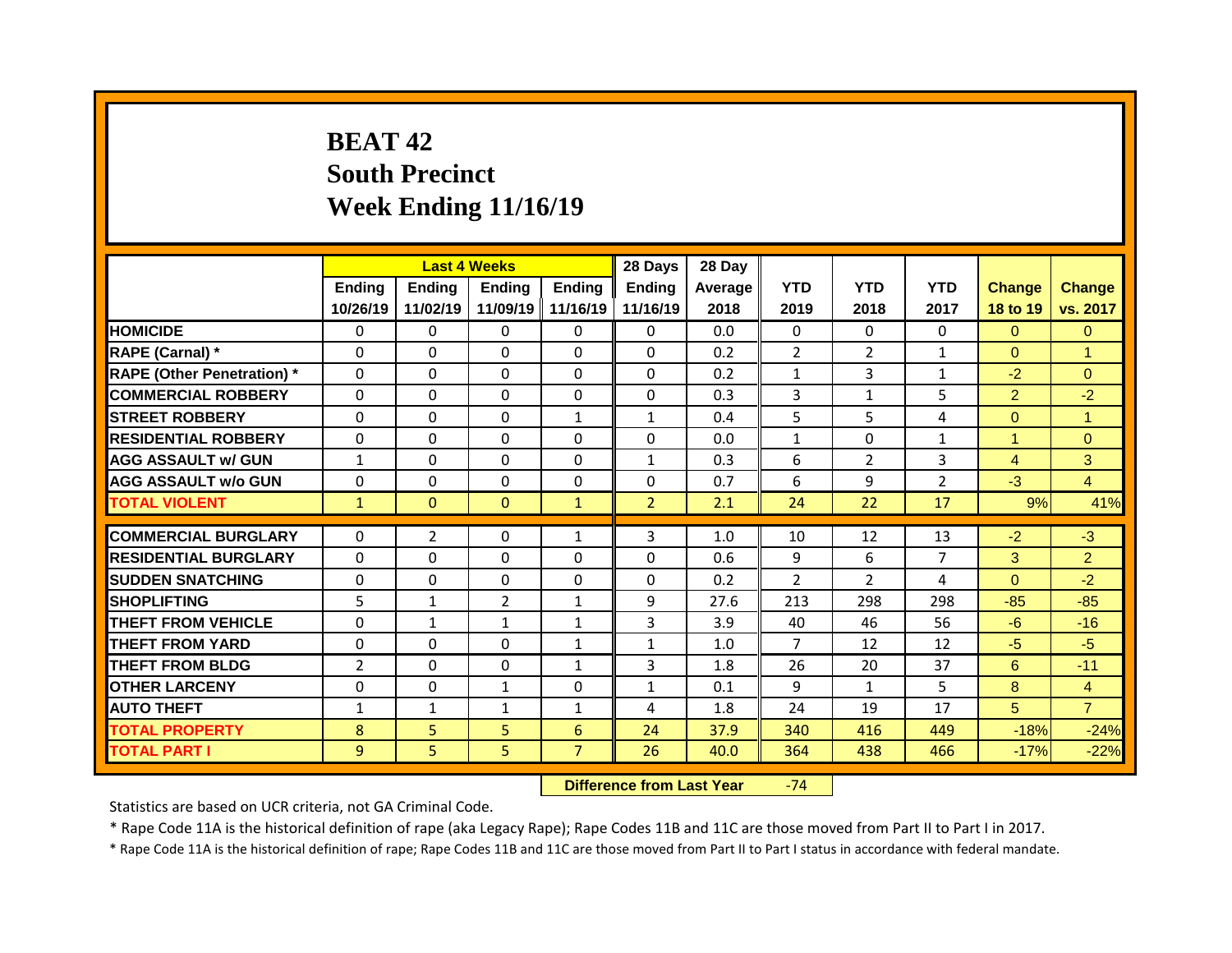## **BEAT 42 South Precinct Week Ending 11/16/19**

|                                   |                | <b>Last 4 Weeks</b> |                   |                | 28 Days        | 28 Day  |                |                |                |                |                |
|-----------------------------------|----------------|---------------------|-------------------|----------------|----------------|---------|----------------|----------------|----------------|----------------|----------------|
|                                   | Ending         | <b>Ending</b>       | <b>Ending</b>     | <b>Ending</b>  | <b>Ending</b>  | Average | <b>YTD</b>     | <b>YTD</b>     | <b>YTD</b>     | <b>Change</b>  | Change         |
|                                   | 10/26/19       | 11/02/19            | 11/09/19 11/16/19 |                | 11/16/19       | 2018    | 2019           | 2018           | 2017           | 18 to 19       | vs. 2017       |
| <b>HOMICIDE</b>                   | $\mathbf{0}$   | 0                   | $\Omega$          | $\Omega$       | $\Omega$       | 0.0     | $\Omega$       | $\Omega$       | $\Omega$       | $\Omega$       | $\Omega$       |
| RAPE (Carnal) *                   | $\Omega$       | $\Omega$            | $\Omega$          | $\Omega$       | $\Omega$       | 0.2     | $\overline{2}$ | $\overline{2}$ | $\mathbf{1}$   | $\Omega$       | $\overline{1}$ |
| <b>RAPE (Other Penetration)</b> * | $\mathbf 0$    | 0                   | $\Omega$          | $\Omega$       | $\Omega$       | 0.2     | $\mathbf{1}$   | 3              | $\mathbf{1}$   | $-2$           | $\overline{0}$ |
| <b>COMMERCIAL ROBBERY</b>         | $\mathbf 0$    | 0                   | $\Omega$          | $\Omega$       | $\Omega$       | 0.3     | 3              | $\mathbf{1}$   | 5              | $\overline{2}$ | $-2$           |
| <b>STREET ROBBERY</b>             | $\mathbf 0$    | 0                   | 0                 | $\mathbf{1}$   | $\mathbf{1}$   | 0.4     | 5              | 5              | 4              | $\overline{0}$ | $\mathbf{1}$   |
| <b>RESIDENTIAL ROBBERY</b>        | $\mathbf{0}$   | 0                   | 0                 | 0              | $\Omega$       | 0.0     | $\mathbf{1}$   | $\Omega$       | $\mathbf{1}$   | $\mathbf{1}$   | $\Omega$       |
| <b>AGG ASSAULT w/ GUN</b>         | $\mathbf{1}$   | 0                   | 0                 | $\mathbf 0$    | $\mathbf{1}$   | 0.3     | 6              | $\overline{2}$ | 3              | $\overline{4}$ | 3              |
| <b>AGG ASSAULT w/o GUN</b>        | 0              | 0                   | 0                 | 0              | $\Omega$       | 0.7     | 6              | 9              | $\overline{2}$ | $-3$           | $\overline{4}$ |
| <b>TOTAL VIOLENT</b>              | $\mathbf{1}$   | $\mathbf{0}$        | $\mathbf{0}$      | $\mathbf{1}$   | $\overline{2}$ | 2.1     | 24             | 22             | 17             | 9%             | 41%            |
|                                   |                |                     |                   |                |                |         |                |                |                |                |                |
| <b>COMMERCIAL BURGLARY</b>        | $\Omega$       | $\overline{2}$      | $\Omega$          | $\mathbf{1}$   | 3              | 1.0     | 10             | 12             | 13             | $-2$           | $-3$           |
| <b>RESIDENTIAL BURGLARY</b>       | $\Omega$       | $\Omega$            | $\Omega$          | $\Omega$       | $\Omega$       | 0.6     | 9              | 6              | $\overline{7}$ | 3              | $\overline{2}$ |
| <b>SUDDEN SNATCHING</b>           | $\mathbf{0}$   | $\Omega$            | $\Omega$          | $\Omega$       | 0              | 0.2     | $\mathcal{P}$  | $\overline{2}$ | 4              | $\Omega$       | $-2$           |
| <b>SHOPLIFTING</b>                | 5              | $\mathbf{1}$        | $\overline{2}$    | $\mathbf{1}$   | 9              | 27.6    | 213            | 298            | 298            | $-85$          | $-85$          |
| <b>THEFT FROM VEHICLE</b>         | 0              | $\mathbf{1}$        | $\mathbf{1}$      | $\mathbf{1}$   | 3              | 3.9     | 40             | 46             | 56             | $-6$           | $-16$          |
| <b>THEFT FROM YARD</b>            | $\mathbf 0$    | 0                   | $\Omega$          | $\mathbf{1}$   | $\mathbf{1}$   | 1.0     | $\overline{7}$ | 12             | 12             | $-5$           | $-5$           |
| <b>THEFT FROM BLDG</b>            | $\overline{2}$ | 0                   | 0                 | $\mathbf{1}$   | 3              | 1.8     | 26             | 20             | 37             | 6              | $-11$          |
| <b>OTHER LARCENY</b>              | 0              | 0                   | $\mathbf{1}$      | $\Omega$       | $\mathbf{1}$   | 0.1     | 9              | $\mathbf{1}$   | 5              | 8              | $\overline{4}$ |
| <b>AUTO THEFT</b>                 | $\mathbf{1}$   | $\mathbf{1}$        | $\mathbf{1}$      | $\mathbf{1}$   | 4              | 1.8     | 24             | 19             | 17             | 5              | $\overline{7}$ |
| <b>TOTAL PROPERTY</b>             | 8              | 5 <sup>1</sup>      | 5                 | $6\phantom{1}$ | 24             | 37.9    | 340            | 416            | 449            | $-18%$         | $-24%$         |
| <b>TOTAL PART I</b>               | 9              | 5                   | 5                 | $\overline{7}$ | 26             | 40.0    | 364            | 438            | 466            | $-17%$         | $-22%$         |

**Difference from Last Year -74** 

Statistics are based on UCR criteria, not GA Criminal Code.

\* Rape Code 11A is the historical definition of rape (aka Legacy Rape); Rape Codes 11B and 11C are those moved from Part II to Part I in 2017.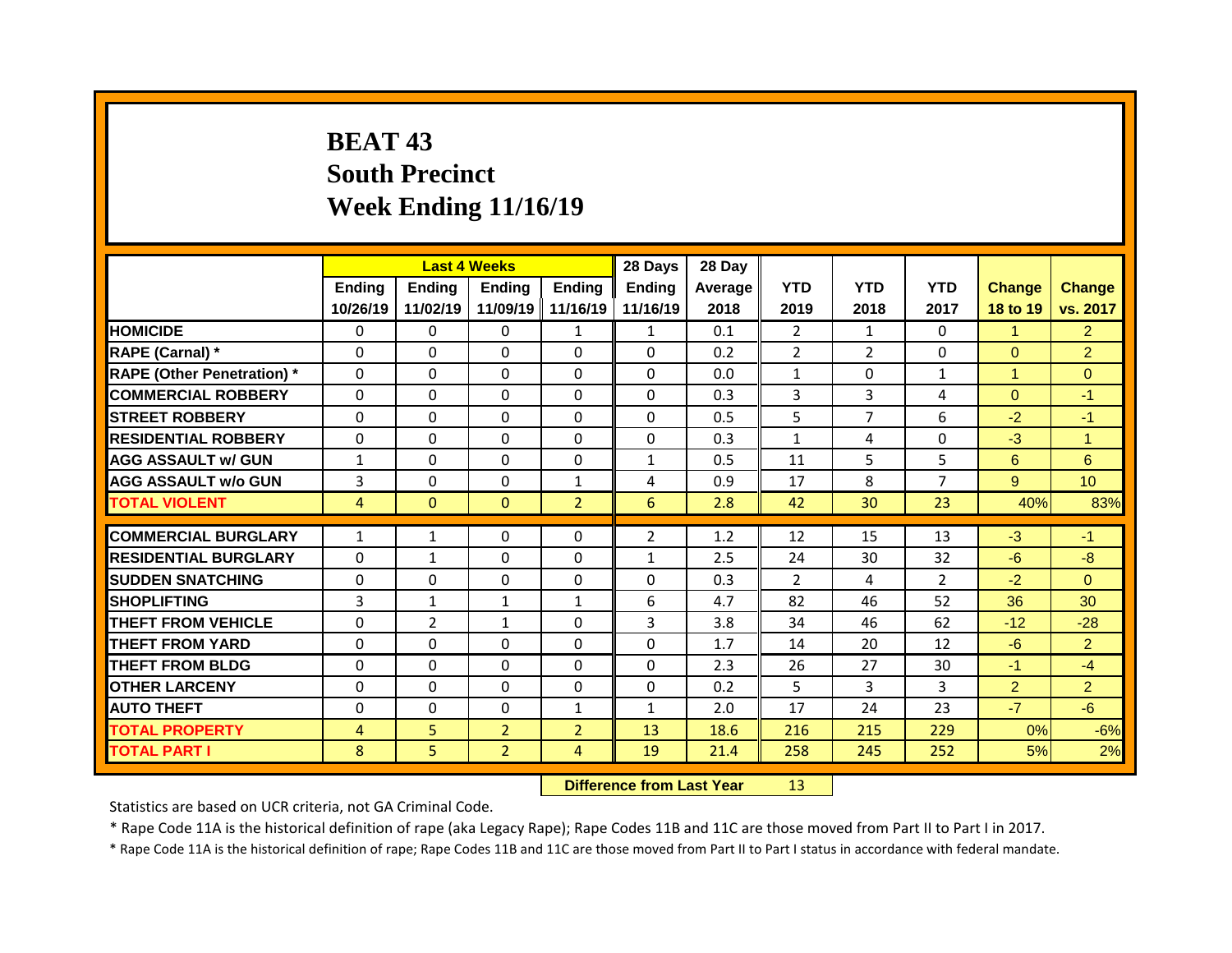## **BEAT 43 South Precinct Week Ending 11/16/19**

|                                   |                |                | <b>Last 4 Weeks</b> |                   | 28 Days        | 28 Day  |                |                |                      |                |                 |
|-----------------------------------|----------------|----------------|---------------------|-------------------|----------------|---------|----------------|----------------|----------------------|----------------|-----------------|
|                                   | <b>Ending</b>  | <b>Ending</b>  | <b>Ending</b>       | <b>Ending</b>     | <b>Ending</b>  | Average | <b>YTD</b>     | <b>YTD</b>     | <b>YTD</b>           | <b>Change</b>  | <b>Change</b>   |
|                                   | 10/26/19       | 11/02/19       |                     | 11/09/19 11/16/19 | 11/16/19       | 2018    | 2019           | 2018           | 2017                 | 18 to 19       | vs. 2017        |
| <b>HOMICIDE</b>                   | $\Omega$       | 0              | $\Omega$            | $\mathbf{1}$      | $\mathbf{1}$   | 0.1     | $\overline{2}$ | $\mathbf{1}$   | $\Omega$             | $\mathbf 1$    | $\overline{2}$  |
| RAPE (Carnal) *                   | $\mathbf 0$    | 0              | 0                   | $\Omega$          | $\Omega$       | 0.2     | $\overline{2}$ | $\overline{2}$ | 0                    | $\overline{0}$ | $\overline{2}$  |
| <b>RAPE (Other Penetration)</b> * | 0              | 0              | $\Omega$            | $\Omega$          | $\Omega$       | 0.0     | $\mathbf{1}$   | $\Omega$       | $\mathbf{1}$         | $\mathbf{1}$   | $\Omega$        |
| <b>COMMERCIAL ROBBERY</b>         | $\mathbf 0$    | 0              | 0                   | 0                 | $\Omega$       | 0.3     | 3              | 3              | 4                    | $\overline{0}$ | $-1$            |
| <b>STREET ROBBERY</b>             | 0              | 0              | $\Omega$            | $\Omega$          | $\Omega$       | 0.5     | 5              | $\overline{7}$ | 6                    | $-2$           | $-1$            |
| <b>RESIDENTIAL ROBBERY</b>        | 0              | 0              | $\Omega$            | $\Omega$          | $\Omega$       | 0.3     | $\mathbf{1}$   | 4              | $\Omega$             | $-3$           | $\mathbf{1}$    |
| <b>AGG ASSAULT w/ GUN</b>         | $\mathbf{1}$   | 0              | 0                   | $\Omega$          | $\mathbf{1}$   | 0.5     | 11             | 5              | 5                    | 6              | 6               |
| <b>AGG ASSAULT w/o GUN</b>        | $\overline{3}$ | 0              | 0                   | $\mathbf{1}$      | 4              | 0.9     | 17             | 8              | $\overline{7}$       | 9 <sup>°</sup> | 10 <sup>°</sup> |
| <b>TOTAL VIOLENT</b>              | $\overline{4}$ | $\mathbf{0}$   | $\mathbf{0}$        | 2 <sup>1</sup>    | 6              | 2.8     | 42             | 30             | 23                   | 40%            | 83%             |
| <b>COMMERCIAL BURGLARY</b>        |                |                | 0                   | $\mathbf{0}$      | $\overline{2}$ | 1.2     | 12             | 15             | 13                   | $-3$           | $-1$            |
| <b>RESIDENTIAL BURGLARY</b>       | $\mathbf{1}$   | $\mathbf{1}$   |                     |                   |                |         |                |                |                      |                |                 |
|                                   | $\Omega$       | $\mathbf{1}$   | $\Omega$            | $\Omega$          | $\mathbf{1}$   | 2.5     | 24             | 30<br>4        | 32                   | $-6$           | $-8$            |
| <b>SUDDEN SNATCHING</b>           | $\mathbf{0}$   | $\Omega$       | 0                   | 0                 | 0<br>6         | 0.3     | 2              | 46             | $\overline{2}$<br>52 | $-2$           | $\Omega$<br>30  |
| <b>SHOPLIFTING</b>                | 3              | $\mathbf{1}$   | $\mathbf{1}$        | $\mathbf{1}$      |                | 4.7     | 82             |                |                      | 36             |                 |
| <b>THEFT FROM VEHICLE</b>         | 0              | $\overline{2}$ | $\mathbf{1}$        | $\Omega$          | 3              | 3.8     | 34             | 46             | 62                   | $-12$          | $-28$           |
| <b>THEFT FROM YARD</b>            | $\mathbf{0}$   | 0              | $\Omega$            | $\Omega$          | $\Omega$       | 1.7     | 14             | 20             | 12                   | $-6$           | $\overline{2}$  |
| <b>THEFT FROM BLDG</b>            | $\mathbf{0}$   | 0              | 0                   | $\Omega$          | $\Omega$       | 2.3     | 26             | 27             | 30                   | $-1$           | $-4$            |
| <b>OTHER LARCENY</b>              | $\mathbf{0}$   | 0              | $\Omega$            | $\Omega$          | $\Omega$       | 0.2     | 5              | 3              | 3                    | $\overline{2}$ | $\overline{2}$  |
| <b>AUTO THEFT</b>                 | 0              | 0              | 0                   | $\mathbf{1}$      | $\mathbf{1}$   | 2.0     | 17             | 24             | 23                   | $-7$           | $-6$            |
| <b>TOTAL PROPERTY</b>             | $\overline{4}$ | 5              | $\overline{2}$      | $\overline{2}$    | 13             | 18.6    | 216            | 215            | 229                  | 0%             | $-6%$           |
| <b>TOTAL PART I</b>               | 8              | 5              | $\overline{2}$      | $\overline{4}$    | 19             | 21.4    | 258            | 245            | 252                  | 5%             | 2%              |

**Difference from Last Year** 13

Statistics are based on UCR criteria, not GA Criminal Code.

\* Rape Code 11A is the historical definition of rape (aka Legacy Rape); Rape Codes 11B and 11C are those moved from Part II to Part I in 2017.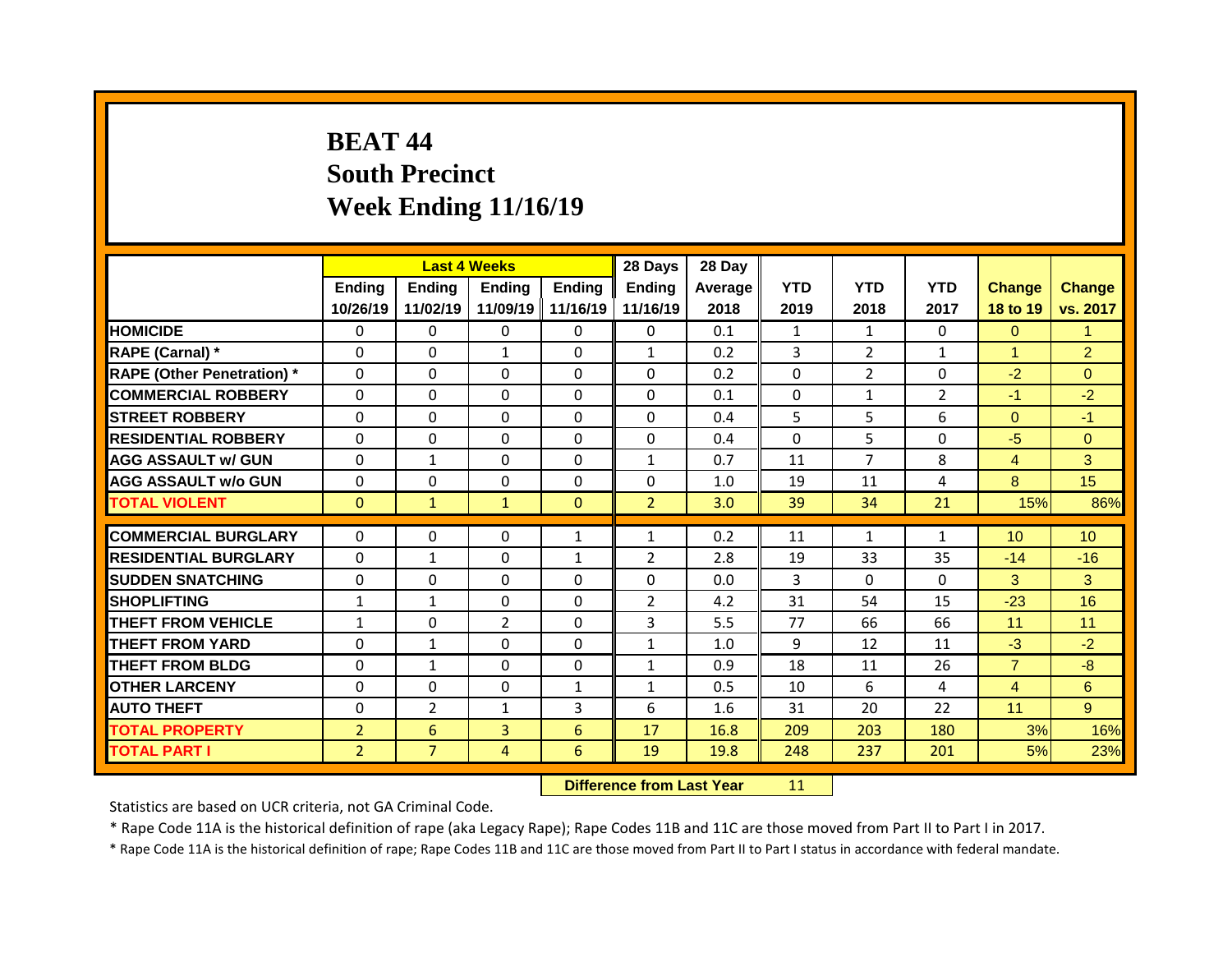## **BEAT 44 South Precinct Week Ending 11/16/19**

|                                   |                |                | <b>Last 4 Weeks</b> |                   | 28 Days        | 28 Day  |                |                |                |                |                 |
|-----------------------------------|----------------|----------------|---------------------|-------------------|----------------|---------|----------------|----------------|----------------|----------------|-----------------|
|                                   | <b>Ending</b>  | <b>Ending</b>  | <b>Ending</b>       | <b>Ending</b>     | <b>Ending</b>  | Average | <b>YTD</b>     | <b>YTD</b>     | <b>YTD</b>     | <b>Change</b>  | <b>Change</b>   |
|                                   | 10/26/19       | 11/02/19       |                     | 11/09/19 11/16/19 | 11/16/19       | 2018    | 2019           | 2018           | 2017           | 18 to 19       | vs. 2017        |
| <b>HOMICIDE</b>                   | $\Omega$       | 0              | $\Omega$            | $\Omega$          | $\Omega$       | 0.1     | $\mathbf{1}$   | $\mathbf{1}$   | $\Omega$       | $\Omega$       | 1               |
| RAPE (Carnal) *                   | $\mathbf 0$    | 0              | $\mathbf{1}$        | 0                 | $\mathbf{1}$   | 0.2     | $\overline{3}$ | $\overline{2}$ | $\mathbf{1}$   | $\mathbf{1}$   | $\overline{2}$  |
| <b>RAPE (Other Penetration)</b> * | 0              | 0              | $\Omega$            | $\Omega$          | $\Omega$       | 0.2     | $\Omega$       | $\overline{2}$ | $\Omega$       | $-2$           | $\Omega$        |
| <b>COMMERCIAL ROBBERY</b>         | $\mathbf 0$    | 0              | 0                   | 0                 | 0              | 0.1     | 0              | $\mathbf{1}$   | $\overline{2}$ | $-1$           | $-2$            |
| <b>STREET ROBBERY</b>             | 0              | 0              | $\Omega$            | $\Omega$          | $\Omega$       | 0.4     | 5              | 5              | 6              | $\overline{0}$ | $-1$            |
| <b>RESIDENTIAL ROBBERY</b>        | $\Omega$       | 0              | $\Omega$            | $\Omega$          | $\Omega$       | 0.4     | $\Omega$       | 5              | $\Omega$       | $-5$           | $\overline{0}$  |
| <b>AGG ASSAULT w/ GUN</b>         | $\mathbf 0$    | $\mathbf{1}$   | 0                   | $\Omega$          | $\mathbf{1}$   | 0.7     | 11             | $\overline{7}$ | 8              | $\overline{4}$ | 3               |
| <b>AGG ASSAULT w/o GUN</b>        | $\mathbf 0$    | 0              | 0                   | $\Omega$          | 0              | 1.0     | 19             | 11             | 4              | 8              | 15              |
| <b>TOTAL VIOLENT</b>              | $\mathbf{0}$   | $\mathbf{1}$   | $\mathbf{1}$        | $\mathbf{0}$      | $\overline{2}$ | 3.0     | 39             | 34             | 21             | 15%            | 86%             |
| <b>COMMERCIAL BURGLARY</b>        | 0              | 0              | 0                   | $\mathbf{1}$      | $\mathbf{1}$   | 0.2     | 11             | $\mathbf{1}$   | $\mathbf{1}$   | 10             | 10 <sup>°</sup> |
| <b>RESIDENTIAL BURGLARY</b>       | $\Omega$       | $\mathbf{1}$   | $\Omega$            | $\mathbf{1}$      | $\overline{2}$ | 2.8     | 19             | 33             | 35             | $-14$          | $-16$           |
| <b>SUDDEN SNATCHING</b>           | $\mathbf{0}$   | $\Omega$       | 0                   | 0                 | 0              | 0.0     | 3              | $\Omega$       | $\Omega$       | 3              | 3               |
| <b>SHOPLIFTING</b>                | $\mathbf{1}$   | $\mathbf{1}$   | $\Omega$            | $\Omega$          | $\overline{2}$ | 4.2     | 31             | 54             | 15             | $-23$          | 16              |
| <b>THEFT FROM VEHICLE</b>         | $\mathbf{1}$   | 0              | $\overline{2}$      | $\Omega$          | 3              | 5.5     | 77             | 66             | 66             | 11             | 11              |
| <b>THEFT FROM YARD</b>            | $\mathbf{0}$   | $\mathbf{1}$   | $\Omega$            | $\Omega$          | $\mathbf{1}$   | 1.0     | 9              | 12             | 11             | $-3$           | $-2$            |
| <b>THEFT FROM BLDG</b>            | $\mathbf{0}$   | $\mathbf{1}$   | 0                   | $\Omega$          | $\mathbf{1}$   | 0.9     | 18             | 11             | 26             | $\overline{7}$ | $-8$            |
|                                   |                |                |                     |                   |                |         |                | 6              |                |                |                 |
| <b>OTHER LARCENY</b>              | $\mathbf{0}$   | 0              | 0                   | $\mathbf{1}$      | $\mathbf{1}$   | 0.5     | 10             |                | 4              | $\overline{4}$ | 6               |
| <b>AUTO THEFT</b>                 | 0              | $\overline{2}$ | $\mathbf{1}$        | $\overline{3}$    | 6              | 1.6     | 31             | 20             | 22             | 11             | 9 <sup>°</sup>  |
| <b>TOTAL PROPERTY</b>             | $\overline{2}$ | 6              | 3                   | 6                 | 17             | 16.8    | 209            | 203            | 180            | 3%             | 16%             |
| <b>TOTAL PART I</b>               | $\overline{2}$ | $\overline{7}$ | 4                   | 6                 | 19             | 19.8    | 248            | 237            | 201            | 5%             | 23%             |

**Difference from Last Year** 11

Statistics are based on UCR criteria, not GA Criminal Code.

\* Rape Code 11A is the historical definition of rape (aka Legacy Rape); Rape Codes 11B and 11C are those moved from Part II to Part I in 2017.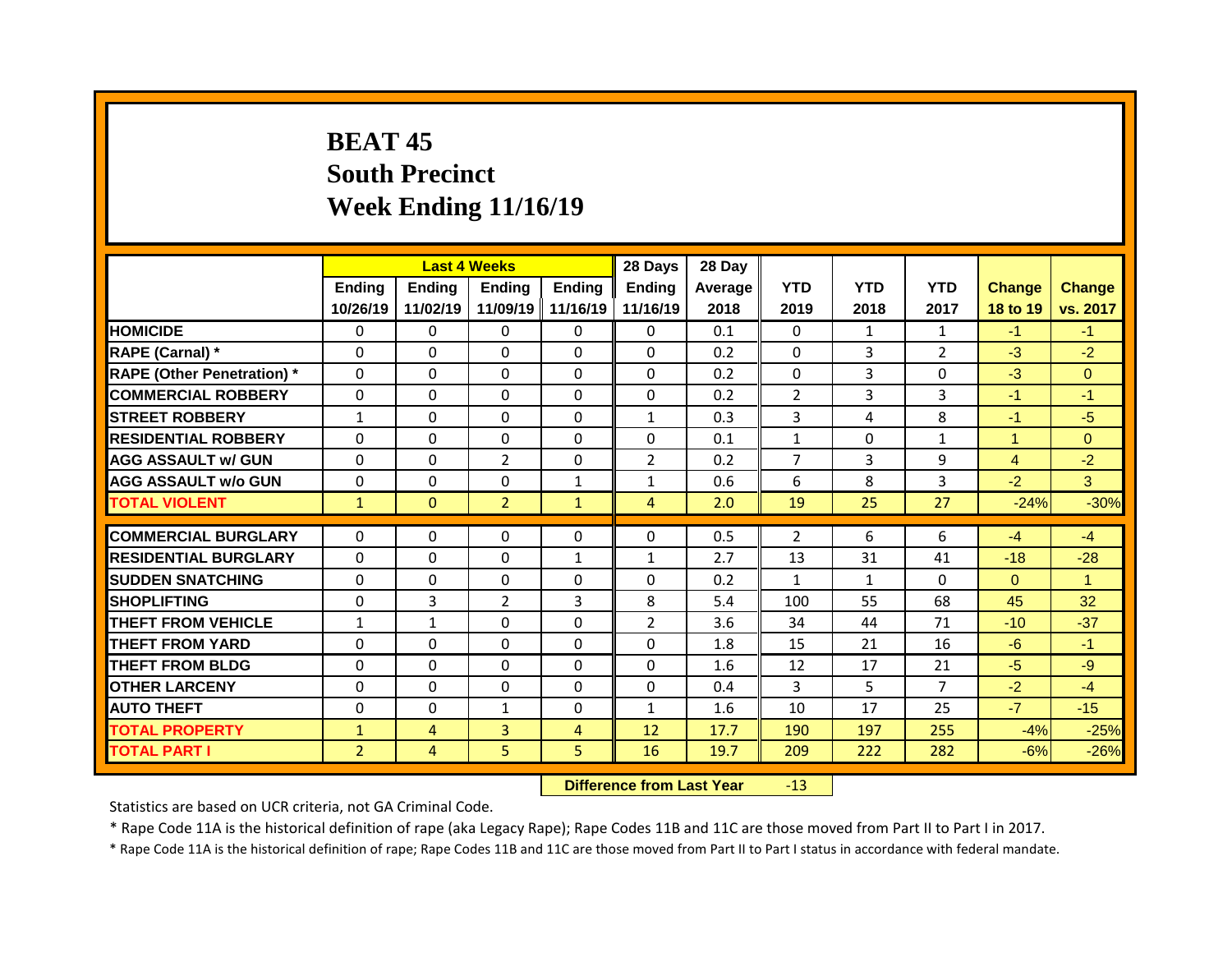## **BEAT 45 South Precinct Week Ending 11/16/19**

|                                   |                | <b>Last 4 Weeks</b> |                     |                   | 28 Days           | 28 Day  |                    |                |                |                |                |
|-----------------------------------|----------------|---------------------|---------------------|-------------------|-------------------|---------|--------------------|----------------|----------------|----------------|----------------|
|                                   | Ending         | <b>Ending</b>       | <b>Ending</b>       | <b>Ending</b>     | <b>Ending</b>     | Average | <b>YTD</b>         | <b>YTD</b>     | <b>YTD</b>     | <b>Change</b>  | Change         |
|                                   | 10/26/19       | 11/02/19            | 11/09/19   11/16/19 |                   | 11/16/19          | 2018    | 2019               | 2018           | 2017           | 18 to 19       | vs. 2017       |
| <b>HOMICIDE</b>                   | $\Omega$       | $\Omega$            | $\Omega$            | $\Omega$          | $\Omega$          | 0.1     | $\Omega$           | $\mathbf{1}$   | $\mathbf{1}$   | $-1$           | $-1$           |
| RAPE (Carnal) *                   | $\Omega$       | $\Omega$            | $\Omega$            | $\Omega$          | $\Omega$          | 0.2     | $\Omega$           | 3              | $\overline{2}$ | $-3$           | $-2$           |
| <b>RAPE (Other Penetration) *</b> | $\mathbf 0$    | 0                   | 0                   | $\Omega$          | $\Omega$          | 0.2     | $\mathbf 0$        | 3              | $\Omega$       | $-3$           | $\overline{0}$ |
| <b>COMMERCIAL ROBBERY</b>         | $\mathbf 0$    | 0                   | 0                   | $\mathbf{0}$      | $\Omega$          | 0.2     | $\overline{2}$     | 3              | 3              | $-1$           | $-1$           |
| <b>STREET ROBBERY</b>             | $\mathbf{1}$   | 0                   | $\Omega$            | $\Omega$          | $\mathbf{1}$      | 0.3     | 3                  | 4              | 8              | $-1$           | $-5$           |
| <b>RESIDENTIAL ROBBERY</b>        | $\mathbf 0$    | 0                   | 0                   | $\Omega$          | $\Omega$          | 0.1     | $\mathbf{1}$       | $\Omega$       | $\mathbf{1}$   | $\mathbf{1}$   | $\overline{0}$ |
| <b>AGG ASSAULT w/ GUN</b>         | $\Omega$       | 0                   | $\overline{2}$      | $\Omega$          | $\overline{2}$    | 0.2     | $\overline{7}$     | $\overline{3}$ | 9              | $\overline{4}$ | $-2$           |
| <b>AGG ASSAULT w/o GUN</b>        | $\mathbf 0$    | 0                   | 0                   | $\mathbf{1}$      | $\mathbf{1}$      | 0.6     | 6                  | 8              | 3              | $-2$           | 3              |
| <b>TOTAL VIOLENT</b>              | $\mathbf{1}$   | $\mathbf{0}$        | $\overline{2}$      | $\mathbf{1}$      | 4                 | 2.0     | 19                 | 25             | 27             | $-24%$         | $-30%$         |
| <b>COMMERCIAL BURGLARY</b>        | $\mathbf 0$    | 0                   | 0                   | 0                 | 0                 | 0.5     | $\overline{2}$     | 6              | 6              | $-4$           | $-4$           |
|                                   |                |                     |                     |                   |                   |         |                    |                |                |                |                |
| <b>RESIDENTIAL BURGLARY</b>       | $\mathbf{0}$   | $\Omega$            | 0                   | $\mathbf{1}$      | $\mathbf{1}$<br>0 | 2.7     | 13<br>$\mathbf{1}$ | 31             | 41<br>0        | $-18$          | $-28$          |
| <b>SUDDEN SNATCHING</b>           | $\mathbf{0}$   | 0                   | 0                   | $\mathbf{0}$<br>3 |                   | 0.2     |                    | $\mathbf{1}$   | 68             | $\Omega$       | $\mathbf{1}$   |
| <b>SHOPLIFTING</b>                | $\Omega$       | 3                   | $\overline{2}$      |                   | 8                 | 5.4     | 100                | 55             |                | 45             | 32             |
| <b>THEFT FROM VEHICLE</b>         | $\mathbf{1}$   | $\mathbf{1}$        | $\Omega$            | $\Omega$          | $\overline{2}$    | 3.6     | 34                 | 44             | 71             | $-10$          | $-37$          |
| <b>THEFT FROM YARD</b>            | $\Omega$       | $\Omega$            | $\Omega$            | $\Omega$          | $\Omega$          | 1.8     | 15                 | 21             | 16             | $-6$           | $-1$           |
| <b>THEFT FROM BLDG</b>            | $\mathbf{0}$   | 0                   | 0                   | $\mathbf{0}$      | $\Omega$          | 1.6     | 12                 | 17             | 21             | $-5$           | $-9$           |
| <b>OTHER LARCENY</b>              | $\mathbf 0$    | 0                   | 0                   | $\Omega$          | $\Omega$          | 0.4     | 3                  | 5              | $\overline{7}$ | $-2$           | $-4$           |
| <b>AUTO THEFT</b>                 | $\mathbf 0$    | 0                   | $\mathbf{1}$        | 0                 | $\mathbf{1}$      | 1.6     | 10                 | 17             | 25             | $-7$           | $-15$          |
| <b>TOTAL PROPERTY</b>             | $\mathbf{1}$   | $\overline{4}$      | 3                   | $\overline{4}$    | 12                | 17.7    | 190                | 197            | 255            | $-4%$          | $-25%$         |
| <b>TOTAL PART I</b>               | $\overline{2}$ | $\overline{4}$      | 5                   | 5                 | 16                | 19.7    | 209                | 222            | 282            | $-6%$          | $-26%$         |

**Difference from Last Year** -13

Statistics are based on UCR criteria, not GA Criminal Code.

\* Rape Code 11A is the historical definition of rape (aka Legacy Rape); Rape Codes 11B and 11C are those moved from Part II to Part I in 2017.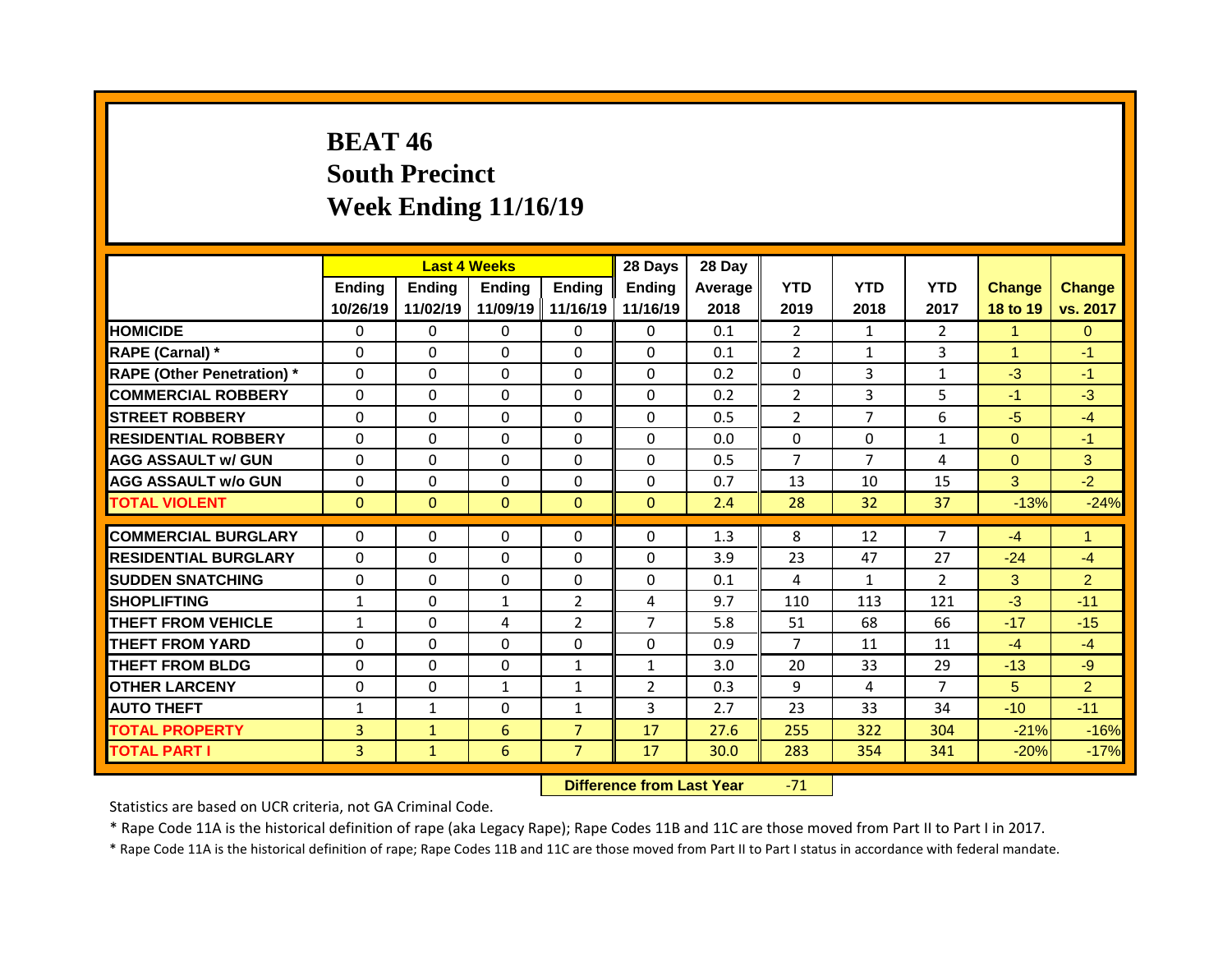## **BEAT 46 South Precinct Week Ending 11/16/19**

|                                              |                                  |                              | <b>Last 4 Weeks</b> |                                  | 28 Days        | 28 Day       |                |                |                |                  |                  |
|----------------------------------------------|----------------------------------|------------------------------|---------------------|----------------------------------|----------------|--------------|----------------|----------------|----------------|------------------|------------------|
|                                              | <b>Ending</b>                    | <b>Ending</b>                | <b>Ending</b>       | <b>Ending</b>                    | <b>Ending</b>  | Average      | <b>YTD</b>     | <b>YTD</b>     | <b>YTD</b>     | <b>Change</b>    | <b>Change</b>    |
|                                              | 10/26/19                         | 11/02/19                     |                     | 11/09/19 11/16/19                | 11/16/19       | 2018         | 2019           | 2018           | 2017           | 18 to 19         | vs. 2017         |
| <b>HOMICIDE</b>                              | $\Omega$                         | 0                            | $\Omega$            | $\Omega$                         | $\Omega$       | 0.1          | $\overline{2}$ | $\mathbf{1}$   | $\overline{2}$ | $\mathbf 1$      | $\Omega$         |
| RAPE (Carnal) *                              | $\mathbf 0$                      | 0                            | 0                   | 0                                | $\Omega$       | 0.1          | $\overline{2}$ | $\mathbf{1}$   | 3              | $\mathbf{1}$     | $-1$             |
| <b>RAPE (Other Penetration)</b> *            | 0                                | 0                            | $\Omega$            | $\Omega$                         | $\Omega$       | 0.2          | $\Omega$       | 3              | $\mathbf{1}$   | $-3$             | $-1$             |
| <b>COMMERCIAL ROBBERY</b>                    | $\mathbf 0$                      | 0                            | 0                   | 0                                | $\Omega$       | 0.2          | $\overline{2}$ | 3              | 5              | $-1$             | $-3$             |
| <b>STREET ROBBERY</b>                        | 0                                | 0                            | $\Omega$            | $\Omega$                         | $\Omega$       | 0.5          | $\overline{2}$ | $\overline{7}$ | 6              | $-5$             | $-4$             |
| <b>RESIDENTIAL ROBBERY</b>                   | $\Omega$                         | $\Omega$                     | $\Omega$            | $\Omega$                         | $\Omega$       | 0.0          | $\Omega$       | $\Omega$       | $\mathbf{1}$   | $\overline{0}$   | $-1$             |
| <b>AGG ASSAULT w/ GUN</b>                    | $\mathbf 0$                      | 0                            | 0                   | $\Omega$                         | $\Omega$       | 0.5          | $\overline{7}$ | $\overline{7}$ | 4              | $\overline{0}$   | 3                |
| <b>AGG ASSAULT w/o GUN</b>                   | $\mathbf 0$                      | 0                            | 0                   | $\Omega$                         | $\Omega$       | 0.7          | 13             | 10             | 15             | 3                | $-2$             |
| <b>TOTAL VIOLENT</b>                         | $\mathbf{0}$                     | $\mathbf{0}$                 | $\mathbf{0}$        | $\mathbf{0}$                     | $\mathbf{0}$   | 2.4          | 28             | 32             | 37             | $-13%$           | $-24%$           |
| <b>COMMERCIAL BURGLARY</b>                   | $\mathbf{0}$                     | $\Omega$                     | 0                   | $\mathbf{0}$                     | 0              | 1.3          | 8              | 12             | $\overline{7}$ | $-4$             | $\mathbf{1}$     |
| <b>RESIDENTIAL BURGLARY</b>                  | $\Omega$                         | $\Omega$                     | $\Omega$            | $\Omega$                         | 0              | 3.9          | 23             | 47             | 27             | $-24$            | $-4$             |
|                                              |                                  |                              |                     | 0                                |                |              |                |                |                |                  | 2                |
|                                              |                                  |                              |                     |                                  |                |              |                |                |                |                  |                  |
| <b>SUDDEN SNATCHING</b>                      | $\mathbf{0}$                     | $\Omega$                     | 0                   |                                  | 0              | 0.1          | 4              | $\mathbf{1}$   | $\mathcal{L}$  | 3                |                  |
| <b>SHOPLIFTING</b>                           | $\mathbf{1}$                     | $\Omega$                     | $\mathbf{1}$        | 2                                | 4              | 9.7          | 110            | 113            | 121            | $-3$             | $-11$            |
| <b>THEFT FROM VEHICLE</b>                    | $\mathbf{1}$                     | 0                            | 4                   | $\overline{2}$                   | $\overline{7}$ | 5.8          | 51             | 68             | 66             | $-17$            | $-15$            |
| <b>THEFT FROM YARD</b>                       | $\mathbf{0}$                     | 0                            | $\Omega$            | $\Omega$                         | $\Omega$       | 0.9          | $\overline{7}$ | 11             | 11             | $-4$             | $-4$             |
| <b>THEFT FROM BLDG</b>                       | $\mathbf{0}$                     | 0                            | 0                   | $\mathbf{1}$                     | $\mathbf{1}$   | 3.0          | 20             | 33             | 29             | $-13$            | $-9$             |
| <b>OTHER LARCENY</b>                         | $\mathbf{0}$                     | 0                            | $\mathbf{1}$        | $\mathbf{1}$                     | $\overline{2}$ | 0.3          | 9              | 4              | $\overline{7}$ | 5                | $\overline{2}$   |
| <b>AUTO THEFT</b>                            | $\mathbf{1}$                     | 1                            | 0                   | $\mathbf{1}$                     | 3              | 2.7          | 23             | 33             | 34             | $-10$            | $-11$            |
| <b>TOTAL PROPERTY</b><br><b>TOTAL PART I</b> | $\overline{3}$<br>$\overline{3}$ | $\mathbf{1}$<br>$\mathbf{1}$ | 6<br>$6\phantom{1}$ | $\overline{7}$<br>$\overline{7}$ | 17<br>17       | 27.6<br>30.0 | 255<br>283     | 322<br>354     | 304<br>341     | $-21%$<br>$-20%$ | $-16%$<br>$-17%$ |

**Difference from Last Year -71** 

Statistics are based on UCR criteria, not GA Criminal Code.

\* Rape Code 11A is the historical definition of rape (aka Legacy Rape); Rape Codes 11B and 11C are those moved from Part II to Part I in 2017.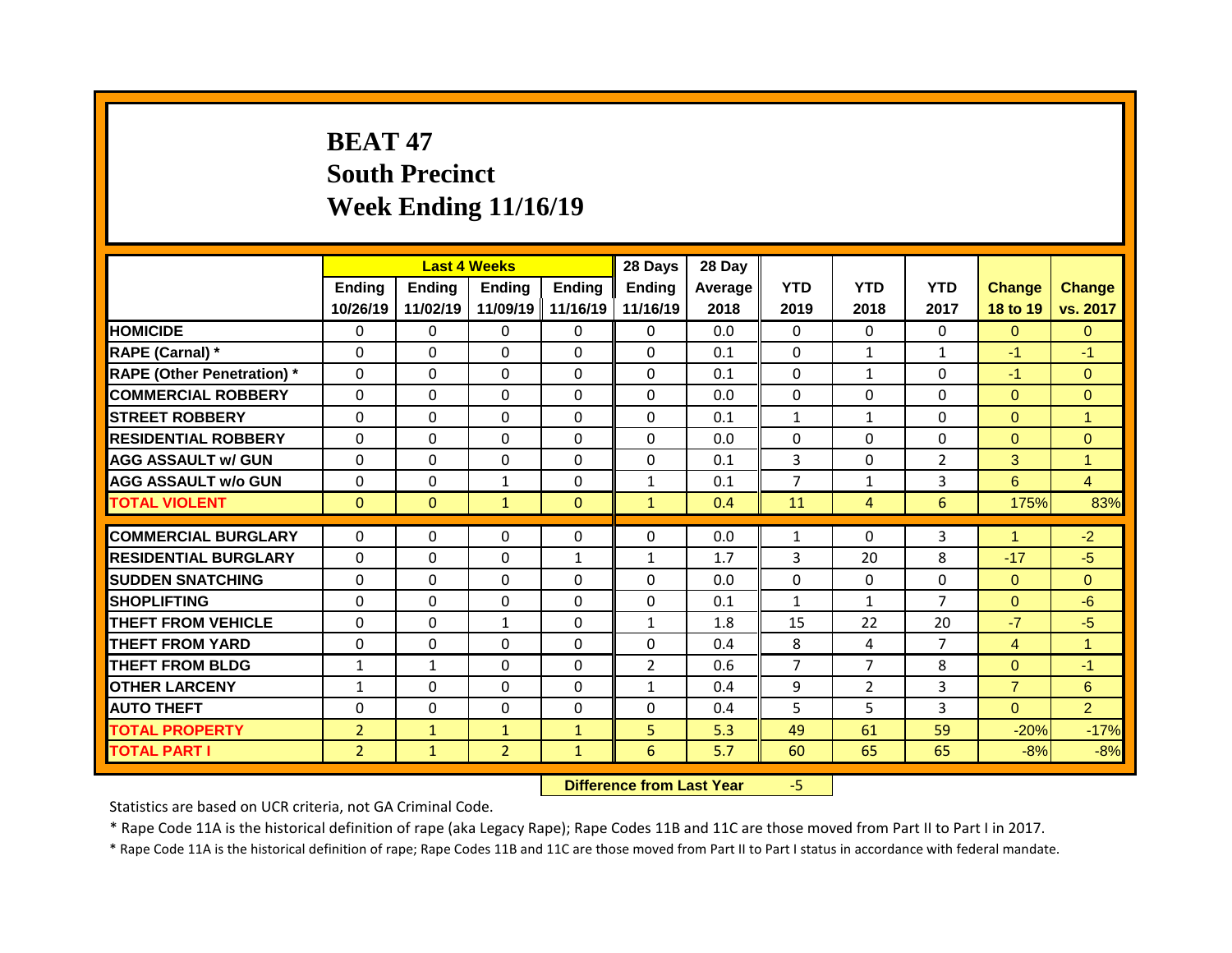## **BEAT 47 South Precinct Week Ending 11/16/19**

|                                   |                | <b>Last 4 Weeks</b> |                |               | 28 Days        | 28 Day  |                |                |                 |                 |                |
|-----------------------------------|----------------|---------------------|----------------|---------------|----------------|---------|----------------|----------------|-----------------|-----------------|----------------|
|                                   | Ending         | <b>Ending</b>       | <b>Ending</b>  | <b>Ending</b> | <b>Ending</b>  | Average | <b>YTD</b>     | <b>YTD</b>     | <b>YTD</b>      | <b>Change</b>   | <b>Change</b>  |
|                                   | 10/26/19       | 11/02/19            | 11/09/19       | 11/16/19      | 11/16/19       | 2018    | 2019           | 2018           | 2017            | <b>18 to 19</b> | vs. 2017       |
| <b>HOMICIDE</b>                   | 0              | $\Omega$            | $\Omega$       | $\Omega$      | $\Omega$       | 0.0     | $\Omega$       | $\Omega$       | 0               | $\Omega$        | $\mathbf{0}$   |
| RAPE (Carnal) *                   | $\Omega$       | $\mathbf{0}$        | $\Omega$       | $\Omega$      | $\Omega$       | 0.1     | $\mathbf{0}$   | 1              | $\mathbf{1}$    | $-1$            | $-1$           |
| <b>RAPE (Other Penetration) *</b> | $\Omega$       | $\Omega$            | $\Omega$       | $\Omega$      | $\Omega$       | 0.1     | $\Omega$       | $\mathbf{1}$   | 0               | $-1$            | $\Omega$       |
| <b>COMMERCIAL ROBBERY</b>         | $\Omega$       | $\Omega$            | $\Omega$       | $\Omega$      | $\Omega$       | 0.0     | $\Omega$       | $\Omega$       | $\Omega$        | $\Omega$        | $\overline{0}$ |
| <b>STREET ROBBERY</b>             | $\Omega$       | 0                   | $\Omega$       | $\Omega$      | $\Omega$       | 0.1     | $\mathbf{1}$   | $\mathbf{1}$   | $\Omega$        | $\overline{0}$  | $\mathbf{1}$   |
| <b>RESIDENTIAL ROBBERY</b>        | $\Omega$       | $\Omega$            | $\Omega$       | $\Omega$      | $\Omega$       | 0.0     | $\Omega$       | $\Omega$       | $\Omega$        | $\Omega$        | $\overline{0}$ |
| <b>AGG ASSAULT w/ GUN</b>         | 0              | 0                   | $\Omega$       | $\Omega$      | 0              | 0.1     | 3              | $\Omega$       | $\overline{2}$  | 3               | $\mathbf{1}$   |
| <b>AGG ASSAULT w/o GUN</b>        | 0              | 0                   | $\mathbf{1}$   | $\Omega$      | $\mathbf{1}$   | 0.1     | $\overline{7}$ | $\mathbf{1}$   | 3               | 6               | $\overline{4}$ |
| <b>TOTAL VIOLENT</b>              | $\overline{0}$ | $\overline{0}$      | $\mathbf{1}$   | $\mathbf{0}$  | $\mathbf{1}$   | 0.4     | 11             | $\overline{4}$ | $6\overline{6}$ | 175%            | 83%            |
|                                   |                |                     |                |               |                |         |                |                |                 |                 |                |
|                                   |                |                     |                |               |                |         |                |                |                 |                 |                |
| <b>COMMERCIAL BURGLARY</b>        | $\Omega$       | $\Omega$            | $\Omega$       | $\Omega$      | $\Omega$       | 0.0     | 1              | $\Omega$       | 3               | $\mathbf{1}$    | $-2$           |
| <b>RESIDENTIAL BURGLARY</b>       | $\Omega$       | $\mathbf{0}$        | $\Omega$       | $\mathbf{1}$  | $\mathbf{1}$   | 1.7     | 3              | 20             | 8               | $-17$           | $-5$           |
| <b>SUDDEN SNATCHING</b>           | $\Omega$       | $\mathbf{0}$        | $\Omega$       | $\Omega$      | $\Omega$       | 0.0     | $\mathbf{0}$   | $\Omega$       | $\Omega$        | $\overline{0}$  | $\Omega$       |
| <b>SHOPLIFTING</b>                | 0              | 0                   | $\mathbf 0$    | $\Omega$      | 0              | 0.1     | $\mathbf{1}$   | $\mathbf{1}$   | $\overline{7}$  | $\overline{0}$  | $-6$           |
| <b>THEFT FROM VEHICLE</b>         | $\Omega$       | $\Omega$            | $\mathbf{1}$   | $\Omega$      | $\mathbf{1}$   | 1.8     | 15             | 22             | 20              | $-7$            | $-5$           |
| <b>THEFT FROM YARD</b>            | $\Omega$       | $\Omega$            | $\Omega$       | $\Omega$      | $\Omega$       | 0.4     | 8              | 4              | $\overline{7}$  | $\overline{4}$  | $\mathbf{1}$   |
| <b>THEFT FROM BLDG</b>            | $\mathbf{1}$   | $\mathbf{1}$        | $\Omega$       | $\Omega$      | $\overline{2}$ | 0.6     | $\overline{7}$ | $\overline{7}$ | 8               | $\overline{0}$  | $-1$           |
| <b>OTHER LARCENY</b>              | $\mathbf{1}$   | $\Omega$            | $\Omega$       | $\Omega$      | $\mathbf{1}$   | 0.4     | 9              | $\overline{2}$ | 3               | $\overline{7}$  | 6              |
| <b>AUTO THEFT</b>                 | 0              | 0                   | $\mathbf 0$    | $\Omega$      | $\Omega$       | 0.4     | 5              | 5              | 3               | $\overline{0}$  | $\overline{2}$ |
| <b>TOTAL PROPERTY</b>             | $\overline{2}$ | $\mathbf{1}$        | $\mathbf{1}$   | $\mathbf{1}$  | 5              | 5.3     | 49             | 61             | 59              | $-20%$          | $-17%$         |
| <b>TOTAL PART I</b>               | $\overline{2}$ | $\mathbf{1}$        | $\overline{2}$ | $\mathbf{1}$  | 6              | 5.7     | 60             | 65             | 65              | $-8%$           | $-8%$          |

**Difference from Last Year** -5

Statistics are based on UCR criteria, not GA Criminal Code.

\* Rape Code 11A is the historical definition of rape (aka Legacy Rape); Rape Codes 11B and 11C are those moved from Part II to Part I in 2017.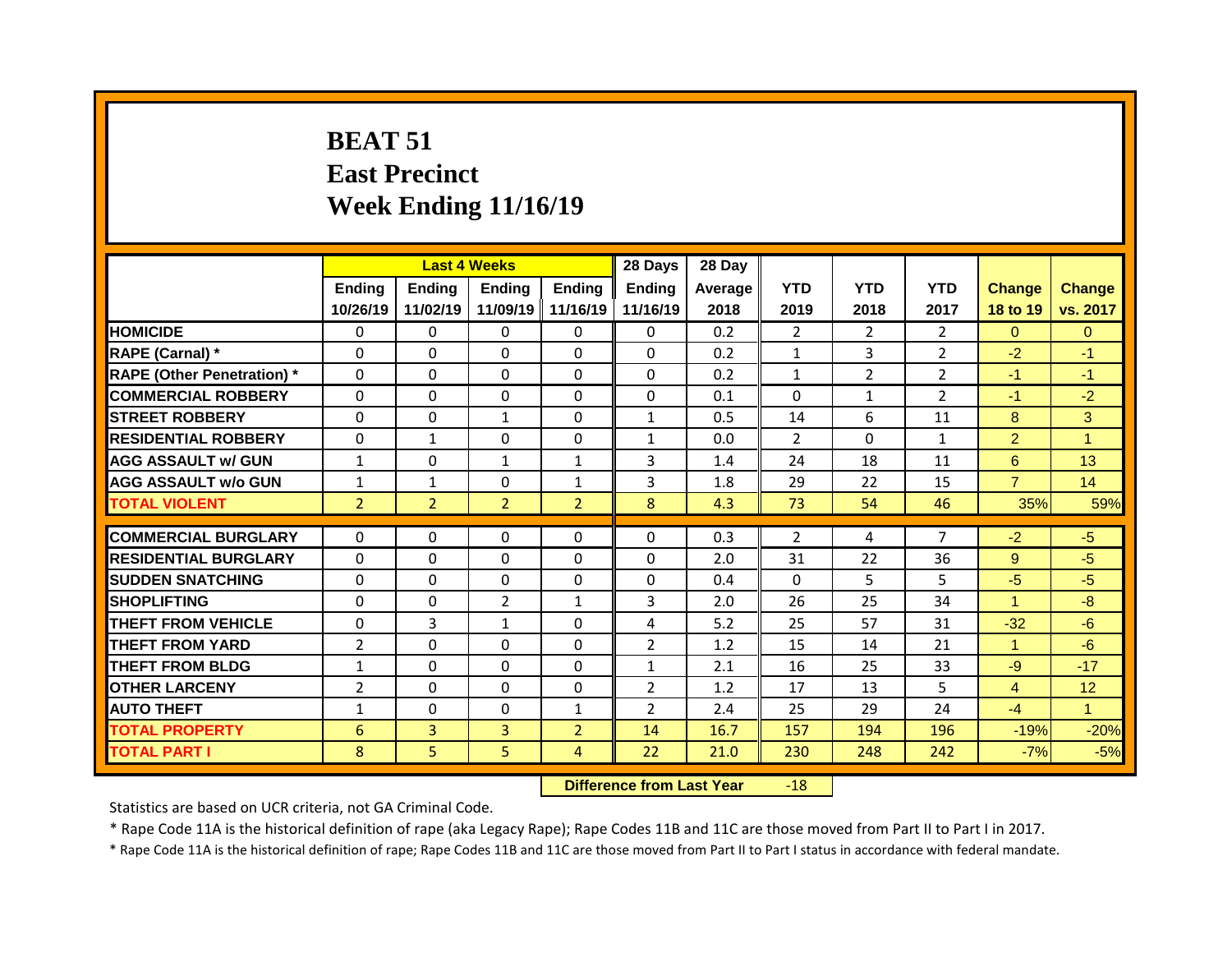# **BEAT 51 East Precinct Week Ending 11/16/19**

|                                   |                | <b>Last 4 Weeks</b> |                     |                | 28 Days        | 28 Day  |                |                |                |                |                |
|-----------------------------------|----------------|---------------------|---------------------|----------------|----------------|---------|----------------|----------------|----------------|----------------|----------------|
|                                   | <b>Ending</b>  | <b>Ending</b>       | <b>Ending</b>       | <b>Ending</b>  | <b>Ending</b>  | Average | <b>YTD</b>     | <b>YTD</b>     | <b>YTD</b>     | <b>Change</b>  | <b>Change</b>  |
|                                   | 10/26/19       | 11/02/19            | 11/09/19   11/16/19 |                | 11/16/19       | 2018    | 2019           | 2018           | 2017           | 18 to 19       | vs. 2017       |
| <b>HOMICIDE</b>                   | $\mathbf{0}$   | 0                   | $\Omega$            | $\Omega$       | $\mathbf{0}$   | 0.2     | $\overline{2}$ | $\overline{2}$ | $\overline{2}$ | $\Omega$       | $\overline{0}$ |
| RAPE (Carnal) *                   | $\mathbf{0}$   | $\Omega$            | $\Omega$            | $\Omega$       | $\Omega$       | 0.2     | $\mathbf{1}$   | 3              | $\overline{2}$ | $-2$           | $-1$           |
| <b>RAPE (Other Penetration)</b> * | $\Omega$       | 0                   | $\Omega$            | $\Omega$       | $\Omega$       | 0.2     | $\mathbf{1}$   | $\overline{2}$ | $\overline{2}$ | $-1$           | $-1$           |
| <b>COMMERCIAL ROBBERY</b>         | $\mathbf 0$    | 0                   | 0                   | 0              | $\mathbf{0}$   | 0.1     | $\mathbf{0}$   | $\mathbf{1}$   | $\overline{2}$ | $-1$           | $-2$           |
| <b>STREET ROBBERY</b>             | $\mathbf 0$    | 0                   | $\mathbf{1}$        | $\Omega$       | $\mathbf{1}$   | 0.5     | 14             | 6              | 11             | 8              | 3              |
| <b>RESIDENTIAL ROBBERY</b>        | $\mathbf 0$    | $\mathbf{1}$        | 0                   | 0              | $\mathbf{1}$   | 0.0     | $\overline{2}$ | $\Omega$       | $\mathbf{1}$   | $\overline{2}$ | $\overline{1}$ |
| <b>AGG ASSAULT w/ GUN</b>         | $\mathbf{1}$   | 0                   | $\mathbf{1}$        | $\mathbf{1}$   | 3              | 1.4     | 24             | 18             | 11             | 6              | 13             |
| <b>AGG ASSAULT w/o GUN</b>        | $\mathbf{1}$   | $\mathbf{1}$        | 0                   | $\mathbf{1}$   | 3              | 1.8     | 29             | 22             | 15             | $\overline{7}$ | 14             |
| <b>TOTAL VIOLENT</b>              | $\overline{2}$ | $\overline{2}$      | $\overline{2}$      | $\overline{2}$ | 8              | 4.3     | 73             | 54             | 46             | 35%            | 59%            |
|                                   |                |                     |                     |                |                |         |                |                |                |                |                |
| <b>COMMERCIAL BURGLARY</b>        | $\Omega$       | $\Omega$            | 0                   | $\Omega$       | $\Omega$       | 0.3     | $\overline{2}$ | 4              | $\overline{7}$ | $-2$           | $-5$           |
| <b>RESIDENTIAL BURGLARY</b>       | $\Omega$       | $\Omega$            | $\Omega$            | $\Omega$       | $\Omega$       | 2.0     | 31             | 22             | 36             | 9              | $-5$           |
| <b>SUDDEN SNATCHING</b>           | $\mathbf{0}$   | $\Omega$            | 0                   | 0              | 0              | 0.4     | $\Omega$       | 5.             | 5              | $-5$           | $-5$           |
| <b>SHOPLIFTING</b>                | $\Omega$       | 0                   | $\overline{2}$      | $\mathbf{1}$   | 3              | 2.0     | 26             | 25             | 34             | $\mathbf{1}$   | $-8$           |
| <b>THEFT FROM VEHICLE</b>         | $\mathbf 0$    | 3                   | $\mathbf{1}$        | 0              | 4              | 5.2     | 25             | 57             | 31             | $-32$          | $-6$           |
| <b>THEFT FROM YARD</b>            | $\overline{2}$ | 0                   | 0                   | $\Omega$       | $\overline{2}$ | 1.2     | 15             | 14             | 21             | $\mathbf{1}$   | $-6$           |
| <b>THEFT FROM BLDG</b>            | $\mathbf{1}$   | $\Omega$            | 0                   | $\Omega$       | $\mathbf{1}$   | 2.1     | 16             | 25             | 33             | $-9$           | $-17$          |
| <b>OTHER LARCENY</b>              | $\overline{2}$ | 0                   | 0                   | 0              | $\overline{2}$ | 1.2     | 17             | 13             | 5              | 4              | 12             |
| <b>AUTO THEFT</b>                 | $\mathbf{1}$   | $\Omega$            | 0                   | $\mathbf{1}$   | $\overline{2}$ | 2.4     | 25             | 29             | 24             | $-4$           | $\mathbf{1}$   |
| <b>TOTAL PROPERTY</b>             | 6              | $\overline{3}$      | $\overline{3}$      | $\overline{2}$ | 14             | 16.7    | 157            | 194            | 196            | $-19%$         | $-20%$         |
| <b>TOTAL PART I</b>               | 8              | 5                   | 5                   | $\overline{4}$ | 22             | 21.0    | 230            | 248            | 242            | $-7%$          | $-5%$          |

**Difference from Last Year** -18

Statistics are based on UCR criteria, not GA Criminal Code.

\* Rape Code 11A is the historical definition of rape (aka Legacy Rape); Rape Codes 11B and 11C are those moved from Part II to Part I in 2017.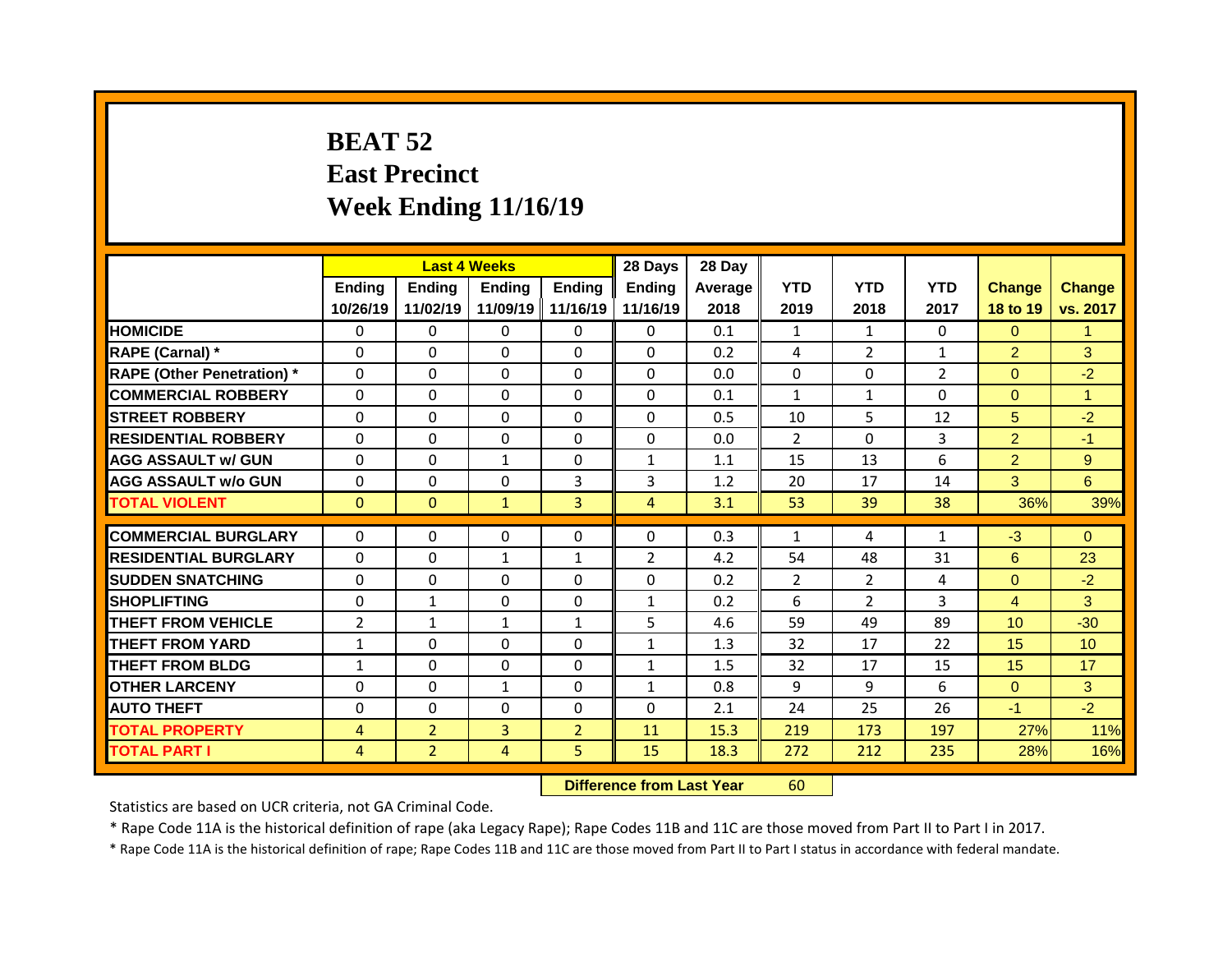## **BEAT 52 East Precinct Week Ending 11/16/19**

|                                   |                |                | <b>Last 4 Weeks</b> |                | 28 Days        | 28 Day  |                |                |                |                |                 |
|-----------------------------------|----------------|----------------|---------------------|----------------|----------------|---------|----------------|----------------|----------------|----------------|-----------------|
|                                   | Ending         | <b>Ending</b>  | <b>Ending</b>       | Ending         | <b>Ending</b>  | Average | <b>YTD</b>     | <b>YTD</b>     | <b>YTD</b>     | <b>Change</b>  | <b>Change</b>   |
|                                   | 10/26/19       | 11/02/19       | 11/09/19            | 11/16/19       | 11/16/19       | 2018    | 2019           | 2018           | 2017           | 18 to 19       | vs. 2017        |
| <b>HOMICIDE</b>                   | $\Omega$       | $\Omega$       | $\Omega$            | $\Omega$       | $\Omega$       | 0.1     | $\mathbf{1}$   | $\mathbf{1}$   | $\Omega$       | $\Omega$       | $\mathbf{1}$    |
| RAPE (Carnal) *                   | $\mathbf{0}$   | 0              | 0                   | $\Omega$       | $\Omega$       | 0.2     | 4              | $\overline{2}$ | $\mathbf{1}$   | $\overline{2}$ | 3               |
| <b>RAPE (Other Penetration)</b> * | $\mathbf{0}$   | 0              | $\Omega$            | $\Omega$       | $\Omega$       | 0.0     | $\Omega$       | $\Omega$       | $\overline{2}$ | $\overline{0}$ | $-2$            |
| <b>COMMERCIAL ROBBERY</b>         | $\mathbf 0$    | 0              | $\Omega$            | $\Omega$       | $\Omega$       | 0.1     | $\mathbf{1}$   | $\mathbf{1}$   | $\Omega$       | $\Omega$       | $\mathbf{1}$    |
| <b>STREET ROBBERY</b>             | $\mathbf{0}$   | 0              | $\Omega$            | $\Omega$       | $\Omega$       | 0.5     | 10             | 5              | 12             | 5 <sup>5</sup> | $-2$            |
| <b>RESIDENTIAL ROBBERY</b>        | $\Omega$       | $\Omega$       | 0                   | $\Omega$       | $\Omega$       | 0.0     | $\overline{2}$ | $\Omega$       | 3              | $\overline{2}$ | $-1$            |
| <b>AGG ASSAULT w/ GUN</b>         | $\mathbf 0$    | 0              | $\mathbf{1}$        | 0              | $\mathbf{1}$   | 1.1     | 15             | 13             | 6              | $\overline{2}$ | $\overline{9}$  |
| <b>AGG ASSAULT W/o GUN</b>        | $\mathbf 0$    | 0              | 0                   | $\overline{3}$ | 3              | 1.2     | 20             | 17             | 14             | 3              | 6 <sup>1</sup>  |
| <b>TOTAL VIOLENT</b>              | $\mathbf{0}$   | $\overline{0}$ | $\mathbf{1}$        | $\overline{3}$ | 4              | 3.1     | 53             | 39             | 38             | 36%            | 39%             |
|                                   |                |                |                     |                |                |         |                |                |                |                |                 |
| <b>COMMERCIAL BURGLARY</b>        | $\mathbf{0}$   | $\Omega$       | $\Omega$            | $\mathbf{0}$   | 0              | 0.3     | $\mathbf{1}$   | 4              | $\mathbf{1}$   | $-3$           | $\Omega$        |
| <b>RESIDENTIAL BURGLARY</b>       | 0              | 0              | $\mathbf{1}$        | $\mathbf{1}$   | $\overline{2}$ | 4.2     | 54             | 48             | 31             | 6              | 23              |
| <b>SUDDEN SNATCHING</b>           | $\mathbf{0}$   | $\Omega$       | 0                   | $\Omega$       | 0              | 0.2     | 2              | $\overline{2}$ | 4              | $\overline{0}$ | $-2$            |
| <b>SHOPLIFTING</b>                | $\mathbf{0}$   | $\mathbf{1}$   | 0                   | 0              | $\mathbf{1}$   | 0.2     | 6              | $\overline{2}$ | 3              | $\overline{4}$ | 3               |
| <b>THEFT FROM VEHICLE</b>         | $\overline{2}$ | $\mathbf{1}$   | $\mathbf{1}$        | $\mathbf{1}$   | 5              | 4.6     | 59             | 49             | 89             | 10             | $-30$           |
| <b>THEFT FROM YARD</b>            | $\mathbf{1}$   | 0              | $\Omega$            | $\Omega$       | $\mathbf{1}$   | 1.3     | 32             | 17             | 22             | 15             | 10 <sup>°</sup> |
| <b>THEFT FROM BLDG</b>            | $\mathbf{1}$   | $\Omega$       | $\Omega$            | $\Omega$       | $\mathbf{1}$   | 1.5     | 32             | 17             | 15             | 15             | 17              |
|                                   |                |                |                     |                |                |         |                |                |                |                |                 |
| <b>OTHER LARCENY</b>              | 0              | 0              | $\mathbf{1}$        | $\Omega$       | $\mathbf{1}$   | 0.8     | 9              | 9              | 6              | $\overline{0}$ | 3               |
| <b>AUTO THEFT</b>                 | $\mathbf 0$    | 0              | 0                   | 0              | $\Omega$       | 2.1     | 24             | 25             | 26             | $-1$           | $-2$            |
| <b>TOTAL PROPERTY</b>             | $\overline{4}$ | 2 <sup>2</sup> | 3                   | 2 <sup>1</sup> | 11             | 15.3    | 219            | 173            | 197            | 27%            | 11%             |

**Difference from Last Year** 60

Statistics are based on UCR criteria, not GA Criminal Code.

\* Rape Code 11A is the historical definition of rape (aka Legacy Rape); Rape Codes 11B and 11C are those moved from Part II to Part I in 2017.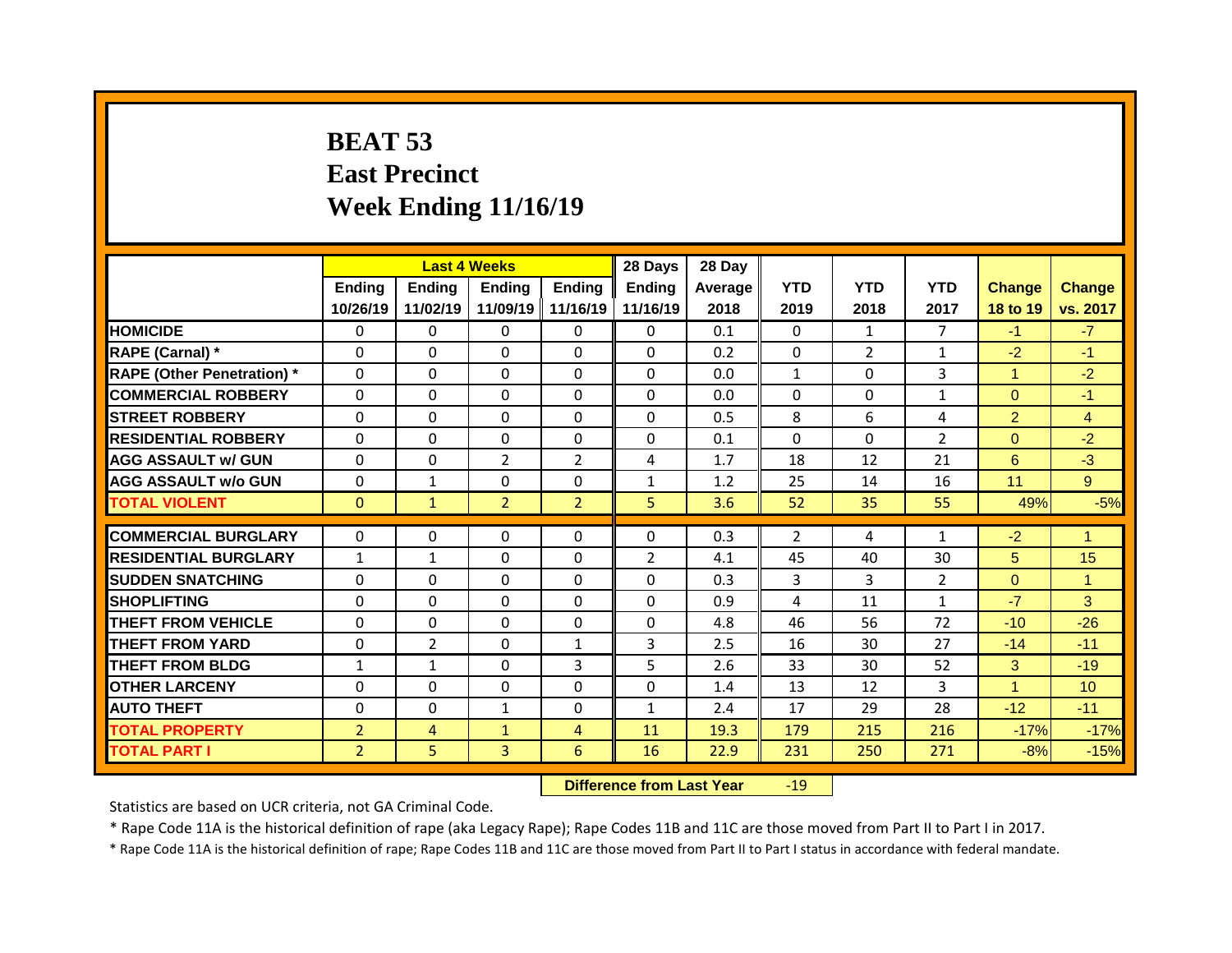## **BEAT 53 East Precinct Week Ending 11/16/19**

|                                   |                |                | <b>Last 4 Weeks</b> |                | 28 Days        | 28 Day  |                |                |                |                |                 |
|-----------------------------------|----------------|----------------|---------------------|----------------|----------------|---------|----------------|----------------|----------------|----------------|-----------------|
|                                   | Ending         | Ending         | <b>Ending</b>       | Ending         | <b>Ending</b>  | Average | <b>YTD</b>     | <b>YTD</b>     | <b>YTD</b>     | <b>Change</b>  | <b>Change</b>   |
|                                   | 10/26/19       | 11/02/19       | 11/09/19            | 11/16/19       | 11/16/19       | 2018    | 2019           | 2018           | 2017           | 18 to 19       | vs. 2017        |
| <b>HOMICIDE</b>                   | $\mathbf{0}$   | 0              | $\Omega$            | $\mathbf{0}$   | $\mathbf{0}$   | 0.1     | $\mathbf{0}$   | $\mathbf{1}$   | $\overline{7}$ | $-1$           | $-7$            |
| RAPE (Carnal) *                   | $\mathbf{0}$   | $\Omega$       | $\Omega$            | $\Omega$       | $\Omega$       | 0.2     | $\Omega$       | $\overline{2}$ | $\mathbf{1}$   | $-2$           | $-1$            |
| <b>RAPE (Other Penetration)</b> * | $\Omega$       | $\Omega$       | $\Omega$            | $\Omega$       | $\Omega$       | 0.0     | $\mathbf{1}$   | $\Omega$       | $\overline{3}$ | $\mathbf{1}$   | $-2$            |
| <b>COMMERCIAL ROBBERY</b>         | $\mathbf{0}$   | $\Omega$       | $\Omega$            | $\Omega$       | 0              | 0.0     | $\Omega$       | $\Omega$       | $\mathbf{1}$   | $\overline{0}$ | $-1$            |
| <b>STREET ROBBERY</b>             | $\mathbf 0$    | 0              | $\Omega$            | $\Omega$       | $\Omega$       | 0.5     | 8              | 6              | 4              | $\overline{2}$ | $\overline{4}$  |
| <b>RESIDENTIAL ROBBERY</b>        | $\mathbf{0}$   | 0              | $\Omega$            | $\Omega$       | $\Omega$       | 0.1     | $\Omega$       | $\Omega$       | $\overline{2}$ | $\overline{0}$ | $-2$            |
| <b>AGG ASSAULT w/ GUN</b>         | $\Omega$       | 0              | $\overline{2}$      | $\overline{2}$ | 4              | 1.7     | 18             | 12             | 21             | 6              | $-3$            |
| <b>AGG ASSAULT W/o GUN</b>        | $\mathbf{0}$   | $\mathbf{1}$   | 0                   | 0              | $\mathbf{1}$   | 1.2     | 25             | 14             | 16             | 11             | 9 <sup>°</sup>  |
| <b>TOTAL VIOLENT</b>              | $\mathbf{0}$   | $\mathbf{1}$   | $\overline{2}$      | $\overline{2}$ | 5              | 3.6     | 52             | 35             | 55             | 49%            | $-5%$           |
|                                   |                |                |                     |                |                |         |                |                |                |                |                 |
|                                   |                |                |                     |                |                |         |                |                |                |                |                 |
| <b>COMMERCIAL BURGLARY</b>        | 0              | 0              | 0                   | 0              | 0              | 0.3     | $\overline{2}$ | 4              | 1              | $-2$           | $\mathbf{1}$    |
| <b>RESIDENTIAL BURGLARY</b>       | $\mathbf{1}$   | 1              | 0                   | 0              | $\overline{2}$ | 4.1     | 45             | 40             | 30             | 5 <sup>5</sup> | 15              |
| <b>SUDDEN SNATCHING</b>           | 0              | 0              | $\Omega$            | $\mathbf{0}$   | $\mathbf{0}$   | 0.3     | 3              | 3              | $\overline{2}$ | $\overline{0}$ | $\mathbf{1}$    |
| <b>SHOPLIFTING</b>                | $\mathbf{0}$   | 0              | $\Omega$            | $\Omega$       | $\Omega$       | 0.9     | 4              | 11             | $\mathbf{1}$   | $-7$           | 3 <sup>1</sup>  |
| <b>THEFT FROM VEHICLE</b>         | 0              | 0              | 0                   | 0              | 0              | 4.8     | 46             | 56             | 72             | $-10$          | $-26$           |
| <b>THEFT FROM YARD</b>            | $\mathbf{0}$   | $\overline{2}$ | $\Omega$            | $\mathbf{1}$   | 3              | 2.5     | 16             | 30             | 27             | $-14$          | $-11$           |
| <b>THEFT FROM BLDG</b>            | $\mathbf{1}$   | $\mathbf{1}$   | 0                   | 3              | 5              | 2.6     | 33             | 30             | 52             | 3              | $-19$           |
| <b>OTHER LARCENY</b>              | $\mathbf{0}$   | 0              | $\Omega$            | $\Omega$       | $\Omega$       | 1.4     | 13             | 12             | 3              | $\mathbf{1}$   | 10 <sup>°</sup> |
| <b>AUTO THEFT</b>                 | $\mathbf{0}$   | $\Omega$       | $\mathbf{1}$        | 0              | $\mathbf{1}$   | 2.4     | 17             | 29             | 28             | $-12$          | $-11$           |
| <b>TOTAL PROPERTY</b>             | $\overline{2}$ | $\overline{4}$ | $\mathbf{1}$        | $\overline{4}$ | 11             | 19.3    | 179            | 215            | 216            | $-17%$         | $-17%$          |
| <b>TOTAL PART I</b>               | $\overline{2}$ | 5              | 3                   | 6              | 16             | 22.9    | 231            | 250            | 271            | $-8%$          | $-15%$          |

**Difference from Last Year -19** 

Statistics are based on UCR criteria, not GA Criminal Code.

\* Rape Code 11A is the historical definition of rape (aka Legacy Rape); Rape Codes 11B and 11C are those moved from Part II to Part I in 2017.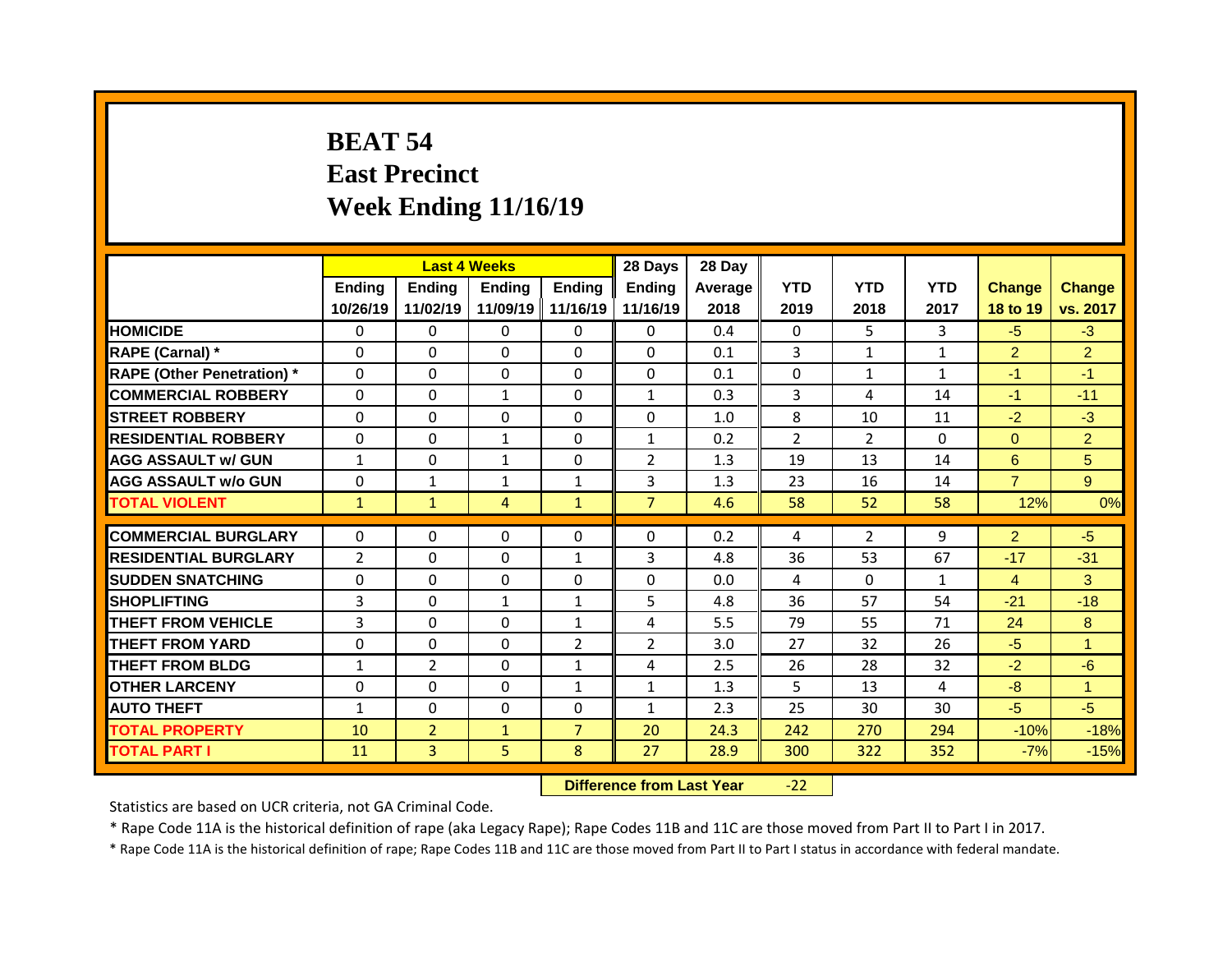## **BEAT 54 East Precinct Week Ending 11/16/19**

|                                   |                |                | <b>Last 4 Weeks</b> |                | 28 Days        | 28 Day  |                |                |              |                |                |
|-----------------------------------|----------------|----------------|---------------------|----------------|----------------|---------|----------------|----------------|--------------|----------------|----------------|
|                                   | Ending         | <b>Ending</b>  | <b>Ending</b>       | Ending         | <b>Ending</b>  | Average | <b>YTD</b>     | <b>YTD</b>     | <b>YTD</b>   | <b>Change</b>  | <b>Change</b>  |
|                                   | 10/26/19       | 11/02/19       | 11/09/19            | 11/16/19       | 11/16/19       | 2018    | 2019           | 2018           | 2017         | 18 to 19       | vs. 2017       |
| <b>HOMICIDE</b>                   | $\Omega$       | $\Omega$       | $\Omega$            | $\Omega$       | $\Omega$       | 0.4     | $\Omega$       | 5.             | 3            | $-5$           | $-3$           |
| RAPE (Carnal) *                   | $\mathbf{0}$   | 0              | 0                   | $\Omega$       | $\Omega$       | 0.1     | 3              | $\mathbf{1}$   | $\mathbf{1}$ | $\overline{2}$ | $\overline{2}$ |
| <b>RAPE (Other Penetration)</b> * | $\mathbf{0}$   | 0              | $\Omega$            | $\Omega$       | $\Omega$       | 0.1     | $\Omega$       | $\mathbf{1}$   | $\mathbf{1}$ | $-1$           | $-1$           |
| <b>COMMERCIAL ROBBERY</b>         | $\mathbf 0$    | 0              | $\mathbf{1}$        | $\Omega$       | $\mathbf{1}$   | 0.3     | 3              | 4              | 14           | $-1$           | $-11$          |
| <b>STREET ROBBERY</b>             | $\mathbf{0}$   | 0              | 0                   | $\Omega$       | 0              | 1.0     | 8              | 10             | 11           | $-2$           | $-3$           |
| <b>RESIDENTIAL ROBBERY</b>        | $\mathbf 0$    | $\Omega$       | $\mathbf{1}$        | $\Omega$       | $\mathbf{1}$   | 0.2     | $\overline{2}$ | $\overline{2}$ | $\Omega$     | $\Omega$       | $\overline{2}$ |
| <b>AGG ASSAULT w/ GUN</b>         | $\mathbf{1}$   | 0              | $\mathbf{1}$        | 0              | $\overline{2}$ | 1.3     | 19             | 13             | 14           | 6              | 5 <sup>5</sup> |
| <b>AGG ASSAULT W/o GUN</b>        | $\mathbf 0$    | $\mathbf{1}$   | $\mathbf{1}$        | $\mathbf{1}$   | 3              | 1.3     | 23             | 16             | 14           | $\overline{7}$ | 9 <sup>°</sup> |
| <b>TOTAL VIOLENT</b>              | $\mathbf{1}$   | $\mathbf{1}$   | $\overline{4}$      | $\mathbf{1}$   | $\overline{7}$ | 4.6     | 58             | 52             | 58           | 12%            | 0%             |
|                                   |                |                |                     |                |                |         |                |                |              |                |                |
| <b>COMMERCIAL BURGLARY</b>        | $\mathbf{0}$   | $\Omega$       | $\Omega$            | $\Omega$       | $\Omega$       | 0.2     | 4              | $\overline{2}$ | 9            | $\overline{2}$ | $-5$           |
| <b>RESIDENTIAL BURGLARY</b>       | $\overline{2}$ | 0              | 0                   | $\mathbf{1}$   | 3              | 4.8     | 36             | 53             | 67           | $-17$          | $-31$          |
| <b>SUDDEN SNATCHING</b>           | $\mathbf{0}$   | $\Omega$       | 0                   | $\Omega$       | 0              | 0.0     | 4              | $\Omega$       | $\mathbf{1}$ | $\overline{4}$ | 3              |
| <b>SHOPLIFTING</b>                | 3              | 0              | $\mathbf{1}$        | $\mathbf{1}$   | 5              | 4.8     | 36             | 57             | 54           | $-21$          | $-18$          |
| <b>THEFT FROM VEHICLE</b>         | 3              | $\Omega$       | $\Omega$            | $\mathbf{1}$   | 4              | 5.5     | 79             | 55             | 71           | 24             | 8              |
| <b>THEFT FROM YARD</b>            | $\mathbf 0$    | 0              | $\Omega$            | $\overline{2}$ | $\overline{2}$ | 3.0     | 27             | 32             | 26           | $-5$           | $\mathbf{1}$   |
| <b>THEFT FROM BLDG</b>            | $\mathbf{1}$   | $\overline{2}$ | $\Omega$            | $\mathbf{1}$   | 4              | 2.5     | 26             | 28             | 32           | $-2$           | $-6$           |
| <b>OTHER LARCENY</b>              | $\mathbf 0$    | 0              | $\Omega$            | $\mathbf{1}$   | $\mathbf{1}$   | 1.3     | 5              | 13             | 4            | $-8$           | $\mathbf{1}$   |
| <b>AUTO THEFT</b>                 | $\mathbf{1}$   | 0              | 0                   | 0              | $\mathbf{1}$   | 2.3     | 25             | 30             | 30           | $-5$           | $-5$           |
| <b>TOTAL PROPERTY</b>             | 10             | $\overline{2}$ | $\mathbf{1}$        | $\overline{7}$ | 20             | 24.3    | 242            | 270            | 294          | $-10%$         | $-18%$         |
|                                   |                |                |                     |                |                |         |                |                |              |                |                |

**Difference from Last Year** -22

Statistics are based on UCR criteria, not GA Criminal Code.

\* Rape Code 11A is the historical definition of rape (aka Legacy Rape); Rape Codes 11B and 11C are those moved from Part II to Part I in 2017.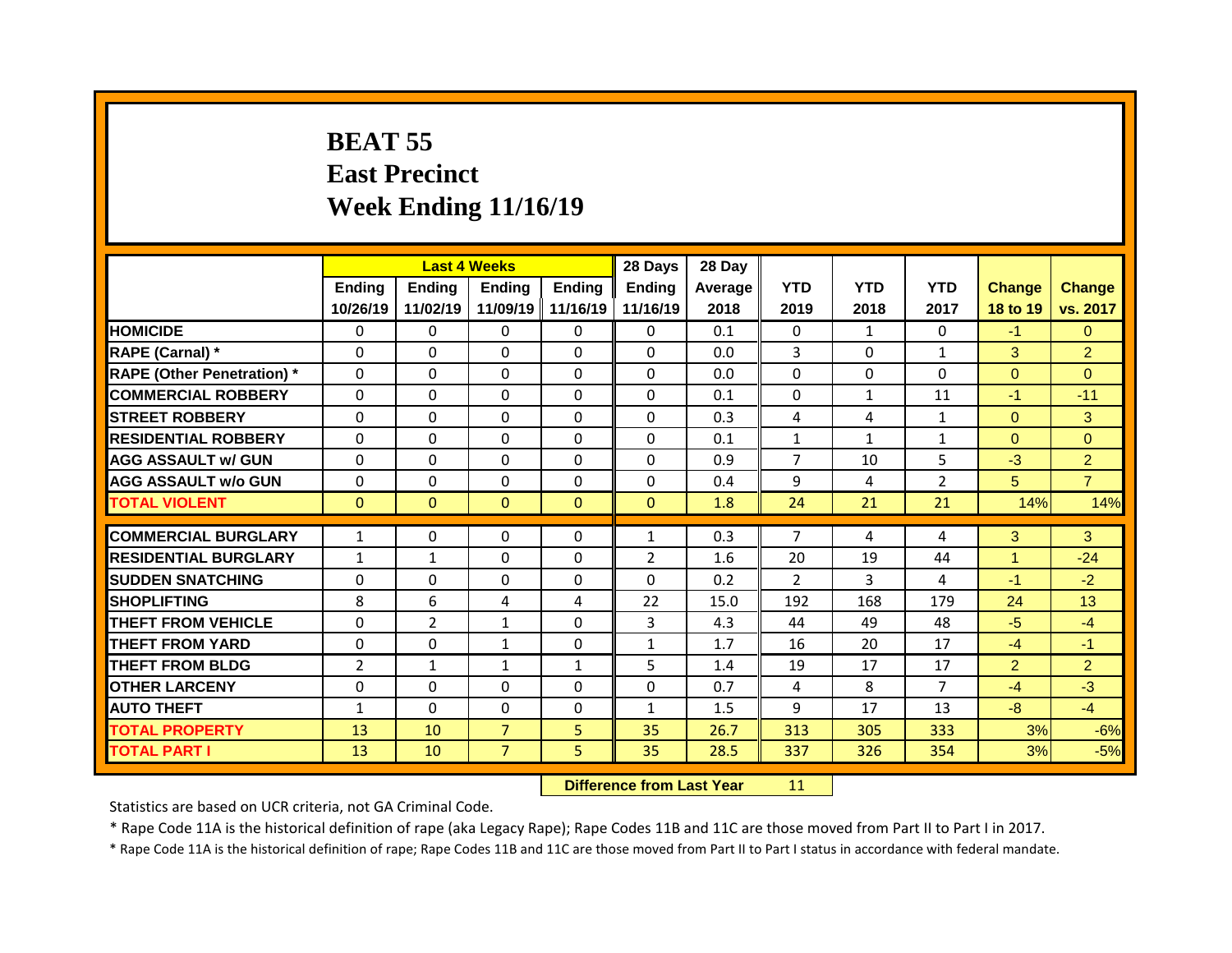## **BEAT 55 East Precinct Week Ending 11/16/19**

|                                              |                              | <b>Last 4 Weeks</b> |                                  |              | 28 Days        | 28 Day       |                |              |                |                |                |
|----------------------------------------------|------------------------------|---------------------|----------------------------------|--------------|----------------|--------------|----------------|--------------|----------------|----------------|----------------|
|                                              | Ending                       | <b>Ending</b>       | <b>Ending</b>                    | Ending       | <b>Ending</b>  | Average      | <b>YTD</b>     | <b>YTD</b>   | <b>YTD</b>     | <b>Change</b>  | <b>Change</b>  |
|                                              | 10/26/19                     | 11/02/19            | 11/09/19                         | 11/16/19     | 11/16/19       | 2018         | 2019           | 2018         | 2017           | 18 to 19       | vs. 2017       |
| <b>HOMICIDE</b>                              | $\mathbf{0}$                 | 0                   | $\Omega$                         | $\Omega$     | $\Omega$       | 0.1          | $\Omega$       | $\mathbf{1}$ | $\Omega$       | $-1$           | $\Omega$       |
| RAPE (Carnal) *                              | $\mathbf{0}$                 | $\Omega$            | $\Omega$                         | $\Omega$     | $\Omega$       | 0.0          | 3              | $\Omega$     | $\mathbf{1}$   | 3              | $\overline{2}$ |
| <b>RAPE (Other Penetration)</b> *            | 0                            | 0                   | 0                                | $\Omega$     | $\Omega$       | 0.0          | $\Omega$       | $\Omega$     | $\Omega$       | $\overline{0}$ | $\overline{0}$ |
| <b>COMMERCIAL ROBBERY</b>                    | $\mathbf 0$                  | 0                   | 0                                | $\Omega$     | $\Omega$       | 0.1          | $\Omega$       | 1            | 11             | $-1$           | $-11$          |
| <b>STREET ROBBERY</b>                        | $\Omega$                     | 0                   | $\Omega$                         | $\Omega$     | $\Omega$       | 0.3          | 4              | 4            | $\mathbf{1}$   | $\Omega$       | 3              |
| <b>RESIDENTIAL ROBBERY</b>                   | 0                            | 0                   | 0                                | 0            | $\Omega$       | 0.1          | $\mathbf{1}$   | $\mathbf{1}$ | $\mathbf{1}$   | $\overline{0}$ | $\overline{0}$ |
| <b>AGG ASSAULT w/ GUN</b>                    | $\mathbf 0$                  | 0                   | 0                                | $\Omega$     | $\Omega$       | 0.9          | $\overline{7}$ | 10           | 5              | $-3$           | $\overline{2}$ |
| <b>AGG ASSAULT W/o GUN</b>                   | $\mathbf 0$                  | 0                   | 0                                | 0            | 0              | 0.4          | 9              | 4            | $\overline{2}$ | 5              | $\overline{7}$ |
| <b>TOTAL VIOLENT</b>                         | $\mathbf{0}$                 | $\mathbf{0}$        | $\mathbf{0}$                     | $\mathbf{0}$ | $\mathbf{0}$   | 1.8          | 24             | 21           | 21             | 14%            | 14%            |
| <b>COMMERCIAL BURGLARY</b>                   | $\mathbf{1}$                 | $\Omega$            | 0                                | $\mathbf{0}$ | $\mathbf{1}$   | 0.3          | $\overline{7}$ | 4            | 4              | 3              | 3              |
| <b>RESIDENTIAL BURGLARY</b>                  |                              |                     | 0                                | $\Omega$     | $\overline{2}$ | 1.6          | 20             | 19           | 44             | $\mathbf{1}$   | $-24$          |
| <b>SUDDEN SNATCHING</b>                      | $\mathbf{1}$<br>$\mathbf{0}$ | $\mathbf{1}$<br>0   | 0                                | 0            | 0              |              | $\overline{2}$ | 3            |                |                | $-2$           |
|                                              |                              |                     |                                  |              |                |              |                |              |                |                |                |
|                                              |                              |                     |                                  |              |                | 0.2          |                |              | 4              | $-1$           |                |
| <b>SHOPLIFTING</b>                           | 8                            | 6                   | 4                                | 4            | 22             | 15.0         | 192            | 168          | 179            | 24             | 13             |
| <b>THEFT FROM VEHICLE</b>                    | $\mathbf{0}$                 | $\overline{2}$      | $\mathbf{1}$                     | $\Omega$     | 3              | 4.3          | 44             | 49           | 48             | $-5$           | $-4$           |
| <b>THEFT FROM YARD</b>                       | $\mathbf 0$                  | 0                   | $\mathbf{1}$                     | $\Omega$     | $\mathbf{1}$   | 1.7          | 16             | 20           | 17             | $-4$           | $-1$           |
| <b>THEFT FROM BLDG</b>                       | $\overline{2}$               | $\mathbf{1}$        | $\mathbf{1}$                     | $\mathbf{1}$ | 5              | 1.4          | 19             | 17           | 17             | $\overline{2}$ | $\overline{2}$ |
| <b>OTHER LARCENY</b>                         | $\mathbf 0$                  | 0                   | 0                                | $\Omega$     | $\Omega$       | 0.7          | 4              | 8            | $\overline{7}$ | $-4$           | $-3$           |
| <b>AUTO THEFT</b>                            | $\mathbf{1}$                 | 0                   | 0                                | 0            | $\mathbf{1}$   | 1.5          | 9              | 17           | 13             | $-8-$          | $-4$           |
| <b>TOTAL PROPERTY</b><br><b>TOTAL PART I</b> | 13<br>13                     | 10<br>10            | $\overline{7}$<br>$\overline{7}$ | 5<br>5       | 35<br>35       | 26.7<br>28.5 | 313<br>337     | 305<br>326   | 333<br>354     | 3%<br>3%       | $-6%$<br>$-5%$ |

**Difference from Last Year** 11

Statistics are based on UCR criteria, not GA Criminal Code.

\* Rape Code 11A is the historical definition of rape (aka Legacy Rape); Rape Codes 11B and 11C are those moved from Part II to Part I in 2017.